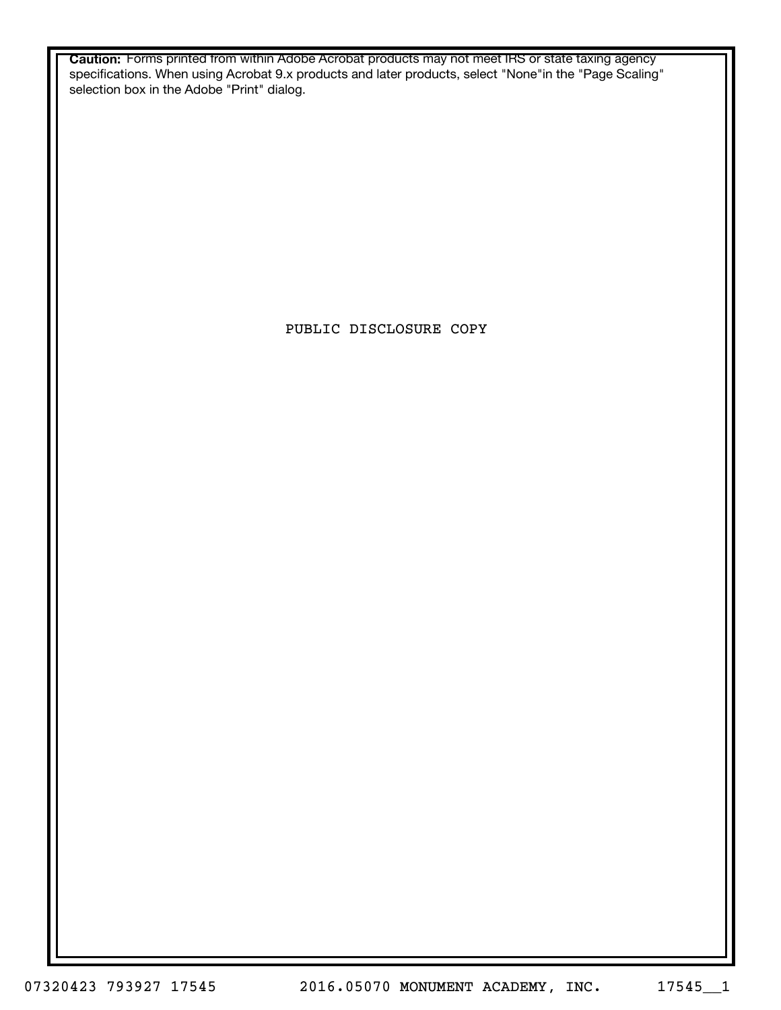**Caution:** Forms printed from within Adobe Acrobat products may not meet IRS or state taxing agency specifications. When using Acrobat 9.x products and later products, select "None"in the "Page Scaling" selection box in the Adobe "Print" dialog.

PUBLIC DISCLOSURE COPY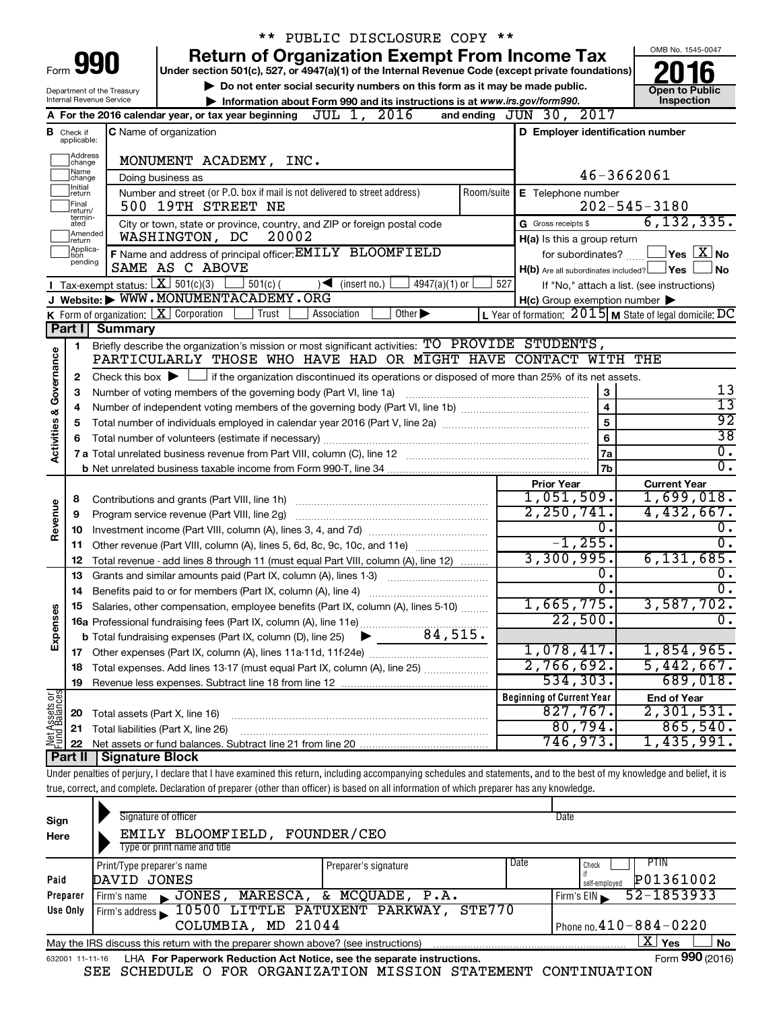|                                                                                                                                                                                                      |                               |                                | ** PUBLIC DISCLOSURE COPY **                                                                                                                                               |                                                           |                                                           |  |  |  |  |
|------------------------------------------------------------------------------------------------------------------------------------------------------------------------------------------------------|-------------------------------|--------------------------------|----------------------------------------------------------------------------------------------------------------------------------------------------------------------------|-----------------------------------------------------------|-----------------------------------------------------------|--|--|--|--|
|                                                                                                                                                                                                      |                               |                                | <b>Return of Organization Exempt From Income Tax</b>                                                                                                                       |                                                           | OMB No. 1545-0047                                         |  |  |  |  |
| Form <b>990</b><br>Under section 501(c), 527, or 4947(a)(1) of the Internal Revenue Code (except private foundations)                                                                                |                               |                                |                                                                                                                                                                            |                                                           |                                                           |  |  |  |  |
| Do not enter social security numbers on this form as it may be made public.<br>Department of the Treasury                                                                                            |                               |                                |                                                                                                                                                                            |                                                           |                                                           |  |  |  |  |
| Internal Revenue Service<br>Information about Form 990 and its instructions is at www.irs.gov/form990.<br>and ending JUN 30, 2017<br>A For the 2016 calendar year, or tax year beginning JUL 1, 2016 |                               |                                |                                                                                                                                                                            |                                                           |                                                           |  |  |  |  |
|                                                                                                                                                                                                      |                               |                                |                                                                                                                                                                            |                                                           |                                                           |  |  |  |  |
|                                                                                                                                                                                                      | <b>B</b> Check if applicable: |                                | <b>C</b> Name of organization                                                                                                                                              | D Employer identification number                          |                                                           |  |  |  |  |
|                                                                                                                                                                                                      | Address<br>change             |                                | MONUMENT ACADEMY, INC.                                                                                                                                                     |                                                           |                                                           |  |  |  |  |
|                                                                                                                                                                                                      | Name<br>change                |                                | Doing business as                                                                                                                                                          |                                                           | 46-3662061                                                |  |  |  |  |
|                                                                                                                                                                                                      | Ilnitial<br>∣return<br> Final |                                | Number and street (or P.O. box if mail is not delivered to street address)<br>Room/suite<br>500 19TH STREET NE                                                             | E Telephone number                                        | $202 - 545 - 3180$                                        |  |  |  |  |
|                                                                                                                                                                                                      | return/<br>termin-<br>ated    |                                | City or town, state or province, country, and ZIP or foreign postal code                                                                                                   | G Gross receipts \$                                       | 6, 132, 335.                                              |  |  |  |  |
|                                                                                                                                                                                                      | Amended<br>Ireturn            |                                | 20002<br>WASHINGTON, DC                                                                                                                                                    | H(a) Is this a group return                               |                                                           |  |  |  |  |
|                                                                                                                                                                                                      | Applica-<br>tion              |                                | F Name and address of principal officer: EMILY BLOOMFIELD                                                                                                                  | for subordinates?                                         | $\sqrt{}$ Yes $\left\lfloor \frac{X}{X} \right\rfloor$ No |  |  |  |  |
|                                                                                                                                                                                                      | pending                       |                                | SAME AS C ABOVE                                                                                                                                                            | $H(b)$ Are all subordinates included? $\Box$ Yes $\Box$   | <b>No</b>                                                 |  |  |  |  |
|                                                                                                                                                                                                      |                               |                                | Tax-exempt status: $X \overline{X}$ 501(c)(3)<br>$\frac{1}{2}$ 501(c) (<br>$4947(a)(1)$ or<br>$\sqrt{\bullet}$ (insert no.)                                                | 527                                                       | If "No," attach a list. (see instructions)                |  |  |  |  |
|                                                                                                                                                                                                      |                               |                                | J Website: WWW.MONUMENTACADEMY.ORG                                                                                                                                         | $H(c)$ Group exemption number $\blacktriangleright$       |                                                           |  |  |  |  |
|                                                                                                                                                                                                      |                               |                                | K Form of organization: $X$ Corporation<br>Other $\blacktriangleright$<br>Trust<br>Association                                                                             | L Year of formation: $2015$ M State of legal domicile: DC |                                                           |  |  |  |  |
|                                                                                                                                                                                                      | Part I                        | <b>Summary</b>                 |                                                                                                                                                                            |                                                           |                                                           |  |  |  |  |
|                                                                                                                                                                                                      | 1                             |                                | Briefly describe the organization's mission or most significant activities: TO PROVIDE STUDENTS,                                                                           |                                                           |                                                           |  |  |  |  |
| Governance                                                                                                                                                                                           |                               |                                | PARTICULARLY THOSE WHO HAVE HAD OR MIGHT HAVE CONTACT WITH THE                                                                                                             |                                                           |                                                           |  |  |  |  |
|                                                                                                                                                                                                      | 2                             |                                | Check this box $\blacktriangleright$ $\Box$ if the organization discontinued its operations or disposed of more than 25% of its net assets.                                |                                                           |                                                           |  |  |  |  |
|                                                                                                                                                                                                      | З                             |                                | Number of voting members of the governing body (Part VI, line 1a)                                                                                                          | 3                                                         | 13                                                        |  |  |  |  |
|                                                                                                                                                                                                      | 4                             |                                |                                                                                                                                                                            | $\overline{\mathbf{4}}$                                   | $\overline{13}$                                           |  |  |  |  |
|                                                                                                                                                                                                      | 5                             |                                | 5                                                                                                                                                                          | $\overline{92}$                                           |                                                           |  |  |  |  |
|                                                                                                                                                                                                      | 6                             |                                | 6                                                                                                                                                                          | $\overline{38}$                                           |                                                           |  |  |  |  |
| <b>Activities &amp;</b>                                                                                                                                                                              |                               |                                |                                                                                                                                                                            | 7a                                                        | $\overline{0}$ .                                          |  |  |  |  |
|                                                                                                                                                                                                      |                               |                                |                                                                                                                                                                            | 7b                                                        | $\overline{0}$ .                                          |  |  |  |  |
|                                                                                                                                                                                                      |                               |                                |                                                                                                                                                                            | <b>Prior Year</b>                                         | <b>Current Year</b>                                       |  |  |  |  |
|                                                                                                                                                                                                      | 8                             |                                |                                                                                                                                                                            | 1,051,509.                                                | 1,699,018.                                                |  |  |  |  |
| Revenue                                                                                                                                                                                              | 9                             |                                | Program service revenue (Part VIII, line 2g)                                                                                                                               | 2, 250, 741.                                              | 4,432,667.                                                |  |  |  |  |
|                                                                                                                                                                                                      | 10                            |                                |                                                                                                                                                                            | 0.                                                        | $0$ .                                                     |  |  |  |  |
|                                                                                                                                                                                                      | 11                            |                                | Other revenue (Part VIII, column (A), lines 5, 6d, 8c, 9c, 10c, and 11e)                                                                                                   | $-1, 255.$                                                | $\overline{0}$ .                                          |  |  |  |  |
|                                                                                                                                                                                                      | 12                            |                                | Total revenue - add lines 8 through 11 (must equal Part VIII, column (A), line 12)                                                                                         | 3,300,995.                                                | 6, 131, 685.                                              |  |  |  |  |
|                                                                                                                                                                                                      | 13                            |                                | Grants and similar amounts paid (Part IX, column (A), lines 1-3)                                                                                                           | о.                                                        | $0$ .                                                     |  |  |  |  |
|                                                                                                                                                                                                      |                               |                                |                                                                                                                                                                            | $\overline{0}$ .                                          | $\overline{0}$ .                                          |  |  |  |  |
|                                                                                                                                                                                                      |                               |                                | Salaries, other compensation, employee benefits (Part IX, column (A), lines 5-10)                                                                                          | 1,665,775.                                                | 3,587,702.                                                |  |  |  |  |
| Expenses                                                                                                                                                                                             |                               |                                |                                                                                                                                                                            | 22,500.                                                   | $\overline{0}$ .                                          |  |  |  |  |
|                                                                                                                                                                                                      |                               |                                | 84,515.<br><b>b</b> Total fundraising expenses (Part IX, column (D), line 25)                                                                                              |                                                           |                                                           |  |  |  |  |
|                                                                                                                                                                                                      |                               |                                |                                                                                                                                                                            | 1,078,417.                                                | 1,854,965.                                                |  |  |  |  |
|                                                                                                                                                                                                      | 18                            |                                | Total expenses. Add lines 13-17 (must equal Part IX, column (A), line 25)                                                                                                  | 2,766,692.                                                | 5,442,667.                                                |  |  |  |  |
|                                                                                                                                                                                                      | 19                            |                                |                                                                                                                                                                            | 534,303.                                                  | 689,018.                                                  |  |  |  |  |
|                                                                                                                                                                                                      |                               |                                |                                                                                                                                                                            | <b>Beginning of Current Year</b>                          | <b>End of Year</b>                                        |  |  |  |  |
| Net Assets or                                                                                                                                                                                        | 20                            | Total assets (Part X, line 16) |                                                                                                                                                                            | 827,767.                                                  | 2,301,531.                                                |  |  |  |  |
|                                                                                                                                                                                                      | 21                            |                                | Total liabilities (Part X, line 26)                                                                                                                                        | 80,794.                                                   | 865,540.                                                  |  |  |  |  |
|                                                                                                                                                                                                      | 22                            |                                |                                                                                                                                                                            | 746,973.                                                  | 1,435,991.                                                |  |  |  |  |
|                                                                                                                                                                                                      | <b>Part II</b>                | <b>Signature Block</b>         |                                                                                                                                                                            |                                                           |                                                           |  |  |  |  |
|                                                                                                                                                                                                      |                               |                                | Under penalties of perjury, I declare that I have examined this return, including accompanying schedules and statements, and to the best of my knowledge and belief, it is |                                                           |                                                           |  |  |  |  |
|                                                                                                                                                                                                      |                               |                                | true, correct, and complete. Declaration of preparer (other than officer) is based on all information of which preparer has any knowledge.                                 |                                                           |                                                           |  |  |  |  |
|                                                                                                                                                                                                      |                               |                                |                                                                                                                                                                            |                                                           |                                                           |  |  |  |  |

| Sign<br>Here                                                                                                | Signature of officer<br>FOUNDER/CEO<br>EMILY BLOOMFIELD,<br>Type or print name and title | Date                 |      |                            |  |  |  |  |  |  |
|-------------------------------------------------------------------------------------------------------------|------------------------------------------------------------------------------------------|----------------------|------|----------------------------|--|--|--|--|--|--|
|                                                                                                             | Print/Type preparer's name                                                               | Preparer's signature | Date | PTIN<br>Check              |  |  |  |  |  |  |
| Paid                                                                                                        | DAVID JONES                                                                              |                      |      | P01361002<br>self-emploved |  |  |  |  |  |  |
| Preparer                                                                                                    | MARESCA,<br>JONES,<br>Firm's name                                                        | & MCQUADE, P.A.      |      | 52-1853933<br>Firm's $EIN$ |  |  |  |  |  |  |
| Use Only                                                                                                    | Firm's address 10500 LITTLE PATUXENT PARKWAY,                                            | STE770               |      |                            |  |  |  |  |  |  |
|                                                                                                             | Phone no. $410 - 884 - 0220$<br>COLUMBIA, MD 21044                                       |                      |      |                            |  |  |  |  |  |  |
| x.<br>Yes<br><b>No</b><br>May the IRS discuss this return with the preparer shown above? (see instructions) |                                                                                          |                      |      |                            |  |  |  |  |  |  |
| 632001 11-11-16                                                                                             | LHA For Paperwork Reduction Act Notice, see the separate instructions.                   |                      |      | Form 990 (2016)            |  |  |  |  |  |  |

SEE SCHEDULE O FOR ORGANIZATION MISSION STATEMENT CONTINUATION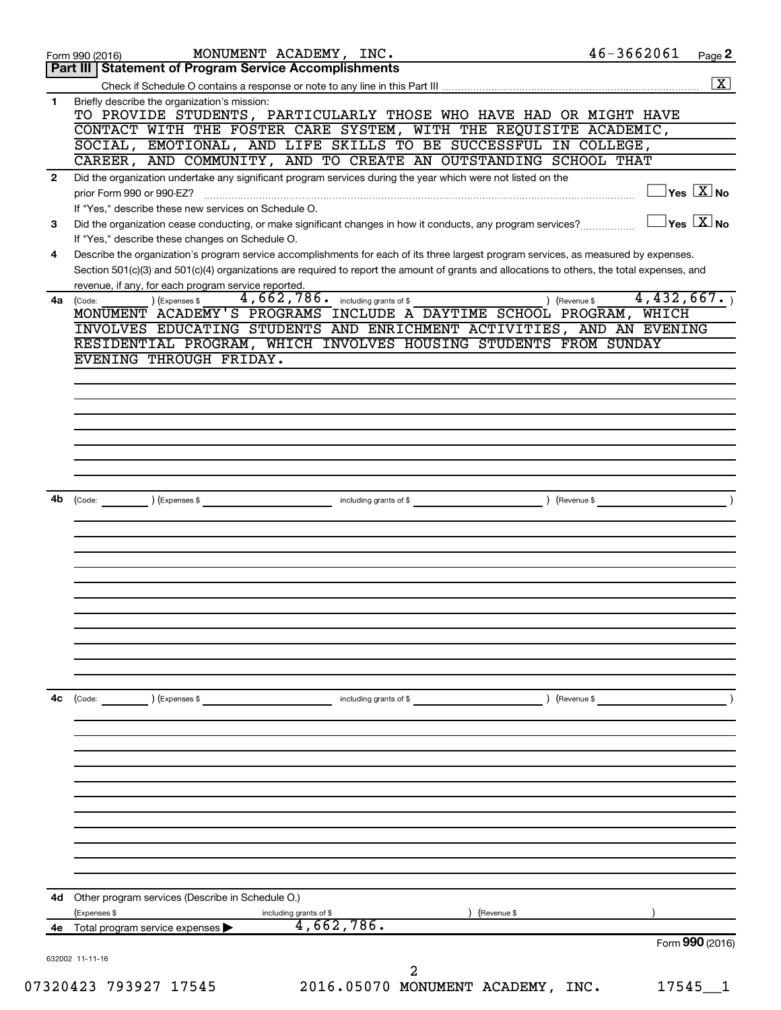|              |                                                                                                                                                                                                                                                                                      |                 | $\boxed{\textbf{X}}$                      |
|--------------|--------------------------------------------------------------------------------------------------------------------------------------------------------------------------------------------------------------------------------------------------------------------------------------|-----------------|-------------------------------------------|
| 1            | Briefly describe the organization's mission:<br>TO PROVIDE STUDENTS, PARTICULARLY THOSE WHO HAVE HAD OR MIGHT HAVE                                                                                                                                                                   |                 |                                           |
|              | CONTACT WITH THE FOSTER CARE SYSTEM, WITH THE REQUISITE ACADEMIC,                                                                                                                                                                                                                    |                 |                                           |
|              | SOCIAL, EMOTIONAL, AND LIFE SKILLS TO BE SUCCESSFUL IN COLLEGE,                                                                                                                                                                                                                      |                 |                                           |
|              | CAREER, AND COMMUNITY, AND TO CREATE AN OUTSTANDING SCHOOL THAT                                                                                                                                                                                                                      |                 |                                           |
| $\mathbf{2}$ | Did the organization undertake any significant program services during the year which were not listed on the<br>prior Form 990 or 990-EZ?                                                                                                                                            |                 | $\overline{\ }$ Yes $\overline{\rm X}$ No |
|              | If "Yes," describe these new services on Schedule O.                                                                                                                                                                                                                                 |                 |                                           |
| 3            | Did the organization cease conducting, or make significant changes in how it conducts, any program services?<br>If "Yes," describe these changes on Schedule O.                                                                                                                      |                 | $\exists$ Yes $\sqrt{\mathrm{X}}$ No      |
| 4            | Describe the organization's program service accomplishments for each of its three largest program services, as measured by expenses.<br>Section 501(c)(3) and 501(c)(4) organizations are required to report the amount of grants and allocations to others, the total expenses, and |                 |                                           |
| 4a           | revenue, if any, for each program service reported.<br>4, 662, 786. including grants of \$<br>) (Expenses \$<br>) (Revenue \$<br>(Code:<br>MONUMENT ACADEMY'S PROGRAMS INCLUDE A DAYTIME SCHOOL PROGRAM, WHICH                                                                       | 4,432,667.      |                                           |
|              | INVOLVES EDUCATING STUDENTS AND ENRICHMENT ACTIVITIES, AND AN EVENING                                                                                                                                                                                                                |                 |                                           |
|              | RESIDENTIAL PROGRAM, WHICH INVOLVES HOUSING STUDENTS FROM SUNDAY                                                                                                                                                                                                                     |                 |                                           |
|              | EVENING THROUGH FRIDAY.                                                                                                                                                                                                                                                              |                 |                                           |
|              |                                                                                                                                                                                                                                                                                      |                 |                                           |
|              |                                                                                                                                                                                                                                                                                      |                 |                                           |
|              |                                                                                                                                                                                                                                                                                      |                 |                                           |
|              |                                                                                                                                                                                                                                                                                      |                 |                                           |
|              |                                                                                                                                                                                                                                                                                      |                 |                                           |
|              |                                                                                                                                                                                                                                                                                      |                 |                                           |
|              |                                                                                                                                                                                                                                                                                      |                 |                                           |
|              |                                                                                                                                                                                                                                                                                      |                 |                                           |
| 4b           | including grants of \$<br>) (Expenses \$<br>) (Revenue \$<br>$\left(\text{Code:}\right)$                                                                                                                                                                                             |                 |                                           |
|              |                                                                                                                                                                                                                                                                                      |                 |                                           |
|              |                                                                                                                                                                                                                                                                                      |                 |                                           |
|              |                                                                                                                                                                                                                                                                                      |                 |                                           |
|              |                                                                                                                                                                                                                                                                                      |                 |                                           |
|              |                                                                                                                                                                                                                                                                                      |                 |                                           |
|              |                                                                                                                                                                                                                                                                                      |                 |                                           |
|              |                                                                                                                                                                                                                                                                                      |                 |                                           |
|              |                                                                                                                                                                                                                                                                                      |                 |                                           |
|              |                                                                                                                                                                                                                                                                                      |                 |                                           |
|              |                                                                                                                                                                                                                                                                                      |                 |                                           |
|              |                                                                                                                                                                                                                                                                                      |                 |                                           |
| 4c           | ) (Revenue \$<br>(Code:<br>) (Expenses \$<br>including grants of \$                                                                                                                                                                                                                  |                 |                                           |
|              |                                                                                                                                                                                                                                                                                      |                 |                                           |
|              |                                                                                                                                                                                                                                                                                      |                 |                                           |
|              |                                                                                                                                                                                                                                                                                      |                 |                                           |
|              |                                                                                                                                                                                                                                                                                      |                 |                                           |
|              |                                                                                                                                                                                                                                                                                      |                 |                                           |
|              |                                                                                                                                                                                                                                                                                      |                 |                                           |
|              |                                                                                                                                                                                                                                                                                      |                 |                                           |
|              |                                                                                                                                                                                                                                                                                      |                 |                                           |
|              |                                                                                                                                                                                                                                                                                      |                 |                                           |
|              |                                                                                                                                                                                                                                                                                      |                 |                                           |
|              |                                                                                                                                                                                                                                                                                      |                 |                                           |
|              |                                                                                                                                                                                                                                                                                      |                 |                                           |
| 4d           | Other program services (Describe in Schedule O.)                                                                                                                                                                                                                                     |                 |                                           |
|              | (Expenses \$<br>including grants of \$<br>(Revenue \$                                                                                                                                                                                                                                |                 |                                           |
|              |                                                                                                                                                                                                                                                                                      |                 |                                           |
|              | 4,662,786.<br>4e Total program service expenses                                                                                                                                                                                                                                      |                 |                                           |
|              |                                                                                                                                                                                                                                                                                      | Form 990 (2016) |                                           |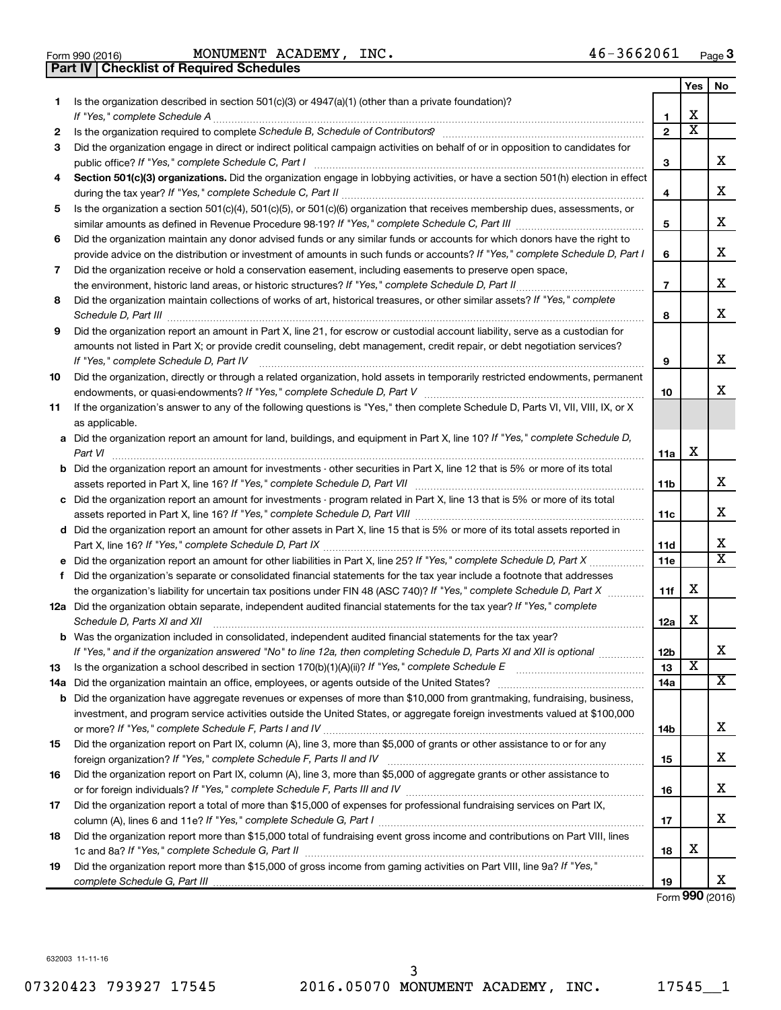Form 990 (2016) Page MONUMENT ACADEMY, INC. 46-3662061 **Part IV Checklist of Required Schedules**

|    |                                                                                                                                                                                                                                                            |                | Yes                          | No                      |
|----|------------------------------------------------------------------------------------------------------------------------------------------------------------------------------------------------------------------------------------------------------------|----------------|------------------------------|-------------------------|
| 1  | Is the organization described in section $501(c)(3)$ or $4947(a)(1)$ (other than a private foundation)?                                                                                                                                                    |                |                              |                         |
|    |                                                                                                                                                                                                                                                            | 1              | х<br>$\overline{\textbf{x}}$ |                         |
| 2  |                                                                                                                                                                                                                                                            | $\mathbf{2}$   |                              |                         |
| 3  | Did the organization engage in direct or indirect political campaign activities on behalf of or in opposition to candidates for                                                                                                                            | З              |                              | x                       |
| 4  | Section 501(c)(3) organizations. Did the organization engage in lobbying activities, or have a section 501(h) election in effect                                                                                                                           |                |                              |                         |
|    |                                                                                                                                                                                                                                                            | 4              |                              | x                       |
| 5  | Is the organization a section 501(c)(4), 501(c)(5), or 501(c)(6) organization that receives membership dues, assessments, or                                                                                                                               |                |                              | x                       |
|    |                                                                                                                                                                                                                                                            | 5              |                              |                         |
| 6  | Did the organization maintain any donor advised funds or any similar funds or accounts for which donors have the right to<br>provide advice on the distribution or investment of amounts in such funds or accounts? If "Yes," complete Schedule D, Part I  | 6              |                              | x                       |
| 7  | Did the organization receive or hold a conservation easement, including easements to preserve open space,                                                                                                                                                  |                |                              |                         |
|    | the environment, historic land areas, or historic structures? If "Yes," complete Schedule D, Part II                                                                                                                                                       | $\overline{7}$ |                              | x                       |
| 8  | Did the organization maintain collections of works of art, historical treasures, or other similar assets? If "Yes," complete                                                                                                                               |                |                              | x                       |
|    |                                                                                                                                                                                                                                                            | 8              |                              |                         |
| 9  | Did the organization report an amount in Part X, line 21, for escrow or custodial account liability, serve as a custodian for<br>amounts not listed in Part X; or provide credit counseling, debt management, credit repair, or debt negotiation services? |                |                              |                         |
|    | If "Yes," complete Schedule D, Part IV                                                                                                                                                                                                                     | 9              |                              | x                       |
| 10 | Did the organization, directly or through a related organization, hold assets in temporarily restricted endowments, permanent                                                                                                                              |                |                              |                         |
|    |                                                                                                                                                                                                                                                            | 10             |                              | x                       |
| 11 | If the organization's answer to any of the following questions is "Yes," then complete Schedule D, Parts VI, VII, VIII, IX, or X                                                                                                                           |                |                              |                         |
|    | as applicable.                                                                                                                                                                                                                                             |                |                              |                         |
|    | a Did the organization report an amount for land, buildings, and equipment in Part X, line 10? If "Yes," complete Schedule D,                                                                                                                              |                |                              |                         |
|    | Part VI                                                                                                                                                                                                                                                    | 11a            | х                            |                         |
|    | <b>b</b> Did the organization report an amount for investments - other securities in Part X, line 12 that is 5% or more of its total                                                                                                                       | 11b            |                              | x                       |
|    | c Did the organization report an amount for investments - program related in Part X, line 13 that is 5% or more of its total                                                                                                                               |                |                              |                         |
|    |                                                                                                                                                                                                                                                            | 11c            |                              | x                       |
|    | d Did the organization report an amount for other assets in Part X, line 15 that is 5% or more of its total assets reported in                                                                                                                             |                |                              |                         |
|    |                                                                                                                                                                                                                                                            | 11d            |                              | x                       |
|    |                                                                                                                                                                                                                                                            | 11e            |                              | $\overline{\textbf{x}}$ |
| f  | Did the organization's separate or consolidated financial statements for the tax year include a footnote that addresses                                                                                                                                    |                | х                            |                         |
|    | the organization's liability for uncertain tax positions under FIN 48 (ASC 740)? If "Yes," complete Schedule D, Part X                                                                                                                                     | 11f            |                              |                         |
|    | 12a Did the organization obtain separate, independent audited financial statements for the tax year? If "Yes," complete<br>Schedule D, Parts XI and XII                                                                                                    | 12a            | х                            |                         |
|    | <b>b</b> Was the organization included in consolidated, independent audited financial statements for the tax year?                                                                                                                                         |                |                              |                         |
|    | If "Yes," and if the organization answered "No" to line 12a, then completing Schedule D, Parts XI and XII is optional                                                                                                                                      | 12b            |                              | A                       |
| 13 |                                                                                                                                                                                                                                                            | 13             | х                            |                         |
|    | 14a Did the organization maintain an office, employees, or agents outside of the United States?                                                                                                                                                            | 14a            |                              | x                       |
|    | <b>b</b> Did the organization have aggregate revenues or expenses of more than \$10,000 from grantmaking, fundraising, business,                                                                                                                           |                |                              |                         |
|    | investment, and program service activities outside the United States, or aggregate foreign investments valued at \$100,000                                                                                                                                 |                |                              |                         |
|    |                                                                                                                                                                                                                                                            | 14b            |                              | x                       |
| 15 | Did the organization report on Part IX, column (A), line 3, more than \$5,000 of grants or other assistance to or for any                                                                                                                                  |                |                              |                         |
|    |                                                                                                                                                                                                                                                            | 15             |                              | x                       |
| 16 | Did the organization report on Part IX, column (A), line 3, more than \$5,000 of aggregate grants or other assistance to                                                                                                                                   | 16             |                              | x                       |
| 17 | Did the organization report a total of more than \$15,000 of expenses for professional fundraising services on Part IX,                                                                                                                                    |                |                              |                         |
|    |                                                                                                                                                                                                                                                            | 17             |                              | X.                      |
| 18 | Did the organization report more than \$15,000 total of fundraising event gross income and contributions on Part VIII, lines                                                                                                                               |                |                              |                         |
|    |                                                                                                                                                                                                                                                            | 18             | х                            |                         |
| 19 | Did the organization report more than \$15,000 of gross income from gaming activities on Part VIII, line 9a? If "Yes,"                                                                                                                                     | 19             |                              | X.                      |
|    |                                                                                                                                                                                                                                                            |                |                              |                         |

Form (2016) **990**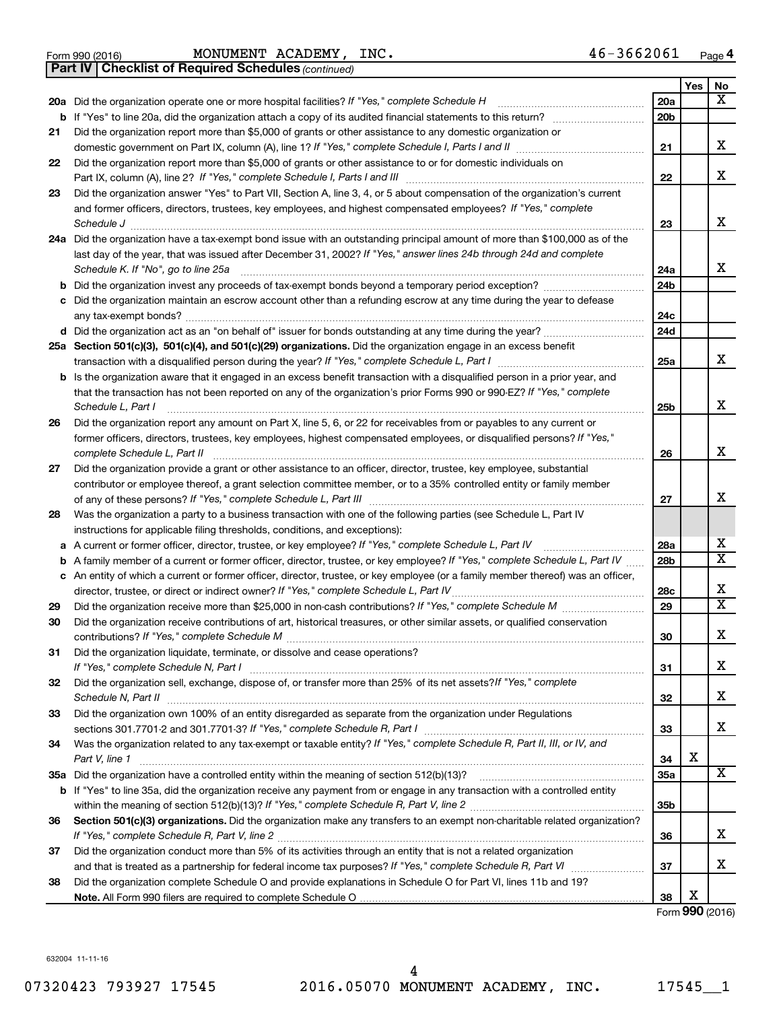|  | Form 990 (2016) |
|--|-----------------|
|  |                 |

Form 990 (2016) Page MONUMENT ACADEMY, INC. 46-3662061

*(continued)* **Part IV Checklist of Required Schedules**

|          |                                                                                                                                                                                                                                                 |                 | Yes | No                      |
|----------|-------------------------------------------------------------------------------------------------------------------------------------------------------------------------------------------------------------------------------------------------|-----------------|-----|-------------------------|
|          | 20a Did the organization operate one or more hospital facilities? If "Yes," complete Schedule H                                                                                                                                                 | 20a             |     | x                       |
|          |                                                                                                                                                                                                                                                 | 20 <sub>b</sub> |     |                         |
| 21       | Did the organization report more than \$5,000 of grants or other assistance to any domestic organization or                                                                                                                                     |                 |     |                         |
|          |                                                                                                                                                                                                                                                 | 21              |     | x                       |
| 22       | Did the organization report more than \$5,000 of grants or other assistance to or for domestic individuals on                                                                                                                                   | 22              |     | X                       |
| 23       | Did the organization answer "Yes" to Part VII, Section A, line 3, 4, or 5 about compensation of the organization's current                                                                                                                      |                 |     |                         |
|          | and former officers, directors, trustees, key employees, and highest compensated employees? If "Yes," complete                                                                                                                                  |                 |     |                         |
|          | Schedule J                                                                                                                                                                                                                                      | 23              |     | x                       |
|          | 24a Did the organization have a tax-exempt bond issue with an outstanding principal amount of more than \$100,000 as of the                                                                                                                     |                 |     |                         |
|          | last day of the year, that was issued after December 31, 2002? If "Yes," answer lines 24b through 24d and complete                                                                                                                              |                 |     |                         |
|          | Schedule K. If "No", go to line 25a                                                                                                                                                                                                             | 24a             |     | x                       |
| b        | Did the organization invest any proceeds of tax-exempt bonds beyond a temporary period exception?                                                                                                                                               | 24 <sub>b</sub> |     |                         |
| с        | Did the organization maintain an escrow account other than a refunding escrow at any time during the year to defease                                                                                                                            |                 |     |                         |
|          |                                                                                                                                                                                                                                                 | 24c             |     |                         |
|          |                                                                                                                                                                                                                                                 | 24d             |     |                         |
|          | 25a Section 501(c)(3), 501(c)(4), and 501(c)(29) organizations. Did the organization engage in an excess benefit                                                                                                                                |                 |     |                         |
|          |                                                                                                                                                                                                                                                 | 25a             |     | x                       |
|          | <b>b</b> Is the organization aware that it engaged in an excess benefit transaction with a disqualified person in a prior year, and                                                                                                             |                 |     |                         |
|          | that the transaction has not been reported on any of the organization's prior Forms 990 or 990-EZ? If "Yes," complete                                                                                                                           |                 |     | X                       |
|          | Schedule L, Part I                                                                                                                                                                                                                              | 25b             |     |                         |
| 26       | Did the organization report any amount on Part X, line 5, 6, or 22 for receivables from or payables to any current or<br>former officers, directors, trustees, key employees, highest compensated employees, or disqualified persons? If "Yes," |                 |     |                         |
|          |                                                                                                                                                                                                                                                 | 26              |     | x                       |
| 27       | Did the organization provide a grant or other assistance to an officer, director, trustee, key employee, substantial                                                                                                                            |                 |     |                         |
|          | contributor or employee thereof, a grant selection committee member, or to a 35% controlled entity or family member                                                                                                                             |                 |     |                         |
|          |                                                                                                                                                                                                                                                 | 27              |     | х                       |
| 28       | Was the organization a party to a business transaction with one of the following parties (see Schedule L, Part IV                                                                                                                               |                 |     |                         |
|          | instructions for applicable filing thresholds, conditions, and exceptions):                                                                                                                                                                     |                 |     |                         |
| а        | A current or former officer, director, trustee, or key employee? If "Yes," complete Schedule L, Part IV                                                                                                                                         | 28a             |     | x                       |
| b        | A family member of a current or former officer, director, trustee, or key employee? If "Yes," complete Schedule L, Part IV                                                                                                                      | 28 <sub>b</sub> |     | $\overline{\mathtt{x}}$ |
|          | c An entity of which a current or former officer, director, trustee, or key employee (or a family member thereof) was an officer,                                                                                                               |                 |     | х                       |
|          | director, trustee, or direct or indirect owner? If "Yes," complete Schedule L, Part IV                                                                                                                                                          | 28c<br>29       |     | $\overline{\mathtt{x}}$ |
| 29<br>30 | Did the organization receive contributions of art, historical treasures, or other similar assets, or qualified conservation                                                                                                                     |                 |     |                         |
|          |                                                                                                                                                                                                                                                 | 30              |     | X                       |
| 31       | Did the organization liquidate, terminate, or dissolve and cease operations?                                                                                                                                                                    |                 |     |                         |
|          |                                                                                                                                                                                                                                                 | 31              |     | х                       |
| 32       | Did the organization sell, exchange, dispose of, or transfer more than 25% of its net assets? If "Yes," complete                                                                                                                                |                 |     |                         |
|          | Schedule N, Part II                                                                                                                                                                                                                             | 32              |     | х                       |
| 33       | Did the organization own 100% of an entity disregarded as separate from the organization under Regulations                                                                                                                                      |                 |     |                         |
|          |                                                                                                                                                                                                                                                 | 33              |     | x                       |
| 34       | Was the organization related to any tax-exempt or taxable entity? If "Yes," complete Schedule R, Part II, III, or IV, and                                                                                                                       |                 |     |                         |
|          | Part V, line 1                                                                                                                                                                                                                                  | 34              | X   | $\overline{\mathbf{x}}$ |
|          |                                                                                                                                                                                                                                                 | 35a             |     |                         |
|          | b If "Yes" to line 35a, did the organization receive any payment from or engage in any transaction with a controlled entity                                                                                                                     | 35b             |     |                         |
| 36       | Section 501(c)(3) organizations. Did the organization make any transfers to an exempt non-charitable related organization?                                                                                                                      |                 |     |                         |
|          |                                                                                                                                                                                                                                                 | 36              |     | x                       |
| 37       | Did the organization conduct more than 5% of its activities through an entity that is not a related organization                                                                                                                                |                 |     |                         |
|          |                                                                                                                                                                                                                                                 | 37              |     | x                       |
| 38       | Did the organization complete Schedule O and provide explanations in Schedule O for Part VI, lines 11b and 19?                                                                                                                                  |                 |     |                         |
|          |                                                                                                                                                                                                                                                 | 38              | х   |                         |

Form (2016) **990**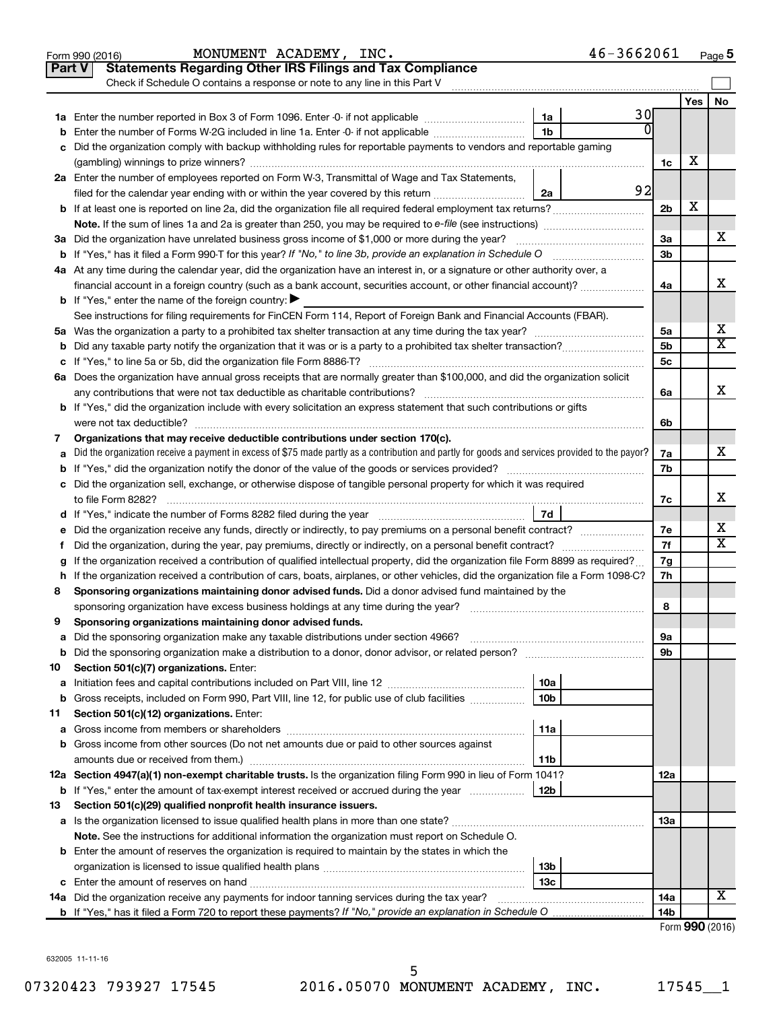| <b>Statements Regarding Other IRS Filings and Tax Compliance</b><br><b>Part V</b><br>Check if Schedule O contains a response or note to any line in this Part V<br>Yes  <br>No<br>30<br>1a<br>$\Omega$<br>1 <sub>b</sub><br>Enter the number of Forms W-2G included in line 1a. Enter -0- if not applicable<br>b<br>c Did the organization comply with backup withholding rules for reportable payments to vendors and reportable gaming<br>х<br>1c<br>2a Enter the number of employees reported on Form W-3, Transmittal of Wage and Tax Statements,<br>92<br>filed for the calendar year ending with or within the year covered by this return<br>2a<br>X<br>2 <sub>b</sub><br>х<br>3a Did the organization have unrelated business gross income of \$1,000 or more during the year?<br>За<br>3 <sub>b</sub><br>4a At any time during the calendar year, did the organization have an interest in, or a signature or other authority over, a<br>x<br>financial account in a foreign country (such as a bank account, securities account, or other financial account)?<br>4a<br><b>b</b> If "Yes," enter the name of the foreign country: $\blacktriangleright$<br>See instructions for filing requirements for FinCEN Form 114, Report of Foreign Bank and Financial Accounts (FBAR).<br>х<br>5a<br>X<br>5 <sub>b</sub><br>5 <sub>c</sub><br>6a Does the organization have annual gross receipts that are normally greater than \$100,000, and did the organization solicit<br>x<br>6a<br><b>b</b> If "Yes," did the organization include with every solicitation an express statement that such contributions or gifts<br>6b<br>Organizations that may receive deductible contributions under section 170(c).<br>7<br>x<br>Did the organization receive a payment in excess of \$75 made partly as a contribution and partly for goods and services provided to the payor?<br>7a<br>a<br>7b<br>c Did the organization sell, exchange, or otherwise dispose of tangible personal property for which it was required<br>х<br>7с<br>7d<br>х<br>e Did the organization receive any funds, directly or indirectly, to pay premiums on a personal benefit contract?<br>7e<br>X<br>7f<br>Did the organization, during the year, pay premiums, directly or indirectly, on a personal benefit contract?<br>f.<br>If the organization received a contribution of qualified intellectual property, did the organization file Form 8899 as required?<br>7g<br>h If the organization received a contribution of cars, boats, airplanes, or other vehicles, did the organization file a Form 1098-C?<br>7h<br>Sponsoring organizations maintaining donor advised funds. Did a donor advised fund maintained by the<br>8<br>8<br>Sponsoring organizations maintaining donor advised funds.<br>Did the sponsoring organization make any taxable distributions under section 4966?<br>9а<br>а<br>9b<br>b<br>Section 501(c)(7) organizations. Enter:<br>10<br>10a<br>a<br>10 <sub>b</sub><br>Gross receipts, included on Form 990, Part VIII, line 12, for public use of club facilities<br>b<br>Section 501(c)(12) organizations. Enter:<br>11<br>11a<br>а<br><b>b</b> Gross income from other sources (Do not net amounts due or paid to other sources against<br>11b<br>12a Section 4947(a)(1) non-exempt charitable trusts. Is the organization filing Form 990 in lieu of Form 1041?<br>12a<br>12b<br><b>b</b> If "Yes," enter the amount of tax-exempt interest received or accrued during the year<br>Section 501(c)(29) qualified nonprofit health insurance issuers.<br>13<br>a Is the organization licensed to issue qualified health plans in more than one state?<br>13a<br>Note. See the instructions for additional information the organization must report on Schedule O.<br><b>b</b> Enter the amount of reserves the organization is required to maintain by the states in which the<br>13b<br>13 <sub>c</sub><br>x<br>14a Did the organization receive any payments for indoor tanning services during the tax year?<br>14a<br>14 <sub>b</sub><br>Form 990 (2016) | 46-3662061<br>MONUMENT ACADEMY, INC.<br>Form 990 (2016) |  | Page 5 |
|-----------------------------------------------------------------------------------------------------------------------------------------------------------------------------------------------------------------------------------------------------------------------------------------------------------------------------------------------------------------------------------------------------------------------------------------------------------------------------------------------------------------------------------------------------------------------------------------------------------------------------------------------------------------------------------------------------------------------------------------------------------------------------------------------------------------------------------------------------------------------------------------------------------------------------------------------------------------------------------------------------------------------------------------------------------------------------------------------------------------------------------------------------------------------------------------------------------------------------------------------------------------------------------------------------------------------------------------------------------------------------------------------------------------------------------------------------------------------------------------------------------------------------------------------------------------------------------------------------------------------------------------------------------------------------------------------------------------------------------------------------------------------------------------------------------------------------------------------------------------------------------------------------------------------------------------------------------------------------------------------------------------------------------------------------------------------------------------------------------------------------------------------------------------------------------------------------------------------------------------------------------------------------------------------------------------------------------------------------------------------------------------------------------------------------------------------------------------------------------------------------------------------------------------------------------------------------------------------------------------------------------------------------------------------------------------------------------------------------------------------------------------------------------------------------------------------------------------------------------------------------------------------------------------------------------------------------------------------------------------------------------------------------------------------------------------------------------------------------------------------------------------------------------------------------------------------------------------------------------------------------------------------------------------------------------------------------------------------------------------------------------------------------------------------------------------------------------------------------------------------------------------------------------------------------------------------------------------------------------------------------------------------------------------------------------------------------------------------------------------------------------------------------------------------------------------------------------------------------------------------------------------------------------------------------------------------------------------------------------------------------------------------------------------------------------------------|---------------------------------------------------------|--|--------|
|                                                                                                                                                                                                                                                                                                                                                                                                                                                                                                                                                                                                                                                                                                                                                                                                                                                                                                                                                                                                                                                                                                                                                                                                                                                                                                                                                                                                                                                                                                                                                                                                                                                                                                                                                                                                                                                                                                                                                                                                                                                                                                                                                                                                                                                                                                                                                                                                                                                                                                                                                                                                                                                                                                                                                                                                                                                                                                                                                                                                                                                                                                                                                                                                                                                                                                                                                                                                                                                                                                                                                                                                                                                                                                                                                                                                                                                                                                                                                                                                                                                                       |                                                         |  |        |
|                                                                                                                                                                                                                                                                                                                                                                                                                                                                                                                                                                                                                                                                                                                                                                                                                                                                                                                                                                                                                                                                                                                                                                                                                                                                                                                                                                                                                                                                                                                                                                                                                                                                                                                                                                                                                                                                                                                                                                                                                                                                                                                                                                                                                                                                                                                                                                                                                                                                                                                                                                                                                                                                                                                                                                                                                                                                                                                                                                                                                                                                                                                                                                                                                                                                                                                                                                                                                                                                                                                                                                                                                                                                                                                                                                                                                                                                                                                                                                                                                                                                       |                                                         |  |        |
|                                                                                                                                                                                                                                                                                                                                                                                                                                                                                                                                                                                                                                                                                                                                                                                                                                                                                                                                                                                                                                                                                                                                                                                                                                                                                                                                                                                                                                                                                                                                                                                                                                                                                                                                                                                                                                                                                                                                                                                                                                                                                                                                                                                                                                                                                                                                                                                                                                                                                                                                                                                                                                                                                                                                                                                                                                                                                                                                                                                                                                                                                                                                                                                                                                                                                                                                                                                                                                                                                                                                                                                                                                                                                                                                                                                                                                                                                                                                                                                                                                                                       |                                                         |  |        |
|                                                                                                                                                                                                                                                                                                                                                                                                                                                                                                                                                                                                                                                                                                                                                                                                                                                                                                                                                                                                                                                                                                                                                                                                                                                                                                                                                                                                                                                                                                                                                                                                                                                                                                                                                                                                                                                                                                                                                                                                                                                                                                                                                                                                                                                                                                                                                                                                                                                                                                                                                                                                                                                                                                                                                                                                                                                                                                                                                                                                                                                                                                                                                                                                                                                                                                                                                                                                                                                                                                                                                                                                                                                                                                                                                                                                                                                                                                                                                                                                                                                                       |                                                         |  |        |
|                                                                                                                                                                                                                                                                                                                                                                                                                                                                                                                                                                                                                                                                                                                                                                                                                                                                                                                                                                                                                                                                                                                                                                                                                                                                                                                                                                                                                                                                                                                                                                                                                                                                                                                                                                                                                                                                                                                                                                                                                                                                                                                                                                                                                                                                                                                                                                                                                                                                                                                                                                                                                                                                                                                                                                                                                                                                                                                                                                                                                                                                                                                                                                                                                                                                                                                                                                                                                                                                                                                                                                                                                                                                                                                                                                                                                                                                                                                                                                                                                                                                       |                                                         |  |        |
|                                                                                                                                                                                                                                                                                                                                                                                                                                                                                                                                                                                                                                                                                                                                                                                                                                                                                                                                                                                                                                                                                                                                                                                                                                                                                                                                                                                                                                                                                                                                                                                                                                                                                                                                                                                                                                                                                                                                                                                                                                                                                                                                                                                                                                                                                                                                                                                                                                                                                                                                                                                                                                                                                                                                                                                                                                                                                                                                                                                                                                                                                                                                                                                                                                                                                                                                                                                                                                                                                                                                                                                                                                                                                                                                                                                                                                                                                                                                                                                                                                                                       |                                                         |  |        |
|                                                                                                                                                                                                                                                                                                                                                                                                                                                                                                                                                                                                                                                                                                                                                                                                                                                                                                                                                                                                                                                                                                                                                                                                                                                                                                                                                                                                                                                                                                                                                                                                                                                                                                                                                                                                                                                                                                                                                                                                                                                                                                                                                                                                                                                                                                                                                                                                                                                                                                                                                                                                                                                                                                                                                                                                                                                                                                                                                                                                                                                                                                                                                                                                                                                                                                                                                                                                                                                                                                                                                                                                                                                                                                                                                                                                                                                                                                                                                                                                                                                                       |                                                         |  |        |
|                                                                                                                                                                                                                                                                                                                                                                                                                                                                                                                                                                                                                                                                                                                                                                                                                                                                                                                                                                                                                                                                                                                                                                                                                                                                                                                                                                                                                                                                                                                                                                                                                                                                                                                                                                                                                                                                                                                                                                                                                                                                                                                                                                                                                                                                                                                                                                                                                                                                                                                                                                                                                                                                                                                                                                                                                                                                                                                                                                                                                                                                                                                                                                                                                                                                                                                                                                                                                                                                                                                                                                                                                                                                                                                                                                                                                                                                                                                                                                                                                                                                       |                                                         |  |        |
|                                                                                                                                                                                                                                                                                                                                                                                                                                                                                                                                                                                                                                                                                                                                                                                                                                                                                                                                                                                                                                                                                                                                                                                                                                                                                                                                                                                                                                                                                                                                                                                                                                                                                                                                                                                                                                                                                                                                                                                                                                                                                                                                                                                                                                                                                                                                                                                                                                                                                                                                                                                                                                                                                                                                                                                                                                                                                                                                                                                                                                                                                                                                                                                                                                                                                                                                                                                                                                                                                                                                                                                                                                                                                                                                                                                                                                                                                                                                                                                                                                                                       |                                                         |  |        |
|                                                                                                                                                                                                                                                                                                                                                                                                                                                                                                                                                                                                                                                                                                                                                                                                                                                                                                                                                                                                                                                                                                                                                                                                                                                                                                                                                                                                                                                                                                                                                                                                                                                                                                                                                                                                                                                                                                                                                                                                                                                                                                                                                                                                                                                                                                                                                                                                                                                                                                                                                                                                                                                                                                                                                                                                                                                                                                                                                                                                                                                                                                                                                                                                                                                                                                                                                                                                                                                                                                                                                                                                                                                                                                                                                                                                                                                                                                                                                                                                                                                                       |                                                         |  |        |
|                                                                                                                                                                                                                                                                                                                                                                                                                                                                                                                                                                                                                                                                                                                                                                                                                                                                                                                                                                                                                                                                                                                                                                                                                                                                                                                                                                                                                                                                                                                                                                                                                                                                                                                                                                                                                                                                                                                                                                                                                                                                                                                                                                                                                                                                                                                                                                                                                                                                                                                                                                                                                                                                                                                                                                                                                                                                                                                                                                                                                                                                                                                                                                                                                                                                                                                                                                                                                                                                                                                                                                                                                                                                                                                                                                                                                                                                                                                                                                                                                                                                       |                                                         |  |        |
|                                                                                                                                                                                                                                                                                                                                                                                                                                                                                                                                                                                                                                                                                                                                                                                                                                                                                                                                                                                                                                                                                                                                                                                                                                                                                                                                                                                                                                                                                                                                                                                                                                                                                                                                                                                                                                                                                                                                                                                                                                                                                                                                                                                                                                                                                                                                                                                                                                                                                                                                                                                                                                                                                                                                                                                                                                                                                                                                                                                                                                                                                                                                                                                                                                                                                                                                                                                                                                                                                                                                                                                                                                                                                                                                                                                                                                                                                                                                                                                                                                                                       |                                                         |  |        |
|                                                                                                                                                                                                                                                                                                                                                                                                                                                                                                                                                                                                                                                                                                                                                                                                                                                                                                                                                                                                                                                                                                                                                                                                                                                                                                                                                                                                                                                                                                                                                                                                                                                                                                                                                                                                                                                                                                                                                                                                                                                                                                                                                                                                                                                                                                                                                                                                                                                                                                                                                                                                                                                                                                                                                                                                                                                                                                                                                                                                                                                                                                                                                                                                                                                                                                                                                                                                                                                                                                                                                                                                                                                                                                                                                                                                                                                                                                                                                                                                                                                                       |                                                         |  |        |
|                                                                                                                                                                                                                                                                                                                                                                                                                                                                                                                                                                                                                                                                                                                                                                                                                                                                                                                                                                                                                                                                                                                                                                                                                                                                                                                                                                                                                                                                                                                                                                                                                                                                                                                                                                                                                                                                                                                                                                                                                                                                                                                                                                                                                                                                                                                                                                                                                                                                                                                                                                                                                                                                                                                                                                                                                                                                                                                                                                                                                                                                                                                                                                                                                                                                                                                                                                                                                                                                                                                                                                                                                                                                                                                                                                                                                                                                                                                                                                                                                                                                       |                                                         |  |        |
|                                                                                                                                                                                                                                                                                                                                                                                                                                                                                                                                                                                                                                                                                                                                                                                                                                                                                                                                                                                                                                                                                                                                                                                                                                                                                                                                                                                                                                                                                                                                                                                                                                                                                                                                                                                                                                                                                                                                                                                                                                                                                                                                                                                                                                                                                                                                                                                                                                                                                                                                                                                                                                                                                                                                                                                                                                                                                                                                                                                                                                                                                                                                                                                                                                                                                                                                                                                                                                                                                                                                                                                                                                                                                                                                                                                                                                                                                                                                                                                                                                                                       |                                                         |  |        |
|                                                                                                                                                                                                                                                                                                                                                                                                                                                                                                                                                                                                                                                                                                                                                                                                                                                                                                                                                                                                                                                                                                                                                                                                                                                                                                                                                                                                                                                                                                                                                                                                                                                                                                                                                                                                                                                                                                                                                                                                                                                                                                                                                                                                                                                                                                                                                                                                                                                                                                                                                                                                                                                                                                                                                                                                                                                                                                                                                                                                                                                                                                                                                                                                                                                                                                                                                                                                                                                                                                                                                                                                                                                                                                                                                                                                                                                                                                                                                                                                                                                                       |                                                         |  |        |
|                                                                                                                                                                                                                                                                                                                                                                                                                                                                                                                                                                                                                                                                                                                                                                                                                                                                                                                                                                                                                                                                                                                                                                                                                                                                                                                                                                                                                                                                                                                                                                                                                                                                                                                                                                                                                                                                                                                                                                                                                                                                                                                                                                                                                                                                                                                                                                                                                                                                                                                                                                                                                                                                                                                                                                                                                                                                                                                                                                                                                                                                                                                                                                                                                                                                                                                                                                                                                                                                                                                                                                                                                                                                                                                                                                                                                                                                                                                                                                                                                                                                       |                                                         |  |        |
|                                                                                                                                                                                                                                                                                                                                                                                                                                                                                                                                                                                                                                                                                                                                                                                                                                                                                                                                                                                                                                                                                                                                                                                                                                                                                                                                                                                                                                                                                                                                                                                                                                                                                                                                                                                                                                                                                                                                                                                                                                                                                                                                                                                                                                                                                                                                                                                                                                                                                                                                                                                                                                                                                                                                                                                                                                                                                                                                                                                                                                                                                                                                                                                                                                                                                                                                                                                                                                                                                                                                                                                                                                                                                                                                                                                                                                                                                                                                                                                                                                                                       |                                                         |  |        |
|                                                                                                                                                                                                                                                                                                                                                                                                                                                                                                                                                                                                                                                                                                                                                                                                                                                                                                                                                                                                                                                                                                                                                                                                                                                                                                                                                                                                                                                                                                                                                                                                                                                                                                                                                                                                                                                                                                                                                                                                                                                                                                                                                                                                                                                                                                                                                                                                                                                                                                                                                                                                                                                                                                                                                                                                                                                                                                                                                                                                                                                                                                                                                                                                                                                                                                                                                                                                                                                                                                                                                                                                                                                                                                                                                                                                                                                                                                                                                                                                                                                                       |                                                         |  |        |
|                                                                                                                                                                                                                                                                                                                                                                                                                                                                                                                                                                                                                                                                                                                                                                                                                                                                                                                                                                                                                                                                                                                                                                                                                                                                                                                                                                                                                                                                                                                                                                                                                                                                                                                                                                                                                                                                                                                                                                                                                                                                                                                                                                                                                                                                                                                                                                                                                                                                                                                                                                                                                                                                                                                                                                                                                                                                                                                                                                                                                                                                                                                                                                                                                                                                                                                                                                                                                                                                                                                                                                                                                                                                                                                                                                                                                                                                                                                                                                                                                                                                       |                                                         |  |        |
|                                                                                                                                                                                                                                                                                                                                                                                                                                                                                                                                                                                                                                                                                                                                                                                                                                                                                                                                                                                                                                                                                                                                                                                                                                                                                                                                                                                                                                                                                                                                                                                                                                                                                                                                                                                                                                                                                                                                                                                                                                                                                                                                                                                                                                                                                                                                                                                                                                                                                                                                                                                                                                                                                                                                                                                                                                                                                                                                                                                                                                                                                                                                                                                                                                                                                                                                                                                                                                                                                                                                                                                                                                                                                                                                                                                                                                                                                                                                                                                                                                                                       |                                                         |  |        |
|                                                                                                                                                                                                                                                                                                                                                                                                                                                                                                                                                                                                                                                                                                                                                                                                                                                                                                                                                                                                                                                                                                                                                                                                                                                                                                                                                                                                                                                                                                                                                                                                                                                                                                                                                                                                                                                                                                                                                                                                                                                                                                                                                                                                                                                                                                                                                                                                                                                                                                                                                                                                                                                                                                                                                                                                                                                                                                                                                                                                                                                                                                                                                                                                                                                                                                                                                                                                                                                                                                                                                                                                                                                                                                                                                                                                                                                                                                                                                                                                                                                                       |                                                         |  |        |
|                                                                                                                                                                                                                                                                                                                                                                                                                                                                                                                                                                                                                                                                                                                                                                                                                                                                                                                                                                                                                                                                                                                                                                                                                                                                                                                                                                                                                                                                                                                                                                                                                                                                                                                                                                                                                                                                                                                                                                                                                                                                                                                                                                                                                                                                                                                                                                                                                                                                                                                                                                                                                                                                                                                                                                                                                                                                                                                                                                                                                                                                                                                                                                                                                                                                                                                                                                                                                                                                                                                                                                                                                                                                                                                                                                                                                                                                                                                                                                                                                                                                       |                                                         |  |        |
|                                                                                                                                                                                                                                                                                                                                                                                                                                                                                                                                                                                                                                                                                                                                                                                                                                                                                                                                                                                                                                                                                                                                                                                                                                                                                                                                                                                                                                                                                                                                                                                                                                                                                                                                                                                                                                                                                                                                                                                                                                                                                                                                                                                                                                                                                                                                                                                                                                                                                                                                                                                                                                                                                                                                                                                                                                                                                                                                                                                                                                                                                                                                                                                                                                                                                                                                                                                                                                                                                                                                                                                                                                                                                                                                                                                                                                                                                                                                                                                                                                                                       |                                                         |  |        |
|                                                                                                                                                                                                                                                                                                                                                                                                                                                                                                                                                                                                                                                                                                                                                                                                                                                                                                                                                                                                                                                                                                                                                                                                                                                                                                                                                                                                                                                                                                                                                                                                                                                                                                                                                                                                                                                                                                                                                                                                                                                                                                                                                                                                                                                                                                                                                                                                                                                                                                                                                                                                                                                                                                                                                                                                                                                                                                                                                                                                                                                                                                                                                                                                                                                                                                                                                                                                                                                                                                                                                                                                                                                                                                                                                                                                                                                                                                                                                                                                                                                                       |                                                         |  |        |
|                                                                                                                                                                                                                                                                                                                                                                                                                                                                                                                                                                                                                                                                                                                                                                                                                                                                                                                                                                                                                                                                                                                                                                                                                                                                                                                                                                                                                                                                                                                                                                                                                                                                                                                                                                                                                                                                                                                                                                                                                                                                                                                                                                                                                                                                                                                                                                                                                                                                                                                                                                                                                                                                                                                                                                                                                                                                                                                                                                                                                                                                                                                                                                                                                                                                                                                                                                                                                                                                                                                                                                                                                                                                                                                                                                                                                                                                                                                                                                                                                                                                       |                                                         |  |        |
|                                                                                                                                                                                                                                                                                                                                                                                                                                                                                                                                                                                                                                                                                                                                                                                                                                                                                                                                                                                                                                                                                                                                                                                                                                                                                                                                                                                                                                                                                                                                                                                                                                                                                                                                                                                                                                                                                                                                                                                                                                                                                                                                                                                                                                                                                                                                                                                                                                                                                                                                                                                                                                                                                                                                                                                                                                                                                                                                                                                                                                                                                                                                                                                                                                                                                                                                                                                                                                                                                                                                                                                                                                                                                                                                                                                                                                                                                                                                                                                                                                                                       |                                                         |  |        |
|                                                                                                                                                                                                                                                                                                                                                                                                                                                                                                                                                                                                                                                                                                                                                                                                                                                                                                                                                                                                                                                                                                                                                                                                                                                                                                                                                                                                                                                                                                                                                                                                                                                                                                                                                                                                                                                                                                                                                                                                                                                                                                                                                                                                                                                                                                                                                                                                                                                                                                                                                                                                                                                                                                                                                                                                                                                                                                                                                                                                                                                                                                                                                                                                                                                                                                                                                                                                                                                                                                                                                                                                                                                                                                                                                                                                                                                                                                                                                                                                                                                                       |                                                         |  |        |
|                                                                                                                                                                                                                                                                                                                                                                                                                                                                                                                                                                                                                                                                                                                                                                                                                                                                                                                                                                                                                                                                                                                                                                                                                                                                                                                                                                                                                                                                                                                                                                                                                                                                                                                                                                                                                                                                                                                                                                                                                                                                                                                                                                                                                                                                                                                                                                                                                                                                                                                                                                                                                                                                                                                                                                                                                                                                                                                                                                                                                                                                                                                                                                                                                                                                                                                                                                                                                                                                                                                                                                                                                                                                                                                                                                                                                                                                                                                                                                                                                                                                       |                                                         |  |        |
|                                                                                                                                                                                                                                                                                                                                                                                                                                                                                                                                                                                                                                                                                                                                                                                                                                                                                                                                                                                                                                                                                                                                                                                                                                                                                                                                                                                                                                                                                                                                                                                                                                                                                                                                                                                                                                                                                                                                                                                                                                                                                                                                                                                                                                                                                                                                                                                                                                                                                                                                                                                                                                                                                                                                                                                                                                                                                                                                                                                                                                                                                                                                                                                                                                                                                                                                                                                                                                                                                                                                                                                                                                                                                                                                                                                                                                                                                                                                                                                                                                                                       |                                                         |  |        |
|                                                                                                                                                                                                                                                                                                                                                                                                                                                                                                                                                                                                                                                                                                                                                                                                                                                                                                                                                                                                                                                                                                                                                                                                                                                                                                                                                                                                                                                                                                                                                                                                                                                                                                                                                                                                                                                                                                                                                                                                                                                                                                                                                                                                                                                                                                                                                                                                                                                                                                                                                                                                                                                                                                                                                                                                                                                                                                                                                                                                                                                                                                                                                                                                                                                                                                                                                                                                                                                                                                                                                                                                                                                                                                                                                                                                                                                                                                                                                                                                                                                                       |                                                         |  |        |
|                                                                                                                                                                                                                                                                                                                                                                                                                                                                                                                                                                                                                                                                                                                                                                                                                                                                                                                                                                                                                                                                                                                                                                                                                                                                                                                                                                                                                                                                                                                                                                                                                                                                                                                                                                                                                                                                                                                                                                                                                                                                                                                                                                                                                                                                                                                                                                                                                                                                                                                                                                                                                                                                                                                                                                                                                                                                                                                                                                                                                                                                                                                                                                                                                                                                                                                                                                                                                                                                                                                                                                                                                                                                                                                                                                                                                                                                                                                                                                                                                                                                       |                                                         |  |        |
|                                                                                                                                                                                                                                                                                                                                                                                                                                                                                                                                                                                                                                                                                                                                                                                                                                                                                                                                                                                                                                                                                                                                                                                                                                                                                                                                                                                                                                                                                                                                                                                                                                                                                                                                                                                                                                                                                                                                                                                                                                                                                                                                                                                                                                                                                                                                                                                                                                                                                                                                                                                                                                                                                                                                                                                                                                                                                                                                                                                                                                                                                                                                                                                                                                                                                                                                                                                                                                                                                                                                                                                                                                                                                                                                                                                                                                                                                                                                                                                                                                                                       |                                                         |  |        |
|                                                                                                                                                                                                                                                                                                                                                                                                                                                                                                                                                                                                                                                                                                                                                                                                                                                                                                                                                                                                                                                                                                                                                                                                                                                                                                                                                                                                                                                                                                                                                                                                                                                                                                                                                                                                                                                                                                                                                                                                                                                                                                                                                                                                                                                                                                                                                                                                                                                                                                                                                                                                                                                                                                                                                                                                                                                                                                                                                                                                                                                                                                                                                                                                                                                                                                                                                                                                                                                                                                                                                                                                                                                                                                                                                                                                                                                                                                                                                                                                                                                                       |                                                         |  |        |
|                                                                                                                                                                                                                                                                                                                                                                                                                                                                                                                                                                                                                                                                                                                                                                                                                                                                                                                                                                                                                                                                                                                                                                                                                                                                                                                                                                                                                                                                                                                                                                                                                                                                                                                                                                                                                                                                                                                                                                                                                                                                                                                                                                                                                                                                                                                                                                                                                                                                                                                                                                                                                                                                                                                                                                                                                                                                                                                                                                                                                                                                                                                                                                                                                                                                                                                                                                                                                                                                                                                                                                                                                                                                                                                                                                                                                                                                                                                                                                                                                                                                       |                                                         |  |        |
|                                                                                                                                                                                                                                                                                                                                                                                                                                                                                                                                                                                                                                                                                                                                                                                                                                                                                                                                                                                                                                                                                                                                                                                                                                                                                                                                                                                                                                                                                                                                                                                                                                                                                                                                                                                                                                                                                                                                                                                                                                                                                                                                                                                                                                                                                                                                                                                                                                                                                                                                                                                                                                                                                                                                                                                                                                                                                                                                                                                                                                                                                                                                                                                                                                                                                                                                                                                                                                                                                                                                                                                                                                                                                                                                                                                                                                                                                                                                                                                                                                                                       |                                                         |  |        |
|                                                                                                                                                                                                                                                                                                                                                                                                                                                                                                                                                                                                                                                                                                                                                                                                                                                                                                                                                                                                                                                                                                                                                                                                                                                                                                                                                                                                                                                                                                                                                                                                                                                                                                                                                                                                                                                                                                                                                                                                                                                                                                                                                                                                                                                                                                                                                                                                                                                                                                                                                                                                                                                                                                                                                                                                                                                                                                                                                                                                                                                                                                                                                                                                                                                                                                                                                                                                                                                                                                                                                                                                                                                                                                                                                                                                                                                                                                                                                                                                                                                                       |                                                         |  |        |
|                                                                                                                                                                                                                                                                                                                                                                                                                                                                                                                                                                                                                                                                                                                                                                                                                                                                                                                                                                                                                                                                                                                                                                                                                                                                                                                                                                                                                                                                                                                                                                                                                                                                                                                                                                                                                                                                                                                                                                                                                                                                                                                                                                                                                                                                                                                                                                                                                                                                                                                                                                                                                                                                                                                                                                                                                                                                                                                                                                                                                                                                                                                                                                                                                                                                                                                                                                                                                                                                                                                                                                                                                                                                                                                                                                                                                                                                                                                                                                                                                                                                       |                                                         |  |        |
|                                                                                                                                                                                                                                                                                                                                                                                                                                                                                                                                                                                                                                                                                                                                                                                                                                                                                                                                                                                                                                                                                                                                                                                                                                                                                                                                                                                                                                                                                                                                                                                                                                                                                                                                                                                                                                                                                                                                                                                                                                                                                                                                                                                                                                                                                                                                                                                                                                                                                                                                                                                                                                                                                                                                                                                                                                                                                                                                                                                                                                                                                                                                                                                                                                                                                                                                                                                                                                                                                                                                                                                                                                                                                                                                                                                                                                                                                                                                                                                                                                                                       |                                                         |  |        |
|                                                                                                                                                                                                                                                                                                                                                                                                                                                                                                                                                                                                                                                                                                                                                                                                                                                                                                                                                                                                                                                                                                                                                                                                                                                                                                                                                                                                                                                                                                                                                                                                                                                                                                                                                                                                                                                                                                                                                                                                                                                                                                                                                                                                                                                                                                                                                                                                                                                                                                                                                                                                                                                                                                                                                                                                                                                                                                                                                                                                                                                                                                                                                                                                                                                                                                                                                                                                                                                                                                                                                                                                                                                                                                                                                                                                                                                                                                                                                                                                                                                                       |                                                         |  |        |
|                                                                                                                                                                                                                                                                                                                                                                                                                                                                                                                                                                                                                                                                                                                                                                                                                                                                                                                                                                                                                                                                                                                                                                                                                                                                                                                                                                                                                                                                                                                                                                                                                                                                                                                                                                                                                                                                                                                                                                                                                                                                                                                                                                                                                                                                                                                                                                                                                                                                                                                                                                                                                                                                                                                                                                                                                                                                                                                                                                                                                                                                                                                                                                                                                                                                                                                                                                                                                                                                                                                                                                                                                                                                                                                                                                                                                                                                                                                                                                                                                                                                       |                                                         |  |        |
|                                                                                                                                                                                                                                                                                                                                                                                                                                                                                                                                                                                                                                                                                                                                                                                                                                                                                                                                                                                                                                                                                                                                                                                                                                                                                                                                                                                                                                                                                                                                                                                                                                                                                                                                                                                                                                                                                                                                                                                                                                                                                                                                                                                                                                                                                                                                                                                                                                                                                                                                                                                                                                                                                                                                                                                                                                                                                                                                                                                                                                                                                                                                                                                                                                                                                                                                                                                                                                                                                                                                                                                                                                                                                                                                                                                                                                                                                                                                                                                                                                                                       |                                                         |  |        |
|                                                                                                                                                                                                                                                                                                                                                                                                                                                                                                                                                                                                                                                                                                                                                                                                                                                                                                                                                                                                                                                                                                                                                                                                                                                                                                                                                                                                                                                                                                                                                                                                                                                                                                                                                                                                                                                                                                                                                                                                                                                                                                                                                                                                                                                                                                                                                                                                                                                                                                                                                                                                                                                                                                                                                                                                                                                                                                                                                                                                                                                                                                                                                                                                                                                                                                                                                                                                                                                                                                                                                                                                                                                                                                                                                                                                                                                                                                                                                                                                                                                                       |                                                         |  |        |
|                                                                                                                                                                                                                                                                                                                                                                                                                                                                                                                                                                                                                                                                                                                                                                                                                                                                                                                                                                                                                                                                                                                                                                                                                                                                                                                                                                                                                                                                                                                                                                                                                                                                                                                                                                                                                                                                                                                                                                                                                                                                                                                                                                                                                                                                                                                                                                                                                                                                                                                                                                                                                                                                                                                                                                                                                                                                                                                                                                                                                                                                                                                                                                                                                                                                                                                                                                                                                                                                                                                                                                                                                                                                                                                                                                                                                                                                                                                                                                                                                                                                       |                                                         |  |        |
|                                                                                                                                                                                                                                                                                                                                                                                                                                                                                                                                                                                                                                                                                                                                                                                                                                                                                                                                                                                                                                                                                                                                                                                                                                                                                                                                                                                                                                                                                                                                                                                                                                                                                                                                                                                                                                                                                                                                                                                                                                                                                                                                                                                                                                                                                                                                                                                                                                                                                                                                                                                                                                                                                                                                                                                                                                                                                                                                                                                                                                                                                                                                                                                                                                                                                                                                                                                                                                                                                                                                                                                                                                                                                                                                                                                                                                                                                                                                                                                                                                                                       |                                                         |  |        |
|                                                                                                                                                                                                                                                                                                                                                                                                                                                                                                                                                                                                                                                                                                                                                                                                                                                                                                                                                                                                                                                                                                                                                                                                                                                                                                                                                                                                                                                                                                                                                                                                                                                                                                                                                                                                                                                                                                                                                                                                                                                                                                                                                                                                                                                                                                                                                                                                                                                                                                                                                                                                                                                                                                                                                                                                                                                                                                                                                                                                                                                                                                                                                                                                                                                                                                                                                                                                                                                                                                                                                                                                                                                                                                                                                                                                                                                                                                                                                                                                                                                                       |                                                         |  |        |
|                                                                                                                                                                                                                                                                                                                                                                                                                                                                                                                                                                                                                                                                                                                                                                                                                                                                                                                                                                                                                                                                                                                                                                                                                                                                                                                                                                                                                                                                                                                                                                                                                                                                                                                                                                                                                                                                                                                                                                                                                                                                                                                                                                                                                                                                                                                                                                                                                                                                                                                                                                                                                                                                                                                                                                                                                                                                                                                                                                                                                                                                                                                                                                                                                                                                                                                                                                                                                                                                                                                                                                                                                                                                                                                                                                                                                                                                                                                                                                                                                                                                       |                                                         |  |        |
|                                                                                                                                                                                                                                                                                                                                                                                                                                                                                                                                                                                                                                                                                                                                                                                                                                                                                                                                                                                                                                                                                                                                                                                                                                                                                                                                                                                                                                                                                                                                                                                                                                                                                                                                                                                                                                                                                                                                                                                                                                                                                                                                                                                                                                                                                                                                                                                                                                                                                                                                                                                                                                                                                                                                                                                                                                                                                                                                                                                                                                                                                                                                                                                                                                                                                                                                                                                                                                                                                                                                                                                                                                                                                                                                                                                                                                                                                                                                                                                                                                                                       |                                                         |  |        |
|                                                                                                                                                                                                                                                                                                                                                                                                                                                                                                                                                                                                                                                                                                                                                                                                                                                                                                                                                                                                                                                                                                                                                                                                                                                                                                                                                                                                                                                                                                                                                                                                                                                                                                                                                                                                                                                                                                                                                                                                                                                                                                                                                                                                                                                                                                                                                                                                                                                                                                                                                                                                                                                                                                                                                                                                                                                                                                                                                                                                                                                                                                                                                                                                                                                                                                                                                                                                                                                                                                                                                                                                                                                                                                                                                                                                                                                                                                                                                                                                                                                                       |                                                         |  |        |
|                                                                                                                                                                                                                                                                                                                                                                                                                                                                                                                                                                                                                                                                                                                                                                                                                                                                                                                                                                                                                                                                                                                                                                                                                                                                                                                                                                                                                                                                                                                                                                                                                                                                                                                                                                                                                                                                                                                                                                                                                                                                                                                                                                                                                                                                                                                                                                                                                                                                                                                                                                                                                                                                                                                                                                                                                                                                                                                                                                                                                                                                                                                                                                                                                                                                                                                                                                                                                                                                                                                                                                                                                                                                                                                                                                                                                                                                                                                                                                                                                                                                       |                                                         |  |        |
|                                                                                                                                                                                                                                                                                                                                                                                                                                                                                                                                                                                                                                                                                                                                                                                                                                                                                                                                                                                                                                                                                                                                                                                                                                                                                                                                                                                                                                                                                                                                                                                                                                                                                                                                                                                                                                                                                                                                                                                                                                                                                                                                                                                                                                                                                                                                                                                                                                                                                                                                                                                                                                                                                                                                                                                                                                                                                                                                                                                                                                                                                                                                                                                                                                                                                                                                                                                                                                                                                                                                                                                                                                                                                                                                                                                                                                                                                                                                                                                                                                                                       |                                                         |  |        |
|                                                                                                                                                                                                                                                                                                                                                                                                                                                                                                                                                                                                                                                                                                                                                                                                                                                                                                                                                                                                                                                                                                                                                                                                                                                                                                                                                                                                                                                                                                                                                                                                                                                                                                                                                                                                                                                                                                                                                                                                                                                                                                                                                                                                                                                                                                                                                                                                                                                                                                                                                                                                                                                                                                                                                                                                                                                                                                                                                                                                                                                                                                                                                                                                                                                                                                                                                                                                                                                                                                                                                                                                                                                                                                                                                                                                                                                                                                                                                                                                                                                                       |                                                         |  |        |
|                                                                                                                                                                                                                                                                                                                                                                                                                                                                                                                                                                                                                                                                                                                                                                                                                                                                                                                                                                                                                                                                                                                                                                                                                                                                                                                                                                                                                                                                                                                                                                                                                                                                                                                                                                                                                                                                                                                                                                                                                                                                                                                                                                                                                                                                                                                                                                                                                                                                                                                                                                                                                                                                                                                                                                                                                                                                                                                                                                                                                                                                                                                                                                                                                                                                                                                                                                                                                                                                                                                                                                                                                                                                                                                                                                                                                                                                                                                                                                                                                                                                       |                                                         |  |        |
|                                                                                                                                                                                                                                                                                                                                                                                                                                                                                                                                                                                                                                                                                                                                                                                                                                                                                                                                                                                                                                                                                                                                                                                                                                                                                                                                                                                                                                                                                                                                                                                                                                                                                                                                                                                                                                                                                                                                                                                                                                                                                                                                                                                                                                                                                                                                                                                                                                                                                                                                                                                                                                                                                                                                                                                                                                                                                                                                                                                                                                                                                                                                                                                                                                                                                                                                                                                                                                                                                                                                                                                                                                                                                                                                                                                                                                                                                                                                                                                                                                                                       |                                                         |  |        |
|                                                                                                                                                                                                                                                                                                                                                                                                                                                                                                                                                                                                                                                                                                                                                                                                                                                                                                                                                                                                                                                                                                                                                                                                                                                                                                                                                                                                                                                                                                                                                                                                                                                                                                                                                                                                                                                                                                                                                                                                                                                                                                                                                                                                                                                                                                                                                                                                                                                                                                                                                                                                                                                                                                                                                                                                                                                                                                                                                                                                                                                                                                                                                                                                                                                                                                                                                                                                                                                                                                                                                                                                                                                                                                                                                                                                                                                                                                                                                                                                                                                                       |                                                         |  |        |
|                                                                                                                                                                                                                                                                                                                                                                                                                                                                                                                                                                                                                                                                                                                                                                                                                                                                                                                                                                                                                                                                                                                                                                                                                                                                                                                                                                                                                                                                                                                                                                                                                                                                                                                                                                                                                                                                                                                                                                                                                                                                                                                                                                                                                                                                                                                                                                                                                                                                                                                                                                                                                                                                                                                                                                                                                                                                                                                                                                                                                                                                                                                                                                                                                                                                                                                                                                                                                                                                                                                                                                                                                                                                                                                                                                                                                                                                                                                                                                                                                                                                       |                                                         |  |        |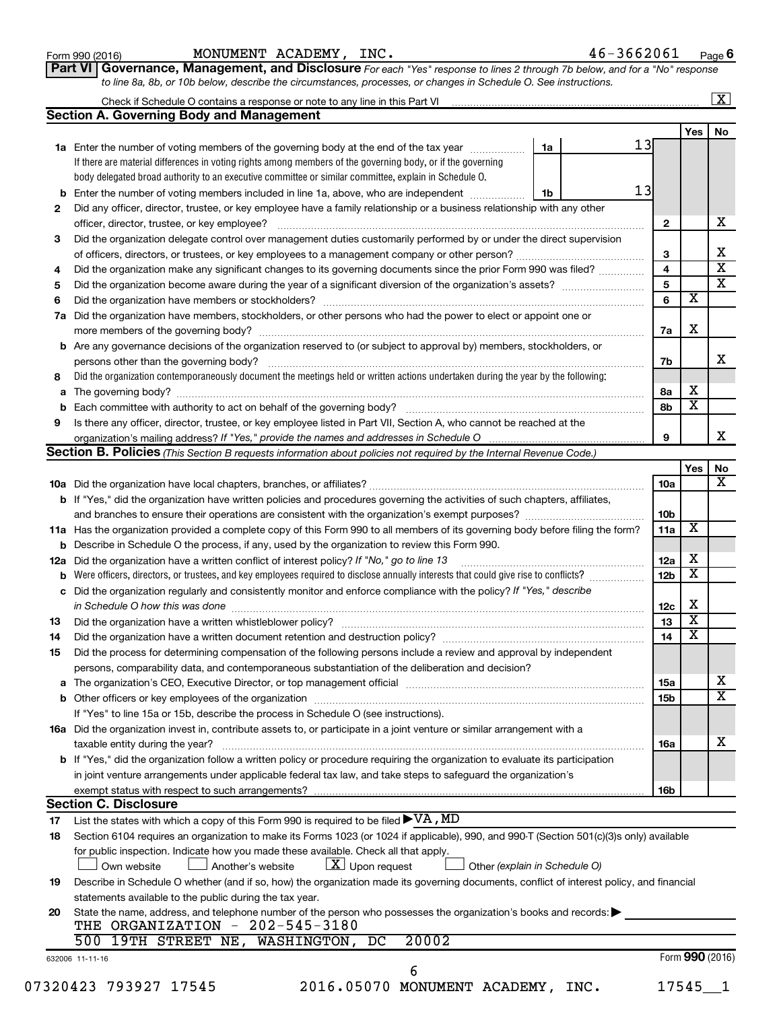| Form 990 (2016) |  |
|-----------------|--|
|-----------------|--|

Form 990 (2016) Page MONUMENT ACADEMY, INC. 46-3662061

**6**

| Part VI   Governance, Management, and Disclosure For each "Yes" response to lines 2 through 7b below, and for a "No" response |  |
|-------------------------------------------------------------------------------------------------------------------------------|--|
| to line 8a, 8b, or 10b below, describe the circumstances, processes, or changes in Schedule O. See instructions.              |  |

|     | Check if Schedule O contains a response or note to any line in this Part VI [11] [12] [12] [12] [12] [12] Check if Schedule O contains a response or note to any line in this Part VI |    |  |                         |                         |    |  |
|-----|---------------------------------------------------------------------------------------------------------------------------------------------------------------------------------------|----|--|-------------------------|-------------------------|----|--|
|     | <b>Section A. Governing Body and Management</b>                                                                                                                                       |    |  |                         | Yes                     | No |  |
|     | 1a Enter the number of voting members of the governing body at the end of the tax year                                                                                                | 1a |  | 13                      |                         |    |  |
|     | If there are material differences in voting rights among members of the governing body, or if the governing                                                                           |    |  |                         |                         |    |  |
|     | body delegated broad authority to an executive committee or similar committee, explain in Schedule O.                                                                                 |    |  |                         |                         |    |  |
|     |                                                                                                                                                                                       | 1b |  | 13                      |                         |    |  |
|     | <b>b</b> Enter the number of voting members included in line 1a, above, who are independent <i>manumum</i>                                                                            |    |  |                         |                         |    |  |
| 2   | Did any officer, director, trustee, or key employee have a family relationship or a business relationship with any other                                                              |    |  |                         |                         |    |  |
|     | officer, director, trustee, or key employee?                                                                                                                                          |    |  | $\mathbf{2}$            |                         |    |  |
| 3   | Did the organization delegate control over management duties customarily performed by or under the direct supervision                                                                 |    |  |                         |                         |    |  |
|     |                                                                                                                                                                                       |    |  | 3                       |                         |    |  |
| 4   | Did the organization make any significant changes to its governing documents since the prior Form 990 was filed?                                                                      |    |  | $\overline{4}$          |                         |    |  |
| 5   |                                                                                                                                                                                       |    |  | $\overline{\mathbf{5}}$ |                         |    |  |
| 6   |                                                                                                                                                                                       |    |  | 6                       | $\overline{\textbf{x}}$ |    |  |
| 7a  | Did the organization have members, stockholders, or other persons who had the power to elect or appoint one or                                                                        |    |  |                         |                         |    |  |
|     |                                                                                                                                                                                       |    |  | 7a                      | X                       |    |  |
|     | <b>b</b> Are any governance decisions of the organization reserved to (or subject to approval by) members, stockholders, or                                                           |    |  |                         |                         |    |  |
|     | persons other than the governing body?                                                                                                                                                |    |  | 7b                      |                         |    |  |
| 8   | Did the organization contemporaneously document the meetings held or written actions undertaken during the year by the following:                                                     |    |  |                         |                         |    |  |
|     |                                                                                                                                                                                       |    |  | 8а                      | х                       |    |  |
|     |                                                                                                                                                                                       |    |  | 8b                      | $\overline{\texttt{x}}$ |    |  |
| 9   | Is there any officer, director, trustee, or key employee listed in Part VII, Section A, who cannot be reached at the                                                                  |    |  |                         |                         |    |  |
|     |                                                                                                                                                                                       |    |  | 9                       |                         |    |  |
|     | Section B. Policies (This Section B requests information about policies not required by the Internal Revenue Code.)                                                                   |    |  |                         |                         |    |  |
|     |                                                                                                                                                                                       |    |  |                         | Yes                     |    |  |
|     |                                                                                                                                                                                       |    |  | 10a                     |                         |    |  |
|     | b If "Yes," did the organization have written policies and procedures governing the activities of such chapters, affiliates,                                                          |    |  |                         |                         |    |  |
|     | and branches to ensure their operations are consistent with the organization's exempt purposes?                                                                                       |    |  | 10b                     |                         |    |  |
|     | 11a Has the organization provided a complete copy of this Form 990 to all members of its governing body before filing the form?                                                       |    |  | 11a                     | $\overline{\mathbf{X}}$ |    |  |
|     | <b>b</b> Describe in Schedule O the process, if any, used by the organization to review this Form 990.                                                                                |    |  |                         |                         |    |  |
| 12a | Did the organization have a written conflict of interest policy? If "No," go to line 13                                                                                               |    |  | 12a                     | х                       |    |  |
|     | Were officers, directors, or trustees, and key employees required to disclose annually interests that could give rise to conflicts? [                                                 |    |  | 12 <sub>b</sub>         | $\overline{\textbf{x}}$ |    |  |
|     | c Did the organization regularly and consistently monitor and enforce compliance with the policy? If "Yes," describe                                                                  |    |  |                         |                         |    |  |
|     | in Schedule O how this was done manufactured and continuum and contact the way to have a set of the state of t                                                                        |    |  | 12c                     | х                       |    |  |
| 13  |                                                                                                                                                                                       |    |  | 13                      | $\overline{\textbf{x}}$ |    |  |
|     | Did the organization have a written document retention and destruction policy? [11] manufaction manufaction in                                                                        |    |  | 14                      | $\overline{\text{x}}$   |    |  |
| 14  |                                                                                                                                                                                       |    |  |                         |                         |    |  |
| 15  | Did the process for determining compensation of the following persons include a review and approval by independent                                                                    |    |  |                         |                         |    |  |
|     | persons, comparability data, and contemporaneous substantiation of the deliberation and decision?                                                                                     |    |  |                         |                         |    |  |
|     |                                                                                                                                                                                       |    |  | 15a                     |                         |    |  |
|     |                                                                                                                                                                                       |    |  | 15b                     |                         |    |  |
|     | If "Yes" to line 15a or 15b, describe the process in Schedule O (see instructions).                                                                                                   |    |  |                         |                         |    |  |
|     | 16a Did the organization invest in, contribute assets to, or participate in a joint venture or similar arrangement with a                                                             |    |  |                         |                         |    |  |
|     | taxable entity during the year?                                                                                                                                                       |    |  | 16a                     |                         |    |  |
|     | <b>b</b> If "Yes," did the organization follow a written policy or procedure requiring the organization to evaluate its participation                                                 |    |  |                         |                         |    |  |
|     | in joint venture arrangements under applicable federal tax law, and take steps to safeguard the organization's                                                                        |    |  |                         |                         |    |  |
|     | exempt status with respect to such arrangements?                                                                                                                                      |    |  | 16b                     |                         |    |  |
|     | <b>Section C. Disclosure</b>                                                                                                                                                          |    |  |                         |                         |    |  |
| 17  |                                                                                                                                                                                       |    |  |                         |                         |    |  |
| 18  | Section 6104 requires an organization to make its Forms 1023 (or 1024 if applicable), 990, and 990-T (Section 501(c)(3)s only) available                                              |    |  |                         |                         |    |  |
|     | for public inspection. Indicate how you made these available. Check all that apply.                                                                                                   |    |  |                         |                         |    |  |
|     | $X$ Upon request<br>Own website<br>Another's website<br>Other (explain in Schedule O)                                                                                                 |    |  |                         |                         |    |  |
| 19  | Describe in Schedule O whether (and if so, how) the organization made its governing documents, conflict of interest policy, and financial                                             |    |  |                         |                         |    |  |
|     | statements available to the public during the tax year.                                                                                                                               |    |  |                         |                         |    |  |
| 20  | State the name, address, and telephone number of the person who possesses the organization's books and records:                                                                       |    |  |                         |                         |    |  |
|     | THE ORGANIZATION - 202-545-3180                                                                                                                                                       |    |  |                         |                         |    |  |
|     | 500 19TH STREET NE, WASHINGTON, DC<br>20002                                                                                                                                           |    |  |                         |                         |    |  |
|     | 632006 11-11-16                                                                                                                                                                       |    |  |                         | Form 990 (2016)         |    |  |
|     | 6                                                                                                                                                                                     |    |  |                         |                         |    |  |
|     |                                                                                                                                                                                       |    |  |                         |                         |    |  |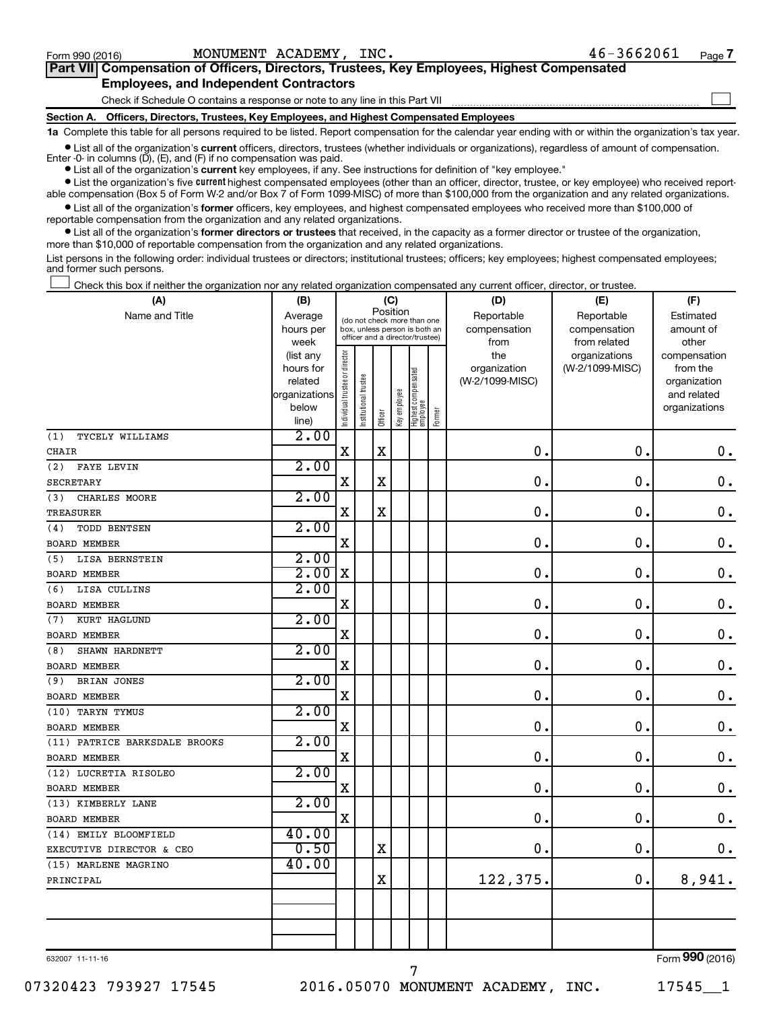$\Box$ 

| Part VII Compensation of Officers, Directors, Trustees, Key Employees, Highest Compensated |
|--------------------------------------------------------------------------------------------|
| <b>Employees, and Independent Contractors</b>                                              |

Check if Schedule O contains a response or note to any line in this Part VII

**Section A. Officers, Directors, Trustees, Key Employees, and Highest Compensated Employees**

**1a**  Complete this table for all persons required to be listed. Report compensation for the calendar year ending with or within the organization's tax year.

**•** List all of the organization's current officers, directors, trustees (whether individuals or organizations), regardless of amount of compensation. Enter -0- in columns  $(D)$ ,  $(E)$ , and  $(F)$  if no compensation was paid.

**•** List all of the organization's **current** key employees, if any. See instructions for definition of "key employee."

**•** List the organization's five current highest compensated employees (other than an officer, director, trustee, or key employee) who received reportable compensation (Box 5 of Form W-2 and/or Box 7 of Form 1099-MISC) of more than \$100,000 from the organization and any related organizations.

**•** List all of the organization's former officers, key employees, and highest compensated employees who received more than \$100,000 of reportable compensation from the organization and any related organizations.

**•** List all of the organization's former directors or trustees that received, in the capacity as a former director or trustee of the organization, more than \$10,000 of reportable compensation from the organization and any related organizations.

List persons in the following order: individual trustees or directors; institutional trustees; officers; key employees; highest compensated employees; and former such persons.

Check this box if neither the organization nor any related organization compensated any current officer, director, or trustee.  $\Box$ 

| (A)                           | (B)                    | (C)                           |                                                                  |                                         |              |                                 |        | (D)                 | (E)                              | (F)                      |
|-------------------------------|------------------------|-------------------------------|------------------------------------------------------------------|-----------------------------------------|--------------|---------------------------------|--------|---------------------|----------------------------------|--------------------------|
| Name and Title                | Average                |                               |                                                                  | Position<br>(do not check more than one |              |                                 |        | Reportable          | Reportable                       | Estimated                |
|                               | hours per              |                               | box, unless person is both an<br>officer and a director/trustee) |                                         |              |                                 |        | compensation        | compensation                     | amount of                |
|                               | week                   |                               |                                                                  |                                         |              |                                 |        | from                | from related                     | other                    |
|                               | (list any<br>hours for |                               |                                                                  |                                         |              |                                 |        | the<br>organization | organizations<br>(W-2/1099-MISC) | compensation<br>from the |
|                               | related                |                               |                                                                  |                                         |              |                                 |        | (W-2/1099-MISC)     |                                  | organization             |
|                               | organizations          |                               |                                                                  |                                         |              |                                 |        |                     |                                  | and related              |
|                               | below                  | ndividual trustee or director | Institutional trustee                                            |                                         | Key employee | Highest compensated<br>employee |        |                     |                                  | organizations            |
|                               | line)                  |                               |                                                                  | Officer                                 |              |                                 | Former |                     |                                  |                          |
| TYCELY WILLIAMS<br>(1)        | 2.00                   |                               |                                                                  |                                         |              |                                 |        |                     |                                  |                          |
| CHAIR                         |                        | $\rm X$                       |                                                                  | $\mathbf X$                             |              |                                 |        | $\mathbf 0$         | $\mathbf 0$ .                    | $\mathbf 0$ .            |
| (2)<br>FAYE LEVIN             | 2.00                   |                               |                                                                  |                                         |              |                                 |        |                     |                                  |                          |
| SECRETARY                     |                        | $\mathbf X$                   |                                                                  | X                                       |              |                                 |        | 0                   | $\mathbf 0$ .                    | 0.                       |
| CHARLES MOORE<br>(3)          | 2.00                   |                               |                                                                  |                                         |              |                                 |        |                     |                                  |                          |
| <b>TREASURER</b>              |                        | X                             |                                                                  | $\rm X$                                 |              |                                 |        | $\mathbf 0$         | $\mathbf 0$ .                    | $\mathbf 0$ .            |
| TODD BENTSEN<br>(4)           | 2.00                   |                               |                                                                  |                                         |              |                                 |        |                     |                                  |                          |
| <b>BOARD MEMBER</b>           |                        | $\mathbf X$                   |                                                                  |                                         |              |                                 |        | 0.                  | $\mathbf 0$ .                    | $\mathbf 0$ .            |
| LISA BERNSTEIN<br>(5)         | 2.00                   |                               |                                                                  |                                         |              |                                 |        |                     |                                  |                          |
| <b>BOARD MEMBER</b>           | 2.00                   | X                             |                                                                  |                                         |              |                                 |        | $\mathbf 0$ .       | $\mathbf 0$ .                    | $\mathbf 0$ .            |
| LISA CULLINS<br>(6)           | 2.00                   |                               |                                                                  |                                         |              |                                 |        |                     |                                  |                          |
| <b>BOARD MEMBER</b>           |                        | $\mathbf X$                   |                                                                  |                                         |              |                                 |        | $\mathbf 0$         | $\mathbf 0$ .                    | $\mathbf 0$ .            |
| KURT HAGLUND<br>(7)           | 2.00                   |                               |                                                                  |                                         |              |                                 |        |                     |                                  |                          |
| <b>BOARD MEMBER</b>           |                        | $\mathbf X$                   |                                                                  |                                         |              |                                 |        | $\mathbf 0$ .       | $\mathbf 0$ .                    | $\mathbf 0$ .            |
| SHAWN HARDNETT<br>(8)         | 2.00                   |                               |                                                                  |                                         |              |                                 |        |                     |                                  |                          |
| <b>BOARD MEMBER</b>           |                        | $\rm X$                       |                                                                  |                                         |              |                                 |        | $\mathbf 0$ .       | $\mathbf 0$ .                    | $\mathbf 0$ .            |
| BRIAN JONES<br>(9)            | 2.00                   |                               |                                                                  |                                         |              |                                 |        |                     |                                  |                          |
| <b>BOARD MEMBER</b>           |                        | $\rm X$                       |                                                                  |                                         |              |                                 |        | 0.                  | $\mathbf 0$ .                    | $\mathbf 0$ .            |
| (10) TARYN TYMUS              | 2.00                   |                               |                                                                  |                                         |              |                                 |        |                     |                                  |                          |
| <b>BOARD MEMBER</b>           |                        | X                             |                                                                  |                                         |              |                                 |        | $\mathbf 0$ .       | $\mathbf 0$ .                    | $\mathbf 0$ .            |
| (11) PATRICE BARKSDALE BROOKS | 2.00                   |                               |                                                                  |                                         |              |                                 |        |                     |                                  |                          |
| <b>BOARD MEMBER</b>           |                        | $\mathbf X$                   |                                                                  |                                         |              |                                 |        | $\mathbf 0$ .       | $\mathbf 0$ .                    | $\mathbf 0$ .            |
| (12) LUCRETIA RISOLEO         | 2.00                   |                               |                                                                  |                                         |              |                                 |        |                     |                                  |                          |
| BOARD MEMBER                  |                        | X                             |                                                                  |                                         |              |                                 |        | 0.                  | $\mathbf 0$ .                    | $\mathbf 0$ .            |
| (13) KIMBERLY LANE            | 2.00                   |                               |                                                                  |                                         |              |                                 |        |                     |                                  |                          |
| BOARD MEMBER                  |                        | $\mathbf X$                   |                                                                  |                                         |              |                                 |        | 0.                  | $\mathbf 0$ .                    | $\mathbf 0$ .            |
| (14) EMILY BLOOMFIELD         | 40.00                  |                               |                                                                  |                                         |              |                                 |        |                     |                                  |                          |
| EXECUTIVE DIRECTOR & CEO      | 0.50                   |                               |                                                                  | $\mathbf X$                             |              |                                 |        | 0.                  | $\mathbf 0$ .                    | 0.                       |
| (15) MARLENE MAGRINO          | 40.00                  |                               |                                                                  |                                         |              |                                 |        |                     |                                  |                          |
| PRINCIPAL                     |                        |                               |                                                                  | $\mathbf X$                             |              |                                 |        | 122,375.            | 0.                               | 8,941.                   |
|                               |                        |                               |                                                                  |                                         |              |                                 |        |                     |                                  |                          |
|                               |                        |                               |                                                                  |                                         |              |                                 |        |                     |                                  |                          |
|                               |                        |                               |                                                                  |                                         |              |                                 |        |                     |                                  |                          |
|                               |                        |                               |                                                                  |                                         |              |                                 |        |                     |                                  |                          |

632007 11-11-16

07320423 793927 17545 2016.05070 MONUMENT ACADEMY, INC. 17545 1

7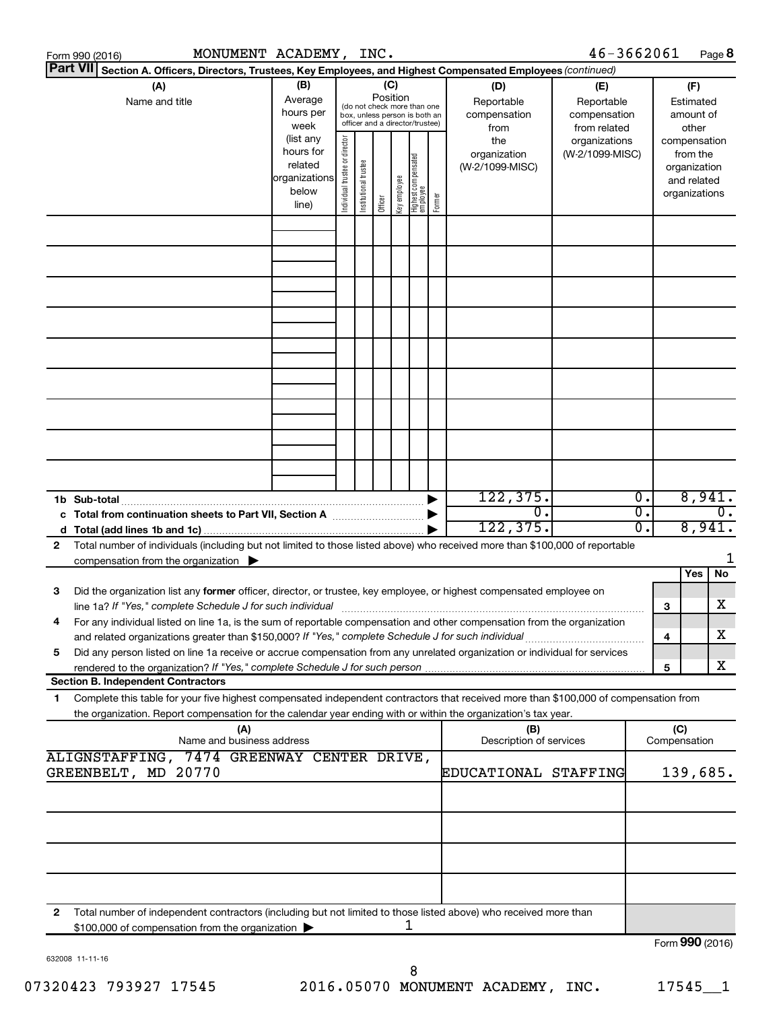|                                                                                                                 | MONUMENT ACADEMY, INC.<br>Form 990 (2016)                                                                                                                                                |                                                                      |                                |                       |                 |              |                                                                                                 |        |                                                 | 46-3662061                                        |        |                  |                                                                          | Page 8 |
|-----------------------------------------------------------------------------------------------------------------|------------------------------------------------------------------------------------------------------------------------------------------------------------------------------------------|----------------------------------------------------------------------|--------------------------------|-----------------------|-----------------|--------------|-------------------------------------------------------------------------------------------------|--------|-------------------------------------------------|---------------------------------------------------|--------|------------------|--------------------------------------------------------------------------|--------|
| Part VII Section A. Officers, Directors, Trustees, Key Employees, and Highest Compensated Employees (continued) |                                                                                                                                                                                          |                                                                      |                                |                       |                 |              |                                                                                                 |        |                                                 |                                                   |        |                  |                                                                          |        |
|                                                                                                                 | (B)<br>(A)<br>Average<br>Name and title<br>hours per<br>week                                                                                                                             |                                                                      |                                |                       | (C)<br>Position |              | (do not check more than one<br>box, unless person is both an<br>officer and a director/trustee) |        | (D)<br>Reportable<br>compensation<br>from       | (E)<br>Reportable<br>compensation<br>from related |        |                  | (F)<br>Estimated<br>amount of<br>other                                   |        |
|                                                                                                                 |                                                                                                                                                                                          | (list any<br>hours for<br>related<br>organizations<br>below<br>line) | Individual trustee or director | Institutional trustee | Officer         | Key employee | Highest compensated<br>employee                                                                 | Former | the<br>organization<br>(W-2/1099-MISC)          | organizations<br>(W-2/1099-MISC)                  |        |                  | compensation<br>from the<br>organization<br>and related<br>organizations |        |
|                                                                                                                 |                                                                                                                                                                                          |                                                                      |                                |                       |                 |              |                                                                                                 |        |                                                 |                                                   |        |                  |                                                                          |        |
|                                                                                                                 |                                                                                                                                                                                          |                                                                      |                                |                       |                 |              |                                                                                                 |        |                                                 |                                                   |        |                  |                                                                          |        |
|                                                                                                                 |                                                                                                                                                                                          |                                                                      |                                |                       |                 |              |                                                                                                 |        |                                                 |                                                   |        |                  |                                                                          |        |
|                                                                                                                 |                                                                                                                                                                                          |                                                                      |                                |                       |                 |              |                                                                                                 |        |                                                 |                                                   |        |                  |                                                                          |        |
|                                                                                                                 |                                                                                                                                                                                          |                                                                      |                                |                       |                 |              |                                                                                                 |        |                                                 |                                                   |        |                  |                                                                          |        |
|                                                                                                                 |                                                                                                                                                                                          |                                                                      |                                |                       |                 |              |                                                                                                 |        |                                                 |                                                   |        |                  |                                                                          |        |
|                                                                                                                 |                                                                                                                                                                                          |                                                                      |                                |                       |                 |              |                                                                                                 |        |                                                 |                                                   |        |                  |                                                                          |        |
|                                                                                                                 |                                                                                                                                                                                          |                                                                      |                                |                       |                 |              |                                                                                                 |        |                                                 |                                                   |        |                  |                                                                          |        |
|                                                                                                                 |                                                                                                                                                                                          |                                                                      |                                |                       |                 |              |                                                                                                 |        |                                                 |                                                   |        |                  |                                                                          |        |
|                                                                                                                 | 1b Sub-total                                                                                                                                                                             |                                                                      |                                |                       |                 |              |                                                                                                 |        | 122, 375.                                       |                                                   | Ο.     |                  | 8,941.                                                                   |        |
|                                                                                                                 | $\overline{0}$ .<br>c Total from continuation sheets to Part VII, Section A manufactured by<br>122, 375.                                                                                 |                                                                      |                                |                       |                 |              |                                                                                                 |        | $\overline{\mathfrak{o}}$ .<br>$\overline{0}$ . |                                                   | 8,941. | $\overline{0}$ . |                                                                          |        |
| $\mathbf{2}$                                                                                                    | Total number of individuals (including but not limited to those listed above) who received more than \$100,000 of reportable<br>compensation from the organization $\blacktriangleright$ |                                                                      |                                |                       |                 |              |                                                                                                 |        |                                                 |                                                   |        |                  |                                                                          |        |
| з                                                                                                               | Did the organization list any former officer, director, or trustee, key employee, or highest compensated employee on                                                                     |                                                                      |                                |                       |                 |              |                                                                                                 |        |                                                 |                                                   |        |                  | Yes                                                                      | No     |
|                                                                                                                 | line 1a? If "Yes," complete Schedule J for such individual                                                                                                                               |                                                                      |                                |                       |                 |              |                                                                                                 |        |                                                 |                                                   |        | 3                |                                                                          | х      |
| 4                                                                                                               | For any individual listed on line 1a, is the sum of reportable compensation and other compensation from the organization                                                                 |                                                                      |                                |                       |                 |              |                                                                                                 |        |                                                 |                                                   |        | 4                |                                                                          | х      |
| 5                                                                                                               | Did any person listed on line 1a receive or accrue compensation from any unrelated organization or individual for services                                                               |                                                                      |                                |                       |                 |              |                                                                                                 |        |                                                 |                                                   |        | 5                |                                                                          | х      |
| 1                                                                                                               | <b>Section B. Independent Contractors</b><br>Complete this table for your five highest compensated independent contractors that received more than \$100,000 of compensation from        |                                                                      |                                |                       |                 |              |                                                                                                 |        |                                                 |                                                   |        |                  |                                                                          |        |
|                                                                                                                 | the organization. Report compensation for the calendar year ending with or within the organization's tax year.                                                                           |                                                                      |                                |                       |                 |              |                                                                                                 |        |                                                 |                                                   |        |                  |                                                                          |        |
| (A)<br>(B)<br>Name and business address<br>Description of services                                              |                                                                                                                                                                                          |                                                                      |                                |                       |                 |              |                                                                                                 |        | (C)                                             | Compensation                                      |        |                  |                                                                          |        |
| ALIGNSTAFFING, 7474 GREENWAY CENTER DRIVE,<br>GREENBELT, MD 20770<br>EDUCATIONAL STAFFING                       |                                                                                                                                                                                          |                                                                      |                                |                       |                 |              |                                                                                                 |        |                                                 | 139,685.                                          |        |                  |                                                                          |        |
|                                                                                                                 |                                                                                                                                                                                          |                                                                      |                                |                       |                 |              |                                                                                                 |        |                                                 |                                                   |        |                  |                                                                          |        |
|                                                                                                                 |                                                                                                                                                                                          |                                                                      |                                |                       |                 |              |                                                                                                 |        |                                                 |                                                   |        |                  |                                                                          |        |
|                                                                                                                 |                                                                                                                                                                                          |                                                                      |                                |                       |                 |              |                                                                                                 |        |                                                 |                                                   |        |                  |                                                                          |        |
|                                                                                                                 |                                                                                                                                                                                          |                                                                      |                                |                       |                 |              |                                                                                                 |        |                                                 |                                                   |        |                  |                                                                          |        |
| $\mathbf{2}$                                                                                                    | Total number of independent contractors (including but not limited to those listed above) who received more than<br>\$100,000 of compensation from the organization                      |                                                                      |                                |                       |                 |              | 1                                                                                               |        |                                                 |                                                   |        |                  |                                                                          |        |
|                                                                                                                 |                                                                                                                                                                                          |                                                                      |                                |                       |                 |              |                                                                                                 |        |                                                 |                                                   |        |                  | Form 990 (2016)                                                          |        |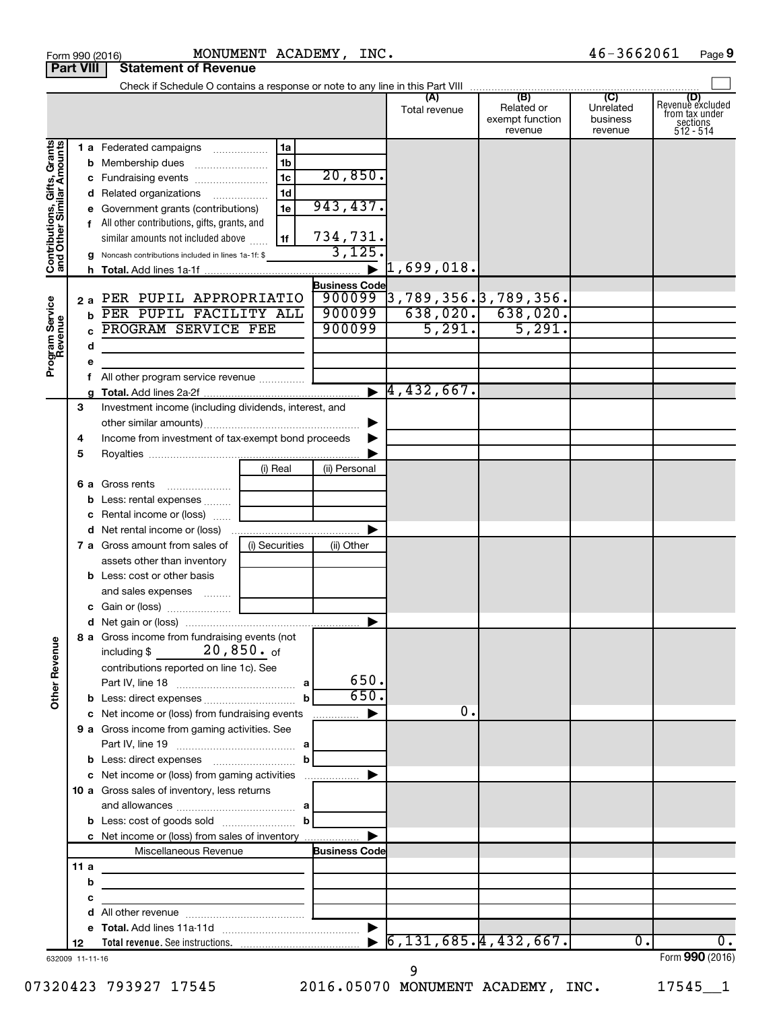| Form 990 (2016)              |      |   |                                                                                          |                | MONUMENT ACADEMY, INC. |                                       |                                                 | 46-3662061                              | Page 9                                                             |
|------------------------------|------|---|------------------------------------------------------------------------------------------|----------------|------------------------|---------------------------------------|-------------------------------------------------|-----------------------------------------|--------------------------------------------------------------------|
| <b>Part VIII</b>             |      |   | <b>Statement of Revenue</b>                                                              |                |                        |                                       |                                                 |                                         |                                                                    |
|                              |      |   |                                                                                          |                |                        |                                       |                                                 |                                         |                                                                    |
|                              |      |   |                                                                                          |                |                        | (A)<br>Total revenue                  | (B)<br>Related or<br>exempt function<br>revenue | (C)<br>Unrelated<br>business<br>revenue | (D)<br>Revenuè excluded<br>from tax under<br>sections<br>512 - 514 |
|                              |      |   | 1 a Federated campaigns                                                                  | 1a             |                        |                                       |                                                 |                                         |                                                                    |
| Contributions, Gifts, Grants |      |   | <b>b</b> Membership dues                                                                 | 1b             |                        |                                       |                                                 |                                         |                                                                    |
|                              |      |   | c Fundraising events                                                                     | 1 <sub>c</sub> | 20,850.                |                                       |                                                 |                                         |                                                                    |
|                              |      |   | d Related organizations                                                                  | 1d             |                        |                                       |                                                 |                                         |                                                                    |
|                              |      |   | e Government grants (contributions)                                                      | 1e             | 943,437.               |                                       |                                                 |                                         |                                                                    |
|                              |      |   | f All other contributions, gifts, grants, and                                            |                |                        |                                       |                                                 |                                         |                                                                    |
|                              |      |   | similar amounts not included above                                                       | 1f             | 734,731.               |                                       |                                                 |                                         |                                                                    |
|                              |      |   | g Noncash contributions included in lines 1a-1f: \$                                      |                | 3,125.                 |                                       |                                                 |                                         |                                                                    |
|                              |      |   |                                                                                          |                |                        | $\blacktriangleright$ 1,699,018.      |                                                 |                                         |                                                                    |
|                              |      |   |                                                                                          |                | <b>Business Code</b>   |                                       |                                                 |                                         |                                                                    |
|                              | 2 a  |   | PER PUPIL APPROPRIATIO                                                                   |                |                        | $900099$ 3, 789, 356. 3, 789, 356.    |                                                 |                                         |                                                                    |
|                              |      |   | PER PUPIL FACILITY ALL                                                                   |                | 900099                 |                                       | $638,020.$ 638,020.                             |                                         |                                                                    |
|                              |      |   | PROGRAM SERVICE FEE                                                                      |                | 900099                 | 5,291.                                | 5,291.                                          |                                         |                                                                    |
| Program Service<br>Revenue   |      | d |                                                                                          |                |                        |                                       |                                                 |                                         |                                                                    |
|                              |      | е |                                                                                          |                |                        |                                       |                                                 |                                         |                                                                    |
|                              |      |   | f All other program service revenue                                                      |                |                        |                                       |                                                 |                                         |                                                                    |
|                              |      |   |                                                                                          |                |                        | $\blacktriangleright$ 4,432,667.      |                                                 |                                         |                                                                    |
|                              | 3    |   | Investment income (including dividends, interest, and                                    |                |                        |                                       |                                                 |                                         |                                                                    |
|                              |      |   |                                                                                          |                | ▶                      |                                       |                                                 |                                         |                                                                    |
|                              | 4    |   | Income from investment of tax-exempt bond proceeds                                       |                | ▶                      |                                       |                                                 |                                         |                                                                    |
|                              | 5    |   |                                                                                          |                |                        |                                       |                                                 |                                         |                                                                    |
|                              |      |   |                                                                                          | (i) Real       | (ii) Personal          |                                       |                                                 |                                         |                                                                    |
|                              |      |   | 6 a Gross rents                                                                          |                |                        |                                       |                                                 |                                         |                                                                    |
|                              |      |   | <b>b</b> Less: rental expenses                                                           |                |                        |                                       |                                                 |                                         |                                                                    |
|                              |      |   | c Rental income or (loss)                                                                |                |                        |                                       |                                                 |                                         |                                                                    |
|                              |      |   |                                                                                          |                |                        |                                       |                                                 |                                         |                                                                    |
|                              |      |   | 7 a Gross amount from sales of                                                           | (i) Securities | (ii) Other             |                                       |                                                 |                                         |                                                                    |
|                              |      |   | assets other than inventory                                                              |                |                        |                                       |                                                 |                                         |                                                                    |
|                              |      |   | <b>b</b> Less: cost or other basis                                                       |                |                        |                                       |                                                 |                                         |                                                                    |
|                              |      |   | and sales expenses                                                                       |                |                        |                                       |                                                 |                                         |                                                                    |
|                              |      |   | c Gain or (loss)                                                                         |                |                        |                                       |                                                 |                                         |                                                                    |
|                              |      |   |                                                                                          |                |                        |                                       |                                                 |                                         |                                                                    |
| Other Revenue                |      |   | 8 a Gross income from fundraising events (not<br>$20$ , $850$ $\cdot$ of<br>including \$ |                |                        |                                       |                                                 |                                         |                                                                    |
|                              |      |   | contributions reported on line 1c). See                                                  |                |                        |                                       |                                                 |                                         |                                                                    |
|                              |      |   |                                                                                          |                | 650.                   |                                       |                                                 |                                         |                                                                    |
|                              |      |   |                                                                                          | b              | 650.                   |                                       |                                                 |                                         |                                                                    |
|                              |      |   | c Net income or (loss) from fundraising events                                           |                | ▶                      | 0.                                    |                                                 |                                         |                                                                    |
|                              |      |   | 9 a Gross income from gaming activities. See                                             |                |                        |                                       |                                                 |                                         |                                                                    |
|                              |      |   |                                                                                          |                |                        |                                       |                                                 |                                         |                                                                    |
|                              |      |   |                                                                                          |                |                        |                                       |                                                 |                                         |                                                                    |
|                              |      |   |                                                                                          |                |                        |                                       |                                                 |                                         |                                                                    |
|                              |      |   | <b>10 a</b> Gross sales of inventory, less returns                                       |                |                        |                                       |                                                 |                                         |                                                                    |
|                              |      |   |                                                                                          |                |                        |                                       |                                                 |                                         |                                                                    |
|                              |      |   |                                                                                          | $\mathbf b$    |                        |                                       |                                                 |                                         |                                                                    |
|                              |      |   | c Net income or (loss) from sales of inventory                                           |                |                        |                                       |                                                 |                                         |                                                                    |
|                              |      |   | Miscellaneous Revenue                                                                    |                | <b>Business Code</b>   |                                       |                                                 |                                         |                                                                    |
|                              | 11 a |   | the control of the control of the control of the control of the control of               |                |                        |                                       |                                                 |                                         |                                                                    |
|                              |      | b |                                                                                          |                |                        |                                       |                                                 |                                         |                                                                    |
|                              |      | с |                                                                                          |                |                        |                                       |                                                 |                                         |                                                                    |
|                              |      |   |                                                                                          |                | $\blacktriangleright$  |                                       |                                                 |                                         |                                                                    |
|                              | 12   |   |                                                                                          |                |                        | $\triangleright$ 6,131,685.4,432,667. |                                                 | $\overline{0}$ .                        | 0.                                                                 |
| 632009 11-11-16              |      |   |                                                                                          |                |                        |                                       |                                                 |                                         | Form 990 (2016)                                                    |

9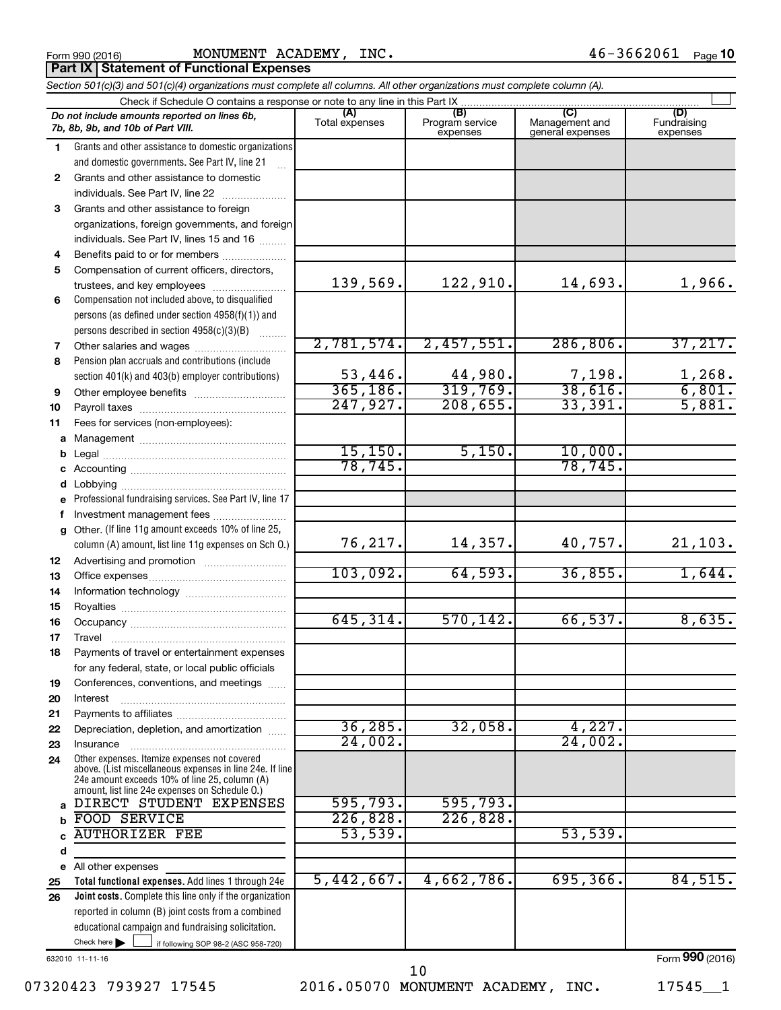| Form 990 (2016) |  |
|-----------------|--|
|-----------------|--|

Form 990 (2016) MONUMENT ACADEMY , INC .  $46-3662061$  Page

**Part IX | Statement of Functional Expenses** 

|    | Section 501(c)(3) and 501(c)(4) organizations must complete all columns. All other organizations must complete column (A).                                                                                  |                          |                                    |                                           |                                |  |  |  |  |  |
|----|-------------------------------------------------------------------------------------------------------------------------------------------------------------------------------------------------------------|--------------------------|------------------------------------|-------------------------------------------|--------------------------------|--|--|--|--|--|
|    | Check if Schedule O contains a response or note to any line in this Part IX                                                                                                                                 |                          |                                    |                                           |                                |  |  |  |  |  |
|    | Do not include amounts reported on lines 6b,<br>7b, 8b, 9b, and 10b of Part VIII.                                                                                                                           | (A)<br>Total expenses    | (B)<br>Program service<br>expenses | (C)<br>Management and<br>general expenses | (D)<br>Fundraising<br>expenses |  |  |  |  |  |
| 1. | Grants and other assistance to domestic organizations                                                                                                                                                       |                          |                                    |                                           |                                |  |  |  |  |  |
|    | and domestic governments. See Part IV, line 21                                                                                                                                                              |                          |                                    |                                           |                                |  |  |  |  |  |
| 2  | Grants and other assistance to domestic                                                                                                                                                                     |                          |                                    |                                           |                                |  |  |  |  |  |
|    | individuals. See Part IV, line 22                                                                                                                                                                           |                          |                                    |                                           |                                |  |  |  |  |  |
| 3  | Grants and other assistance to foreign                                                                                                                                                                      |                          |                                    |                                           |                                |  |  |  |  |  |
|    | organizations, foreign governments, and foreign                                                                                                                                                             |                          |                                    |                                           |                                |  |  |  |  |  |
|    | individuals. See Part IV, lines 15 and 16                                                                                                                                                                   |                          |                                    |                                           |                                |  |  |  |  |  |
| 4  | Benefits paid to or for members                                                                                                                                                                             |                          |                                    |                                           |                                |  |  |  |  |  |
| 5  | Compensation of current officers, directors,                                                                                                                                                                |                          |                                    |                                           |                                |  |  |  |  |  |
|    | trustees, and key employees                                                                                                                                                                                 | 139,569.                 | 122,910.                           | 14,693.                                   | 1,966.                         |  |  |  |  |  |
| 6  | Compensation not included above, to disqualified                                                                                                                                                            |                          |                                    |                                           |                                |  |  |  |  |  |
|    | persons (as defined under section 4958(f)(1)) and                                                                                                                                                           |                          |                                    |                                           |                                |  |  |  |  |  |
|    | persons described in section 4958(c)(3)(B)                                                                                                                                                                  |                          |                                    |                                           |                                |  |  |  |  |  |
| 7  | Other salaries and wages                                                                                                                                                                                    | 2,781,574.               | 2,457,551.                         | 286, 806.                                 | 37,217.                        |  |  |  |  |  |
| 8  | Pension plan accruals and contributions (include                                                                                                                                                            |                          |                                    |                                           |                                |  |  |  |  |  |
|    | section 401(k) and 403(b) employer contributions)                                                                                                                                                           | $\frac{53,446}{365,186}$ | 44,980.                            | $\frac{7,198}{38,616}$                    | $\frac{1,268}{6,801}$ .        |  |  |  |  |  |
| 9  | Other employee benefits                                                                                                                                                                                     |                          | 319,769.                           |                                           |                                |  |  |  |  |  |
| 10 |                                                                                                                                                                                                             | 247,927.                 | 208, 655.                          | 33,391.                                   | 5,881.                         |  |  |  |  |  |
| 11 | Fees for services (non-employees):                                                                                                                                                                          |                          |                                    |                                           |                                |  |  |  |  |  |
| a  |                                                                                                                                                                                                             | 15, 150.                 | 5,150.                             | 10,000.                                   |                                |  |  |  |  |  |
| b  |                                                                                                                                                                                                             | 78, 745.                 |                                    | 78, 745.                                  |                                |  |  |  |  |  |
|    |                                                                                                                                                                                                             |                          |                                    |                                           |                                |  |  |  |  |  |
| d  |                                                                                                                                                                                                             |                          |                                    |                                           |                                |  |  |  |  |  |
|    | Professional fundraising services. See Part IV, line 17                                                                                                                                                     |                          |                                    |                                           |                                |  |  |  |  |  |
| f  | Investment management fees<br>Other. (If line 11g amount exceeds 10% of line 25,                                                                                                                            |                          |                                    |                                           |                                |  |  |  |  |  |
| g  | column (A) amount, list line 11g expenses on Sch O.)                                                                                                                                                        | 76,217.                  | 14,357.                            | 40,757.                                   | 21,103.                        |  |  |  |  |  |
| 12 |                                                                                                                                                                                                             |                          |                                    |                                           |                                |  |  |  |  |  |
| 13 |                                                                                                                                                                                                             | 103,092.                 | 64,593.                            | 36,855.                                   | 1,644.                         |  |  |  |  |  |
| 14 |                                                                                                                                                                                                             |                          |                                    |                                           |                                |  |  |  |  |  |
| 15 |                                                                                                                                                                                                             | 645, 314.                | 570, 142.                          | 66,537.                                   | 8,635.                         |  |  |  |  |  |
| 16 |                                                                                                                                                                                                             |                          |                                    |                                           |                                |  |  |  |  |  |
| 17 | Payments of travel or entertainment expenses                                                                                                                                                                |                          |                                    |                                           |                                |  |  |  |  |  |
| 18 |                                                                                                                                                                                                             |                          |                                    |                                           |                                |  |  |  |  |  |
| 19 | for any federal, state, or local public officials<br>Conferences, conventions, and meetings                                                                                                                 |                          |                                    |                                           |                                |  |  |  |  |  |
| 20 | Interest                                                                                                                                                                                                    |                          |                                    |                                           |                                |  |  |  |  |  |
| 21 |                                                                                                                                                                                                             |                          |                                    |                                           |                                |  |  |  |  |  |
| 22 | Depreciation, depletion, and amortization                                                                                                                                                                   | 36, 285.                 | 32,058.                            | 4,227.                                    |                                |  |  |  |  |  |
| 23 | Insurance                                                                                                                                                                                                   | 24,002.                  |                                    | 24,002.                                   |                                |  |  |  |  |  |
| 24 | Other expenses. Itemize expenses not covered<br>above. (List miscellaneous expenses in line 24e. If line<br>24e amount exceeds 10% of line 25, column (A)<br>amount, list line 24e expenses on Schedule O.) |                          |                                    |                                           |                                |  |  |  |  |  |
| a  | DIRECT STUDENT EXPENSES                                                                                                                                                                                     | 595,793.                 | 595,793.                           |                                           |                                |  |  |  |  |  |
| b  | FOOD SERVICE                                                                                                                                                                                                | 226,828.                 | 226,828                            |                                           |                                |  |  |  |  |  |
|    | <b>AUTHORIZER FEE</b>                                                                                                                                                                                       | 53,539.                  |                                    | 53,539.                                   |                                |  |  |  |  |  |
| d  |                                                                                                                                                                                                             |                          |                                    |                                           |                                |  |  |  |  |  |
|    | e All other expenses                                                                                                                                                                                        |                          |                                    |                                           |                                |  |  |  |  |  |
| 25 | Total functional expenses. Add lines 1 through 24e                                                                                                                                                          | 5,442,667.               | 4,662,786.                         | 695, 366.                                 | 84,515.                        |  |  |  |  |  |
| 26 | Joint costs. Complete this line only if the organization                                                                                                                                                    |                          |                                    |                                           |                                |  |  |  |  |  |
|    | reported in column (B) joint costs from a combined                                                                                                                                                          |                          |                                    |                                           |                                |  |  |  |  |  |
|    | educational campaign and fundraising solicitation.                                                                                                                                                          |                          |                                    |                                           |                                |  |  |  |  |  |
|    | Check here $\blacktriangleright$<br>if following SOP 98-2 (ASC 958-720)                                                                                                                                     |                          |                                    |                                           |                                |  |  |  |  |  |

632010 11-11-16

07320423 793927 17545 2016.05070 MONUMENT ACADEMY, INC. 17545\_1 10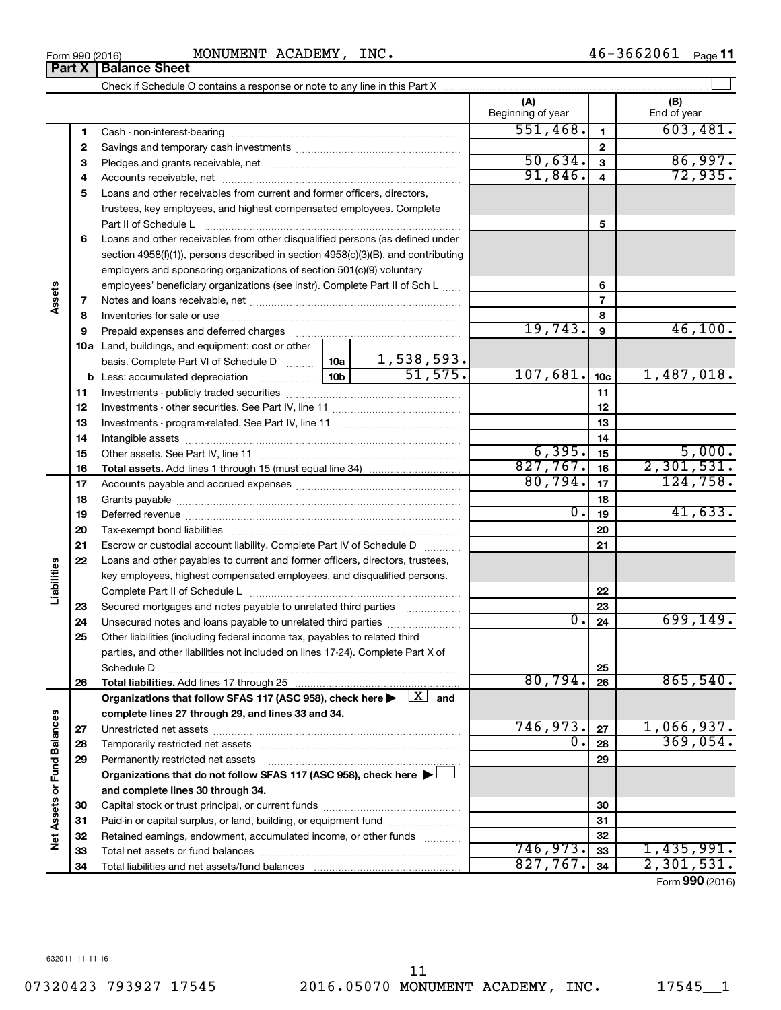Form 990 (2016) MONUMENT ACADEMY, INC.  $46-3662061$  Page

|                      | Part X       | <b>Balance Sheet</b>                                                                                                                                                 |         |                          |                 |                        |
|----------------------|--------------|----------------------------------------------------------------------------------------------------------------------------------------------------------------------|---------|--------------------------|-----------------|------------------------|
|                      |              |                                                                                                                                                                      |         |                          |                 |                        |
|                      |              |                                                                                                                                                                      |         | (A)<br>Beginning of year |                 | (B)<br>End of year     |
|                      | 1            |                                                                                                                                                                      |         | 551,468.                 | 1               | 603,481.               |
|                      | $\mathbf{2}$ |                                                                                                                                                                      |         |                          | $\mathbf{2}$    |                        |
|                      | з            |                                                                                                                                                                      |         | 50,634.                  | 3               | 86,997.                |
|                      | 4            |                                                                                                                                                                      |         | 91,846.                  | 4               | 72,935.                |
|                      | 5            | Loans and other receivables from current and former officers, directors,                                                                                             |         |                          |                 |                        |
|                      |              | trustees, key employees, and highest compensated employees. Complete                                                                                                 |         |                          |                 |                        |
|                      |              | Part II of Schedule L                                                                                                                                                |         |                          | 5               |                        |
|                      | 6            | Loans and other receivables from other disqualified persons (as defined under                                                                                        |         |                          |                 |                        |
|                      |              | section $4958(f)(1)$ , persons described in section $4958(c)(3)(B)$ , and contributing                                                                               |         |                          |                 |                        |
|                      |              | employers and sponsoring organizations of section 501(c)(9) voluntary                                                                                                |         |                          |                 |                        |
|                      |              | employees' beneficiary organizations (see instr). Complete Part II of Sch L                                                                                          |         |                          | 6               |                        |
| Assets               | 7            |                                                                                                                                                                      |         |                          | 7               |                        |
|                      | 8            |                                                                                                                                                                      |         |                          | 8               |                        |
|                      | 9            | Prepaid expenses and deferred charges [11] [11] [11] [12] [12] [12] [12] [13] [13] [13] [13] [13] [13] [13] [1                                                       |         | 19,743.                  | 9               | 46,100.                |
|                      |              | 10a Land, buildings, and equipment: cost or other                                                                                                                    |         |                          |                 |                        |
|                      |              | basis. Complete Part VI of Schedule D $\begin{array}{ c c c c c }\n\hline\n1,538,593. \\ \hline\n\text{Less: accumulated depreciation} & 10b & 51,575.\n\end{array}$ |         |                          |                 |                        |
|                      |              |                                                                                                                                                                      |         | 107,681.                 | 10 <sub>c</sub> | 1,487,018.             |
|                      | 11           |                                                                                                                                                                      |         |                          | 11              |                        |
|                      | 12           |                                                                                                                                                                      |         |                          | 12              |                        |
|                      | 13           |                                                                                                                                                                      |         |                          | 13              |                        |
|                      | 14           |                                                                                                                                                                      |         | 14                       |                 |                        |
|                      | 15           |                                                                                                                                                                      |         | 6, 395.                  | 15              | 5,000.                 |
|                      | 16           |                                                                                                                                                                      |         | 827,767.                 | 16              | 2,301,531.             |
|                      | 17           |                                                                                                                                                                      | 80,794. | 17                       | 124,758.        |                        |
|                      | 18           |                                                                                                                                                                      |         |                          | 18              |                        |
|                      | 19           |                                                                                                                                                                      |         | $\overline{0}$ .         | 19              | 41,633.                |
|                      | 20           |                                                                                                                                                                      |         |                          | 20              |                        |
|                      | 21           | Escrow or custodial account liability. Complete Part IV of Schedule D                                                                                                |         |                          | 21              |                        |
|                      | 22           | Loans and other payables to current and former officers, directors, trustees,                                                                                        |         |                          |                 |                        |
|                      |              | key employees, highest compensated employees, and disqualified persons.                                                                                              |         |                          |                 |                        |
| Liabilities          |              |                                                                                                                                                                      |         |                          | 22              |                        |
|                      | 23           | Secured mortgages and notes payable to unrelated third parties                                                                                                       |         |                          | 23              |                        |
|                      | 24           | Unsecured notes and loans payable to unrelated third parties                                                                                                         |         | 0.                       | 24              | 699, 149.              |
|                      | 25           | Other liabilities (including federal income tax, payables to related third                                                                                           |         |                          |                 |                        |
|                      |              | parties, and other liabilities not included on lines 17-24). Complete Part X of                                                                                      |         |                          |                 |                        |
|                      |              | Schedule D                                                                                                                                                           |         |                          | 25              |                        |
|                      | 26           | Total liabilities. Add lines 17 through 25                                                                                                                           |         | 80,794.                  | 26              | 865,540.               |
|                      |              | Organizations that follow SFAS 117 (ASC 958), check here $\blacktriangleright \begin{array}{c} \boxed{X} \\ \end{array}$ and                                         |         |                          |                 |                        |
|                      |              | complete lines 27 through 29, and lines 33 and 34.                                                                                                                   |         |                          |                 |                        |
|                      | 27           |                                                                                                                                                                      |         | 746,973.                 | 27              | 1,066,937.             |
| <b>Fund Balances</b> | 28           |                                                                                                                                                                      |         | $\overline{0}$ .         | 28              | 369,054.               |
|                      | 29           | Permanently restricted net assets                                                                                                                                    |         |                          | 29              |                        |
|                      |              | Organizations that do not follow SFAS 117 (ASC 958), check here >                                                                                                    |         |                          |                 |                        |
|                      |              | and complete lines 30 through 34.                                                                                                                                    |         |                          |                 |                        |
|                      | 30           |                                                                                                                                                                      |         |                          | 30              |                        |
|                      | 31           | Paid-in or capital surplus, or land, building, or equipment fund                                                                                                     |         |                          | 31              |                        |
| Net Assets or        | 32           | Retained earnings, endowment, accumulated income, or other funds                                                                                                     |         |                          | 32              |                        |
|                      | 33           |                                                                                                                                                                      |         | 746,973.                 | 33              | 1,435,991.             |
|                      | 34           |                                                                                                                                                                      |         | 827,767.                 | 34              | 2,301,531.<br>000(001) |

Form (2016) **990**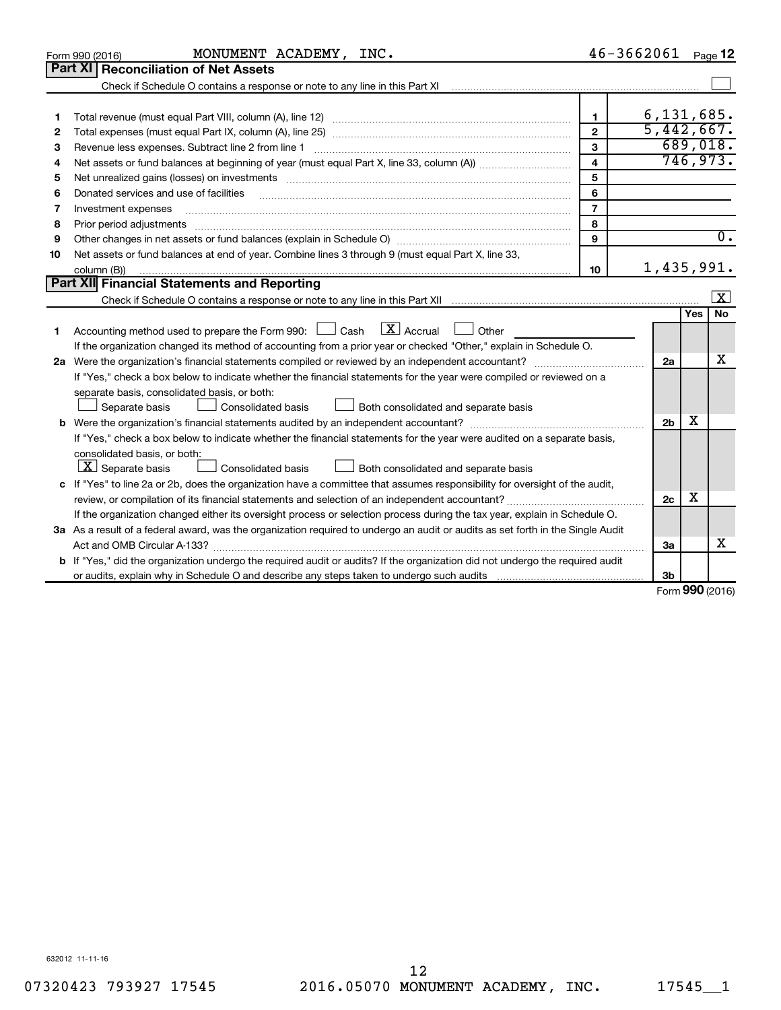|    | MONUMENT ACADEMY, INC.<br>Form 990 (2016)                                                                                                                                                                                      |                         | $46 - 3662061$ | Page 12                 |
|----|--------------------------------------------------------------------------------------------------------------------------------------------------------------------------------------------------------------------------------|-------------------------|----------------|-------------------------|
|    | Part XI   Reconciliation of Net Assets                                                                                                                                                                                         |                         |                |                         |
|    | Check if Schedule O contains a response or note to any line in this Part XI                                                                                                                                                    |                         |                |                         |
|    |                                                                                                                                                                                                                                |                         |                |                         |
| 1  |                                                                                                                                                                                                                                | 1                       |                | 6, 131, 685.            |
| 2  |                                                                                                                                                                                                                                | $\mathbf{2}$            |                | 5,442,667.              |
| З  | Revenue less expenses. Subtract line 2 from line 1                                                                                                                                                                             | 3                       |                | 689,018.                |
| 4  |                                                                                                                                                                                                                                | $\overline{\mathbf{4}}$ |                | 746,973.                |
| 5  | Net unrealized gains (losses) on investments [11] matter than the control of the control of the control of the control of the control of the control of the control of the control of the control of the control of the contro | 5                       |                |                         |
| 6  | Donated services and use of facilities                                                                                                                                                                                         | 6                       |                |                         |
| 7  | Investment expenses                                                                                                                                                                                                            | $\overline{7}$          |                |                         |
| 8  | Prior period adjustments                                                                                                                                                                                                       | 8                       |                |                         |
| 9  |                                                                                                                                                                                                                                | 9                       |                | $\overline{0}$ .        |
| 10 | Net assets or fund balances at end of year. Combine lines 3 through 9 (must equal Part X, line 33,                                                                                                                             |                         |                |                         |
|    | column (B))                                                                                                                                                                                                                    | 10                      |                | 1,435,991.              |
|    | <b>Part XII</b> Financial Statements and Reporting                                                                                                                                                                             |                         |                |                         |
|    |                                                                                                                                                                                                                                |                         |                | $\overline{\mathbf{X}}$ |
|    |                                                                                                                                                                                                                                |                         |                | <b>No</b><br>Yes        |
| 1  | $\mathbf{X}$ Accrual<br>Accounting method used to prepare the Form 990: [130] Cash<br>$\Box$ Other                                                                                                                             |                         |                |                         |
|    | If the organization changed its method of accounting from a prior year or checked "Other," explain in Schedule O.                                                                                                              |                         |                |                         |
|    | 2a Were the organization's financial statements compiled or reviewed by an independent accountant?                                                                                                                             |                         | 2a             | x                       |
|    | If "Yes," check a box below to indicate whether the financial statements for the year were compiled or reviewed on a                                                                                                           |                         |                |                         |
|    | separate basis, consolidated basis, or both:                                                                                                                                                                                   |                         |                |                         |
|    | Both consolidated and separate basis<br>Separate basis<br>Consolidated basis                                                                                                                                                   |                         |                |                         |
|    |                                                                                                                                                                                                                                |                         | 2 <sub>b</sub> | X                       |
|    | If "Yes," check a box below to indicate whether the financial statements for the year were audited on a separate basis,                                                                                                        |                         |                |                         |
|    | consolidated basis, or both:                                                                                                                                                                                                   |                         |                |                         |
|    | $ \mathbf{X} $ Separate basis<br>Consolidated basis<br>Both consolidated and separate basis                                                                                                                                    |                         |                |                         |
|    | c If "Yes" to line 2a or 2b, does the organization have a committee that assumes responsibility for oversight of the audit,                                                                                                    |                         |                |                         |
|    |                                                                                                                                                                                                                                |                         | 2c             | х                       |
|    | If the organization changed either its oversight process or selection process during the tax year, explain in Schedule O.                                                                                                      |                         |                |                         |
|    | 3a As a result of a federal award, was the organization required to undergo an audit or audits as set forth in the Single Audit                                                                                                |                         |                |                         |
|    |                                                                                                                                                                                                                                |                         | За             | X                       |
| b  | If "Yes," did the organization undergo the required audit or audits? If the organization did not undergo the required audit                                                                                                    |                         |                |                         |
|    |                                                                                                                                                                                                                                |                         | 3b             |                         |

Form (2016) **990**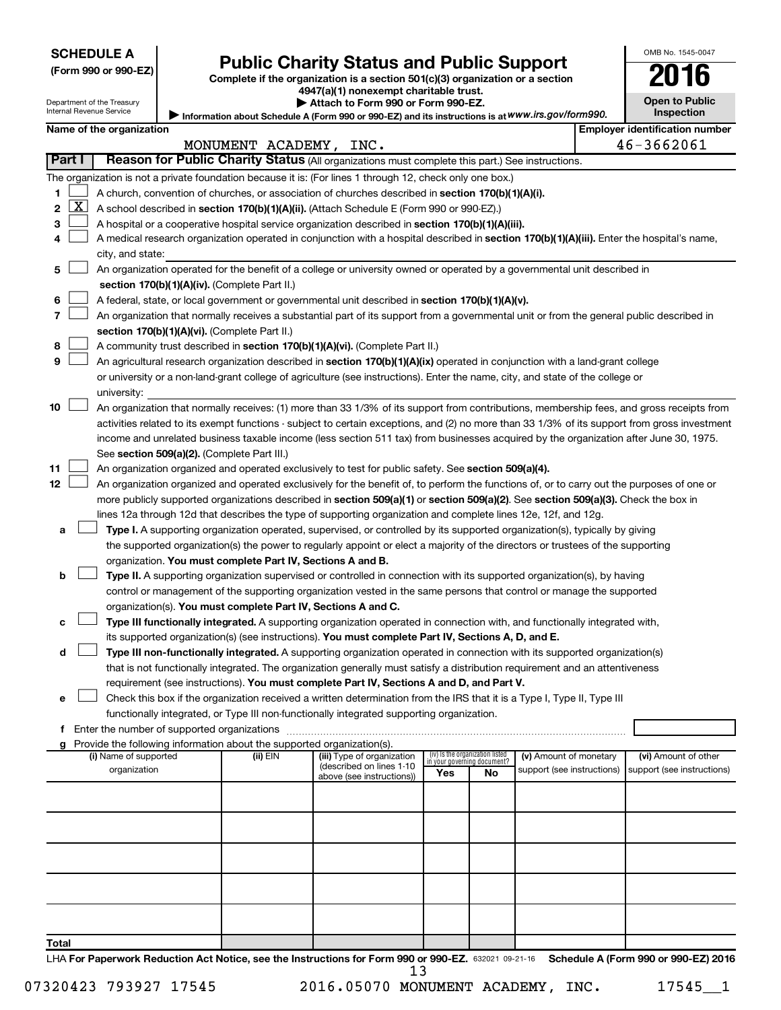| <b>SCHEDULE A</b> |  |
|-------------------|--|
|-------------------|--|

| (Form 990 or 990-EZ |  |  |  |  |
|---------------------|--|--|--|--|
|---------------------|--|--|--|--|

# Form 990 or 990-EZ) **Public Charity Status and Public Support**<br>
Complete if the organization is a section 501(c)(3) organization or a section<br> **2016**

**4947(a)(1) nonexempt charitable trust. | Attach to Form 990 or Form 990-EZ.** 

| LU IU                 |
|-----------------------|
| <b>Open to Public</b> |
| <b>Inspection</b>     |

OMB No. 1545-0047

Department of the Treasury Internal Revenue Service

| Name of the organization<br>Employer identification number<br>46-3662061<br>MONUMENT ACADEMY,<br>INC.<br><b>Part I</b><br>Reason for Public Charity Status (All organizations must complete this part.) See instructions. | Internal Revenue Service | <b>Inspection</b> |  |
|---------------------------------------------------------------------------------------------------------------------------------------------------------------------------------------------------------------------------|--------------------------|-------------------|--|
|                                                                                                                                                                                                                           |                          |                   |  |
|                                                                                                                                                                                                                           |                          |                   |  |
|                                                                                                                                                                                                                           |                          |                   |  |

|    | The organization is not a private foundation because it is: (For lines 1 through 12, check only one box.) |                                                                                                                                               |          |                                                        |                                 |    |                                                      |                            |  |  |
|----|-----------------------------------------------------------------------------------------------------------|-----------------------------------------------------------------------------------------------------------------------------------------------|----------|--------------------------------------------------------|---------------------------------|----|------------------------------------------------------|----------------------------|--|--|
| 1  |                                                                                                           | A church, convention of churches, or association of churches described in section 170(b)(1)(A)(i).                                            |          |                                                        |                                 |    |                                                      |                            |  |  |
| 2  | <u>X</u>                                                                                                  | A school described in section 170(b)(1)(A)(ii). (Attach Schedule E (Form 990 or 990-EZ).)                                                     |          |                                                        |                                 |    |                                                      |                            |  |  |
| 3  |                                                                                                           | A hospital or a cooperative hospital service organization described in section 170(b)(1)(A)(iii).                                             |          |                                                        |                                 |    |                                                      |                            |  |  |
| 4  |                                                                                                           | A medical research organization operated in conjunction with a hospital described in section 170(b)(1)(A)(iii). Enter the hospital's name,    |          |                                                        |                                 |    |                                                      |                            |  |  |
|    |                                                                                                           | city, and state:                                                                                                                              |          |                                                        |                                 |    |                                                      |                            |  |  |
| 5  |                                                                                                           | An organization operated for the benefit of a college or university owned or operated by a governmental unit described in                     |          |                                                        |                                 |    |                                                      |                            |  |  |
|    |                                                                                                           | section 170(b)(1)(A)(iv). (Complete Part II.)                                                                                                 |          |                                                        |                                 |    |                                                      |                            |  |  |
| 6  |                                                                                                           | A federal, state, or local government or governmental unit described in section 170(b)(1)(A)(v).                                              |          |                                                        |                                 |    |                                                      |                            |  |  |
| 7  |                                                                                                           | An organization that normally receives a substantial part of its support from a governmental unit or from the general public described in     |          |                                                        |                                 |    |                                                      |                            |  |  |
|    |                                                                                                           | section 170(b)(1)(A)(vi). (Complete Part II.)                                                                                                 |          |                                                        |                                 |    |                                                      |                            |  |  |
| 8  |                                                                                                           | A community trust described in section 170(b)(1)(A)(vi). (Complete Part II.)                                                                  |          |                                                        |                                 |    |                                                      |                            |  |  |
| 9  |                                                                                                           | An agricultural research organization described in section 170(b)(1)(A)(ix) operated in conjunction with a land-grant college                 |          |                                                        |                                 |    |                                                      |                            |  |  |
|    |                                                                                                           | or university or a non-land-grant college of agriculture (see instructions). Enter the name, city, and state of the college or                |          |                                                        |                                 |    |                                                      |                            |  |  |
|    |                                                                                                           | university:                                                                                                                                   |          |                                                        |                                 |    |                                                      |                            |  |  |
| 10 |                                                                                                           | An organization that normally receives: (1) more than 33 1/3% of its support from contributions, membership fees, and gross receipts from     |          |                                                        |                                 |    |                                                      |                            |  |  |
|    |                                                                                                           | activities related to its exempt functions - subject to certain exceptions, and (2) no more than 33 1/3% of its support from gross investment |          |                                                        |                                 |    |                                                      |                            |  |  |
|    |                                                                                                           | income and unrelated business taxable income (less section 511 tax) from businesses acquired by the organization after June 30, 1975.         |          |                                                        |                                 |    |                                                      |                            |  |  |
|    |                                                                                                           | See section 509(a)(2). (Complete Part III.)                                                                                                   |          |                                                        |                                 |    |                                                      |                            |  |  |
| 11 |                                                                                                           | An organization organized and operated exclusively to test for public safety. See section 509(a)(4).                                          |          |                                                        |                                 |    |                                                      |                            |  |  |
| 12 |                                                                                                           | An organization organized and operated exclusively for the benefit of, to perform the functions of, or to carry out the purposes of one or    |          |                                                        |                                 |    |                                                      |                            |  |  |
|    |                                                                                                           | more publicly supported organizations described in section 509(a)(1) or section 509(a)(2). See section 509(a)(3). Check the box in            |          |                                                        |                                 |    |                                                      |                            |  |  |
|    |                                                                                                           | lines 12a through 12d that describes the type of supporting organization and complete lines 12e, 12f, and 12g.                                |          |                                                        |                                 |    |                                                      |                            |  |  |
|    |                                                                                                           | Type I. A supporting organization operated, supervised, or controlled by its supported organization(s), typically by giving                   |          |                                                        |                                 |    |                                                      |                            |  |  |
| а  |                                                                                                           |                                                                                                                                               |          |                                                        |                                 |    |                                                      |                            |  |  |
|    |                                                                                                           | the supported organization(s) the power to regularly appoint or elect a majority of the directors or trustees of the supporting               |          |                                                        |                                 |    |                                                      |                            |  |  |
|    |                                                                                                           | organization. You must complete Part IV, Sections A and B.                                                                                    |          |                                                        |                                 |    |                                                      |                            |  |  |
| b  |                                                                                                           | Type II. A supporting organization supervised or controlled in connection with its supported organization(s), by having                       |          |                                                        |                                 |    |                                                      |                            |  |  |
|    |                                                                                                           | control or management of the supporting organization vested in the same persons that control or manage the supported                          |          |                                                        |                                 |    |                                                      |                            |  |  |
|    |                                                                                                           | organization(s). You must complete Part IV, Sections A and C.                                                                                 |          |                                                        |                                 |    |                                                      |                            |  |  |
| с  |                                                                                                           | Type III functionally integrated. A supporting organization operated in connection with, and functionally integrated with,                    |          |                                                        |                                 |    |                                                      |                            |  |  |
|    |                                                                                                           | its supported organization(s) (see instructions). You must complete Part IV, Sections A, D, and E.                                            |          |                                                        |                                 |    |                                                      |                            |  |  |
| d  |                                                                                                           | Type III non-functionally integrated. A supporting organization operated in connection with its supported organization(s)                     |          |                                                        |                                 |    |                                                      |                            |  |  |
|    |                                                                                                           | that is not functionally integrated. The organization generally must satisfy a distribution requirement and an attentiveness                  |          |                                                        |                                 |    |                                                      |                            |  |  |
|    |                                                                                                           | requirement (see instructions). You must complete Part IV, Sections A and D, and Part V.                                                      |          |                                                        |                                 |    |                                                      |                            |  |  |
| е  |                                                                                                           | Check this box if the organization received a written determination from the IRS that it is a Type I, Type II, Type III                       |          |                                                        |                                 |    |                                                      |                            |  |  |
|    |                                                                                                           | functionally integrated, or Type III non-functionally integrated supporting organization.                                                     |          |                                                        |                                 |    |                                                      |                            |  |  |
| f. |                                                                                                           |                                                                                                                                               |          |                                                        |                                 |    |                                                      |                            |  |  |
|    |                                                                                                           | Provide the following information about the supported organization(s).                                                                        |          |                                                        | (iv) Is the organization listed |    |                                                      |                            |  |  |
|    |                                                                                                           | (i) Name of supported                                                                                                                         | (ii) EIN | (iii) Type of organization<br>(described on lines 1-10 | in your governing document?     |    | (v) Amount of monetary<br>support (see instructions) | (vi) Amount of other       |  |  |
|    |                                                                                                           | organization                                                                                                                                  |          | above (see instructions))                              | Yes                             | No |                                                      | support (see instructions) |  |  |
|    |                                                                                                           |                                                                                                                                               |          |                                                        |                                 |    |                                                      |                            |  |  |
|    |                                                                                                           |                                                                                                                                               |          |                                                        |                                 |    |                                                      |                            |  |  |
|    |                                                                                                           |                                                                                                                                               |          |                                                        |                                 |    |                                                      |                            |  |  |
|    |                                                                                                           |                                                                                                                                               |          |                                                        |                                 |    |                                                      |                            |  |  |
|    |                                                                                                           |                                                                                                                                               |          |                                                        |                                 |    |                                                      |                            |  |  |
|    |                                                                                                           |                                                                                                                                               |          |                                                        |                                 |    |                                                      |                            |  |  |
|    |                                                                                                           |                                                                                                                                               |          |                                                        |                                 |    |                                                      |                            |  |  |
|    |                                                                                                           |                                                                                                                                               |          |                                                        |                                 |    |                                                      |                            |  |  |
|    |                                                                                                           |                                                                                                                                               |          |                                                        |                                 |    |                                                      |                            |  |  |
|    |                                                                                                           |                                                                                                                                               |          |                                                        |                                 |    |                                                      |                            |  |  |

LHA For Paperwork Reduction Act Notice, see the Instructions for Form 990 or 990-EZ. 632021 09-21-16 Schedule A (Form 990 or 990-EZ) 2016 13

07320423 793927 17545 2016.05070 MONUMENT ACADEMY, INC. 17545 1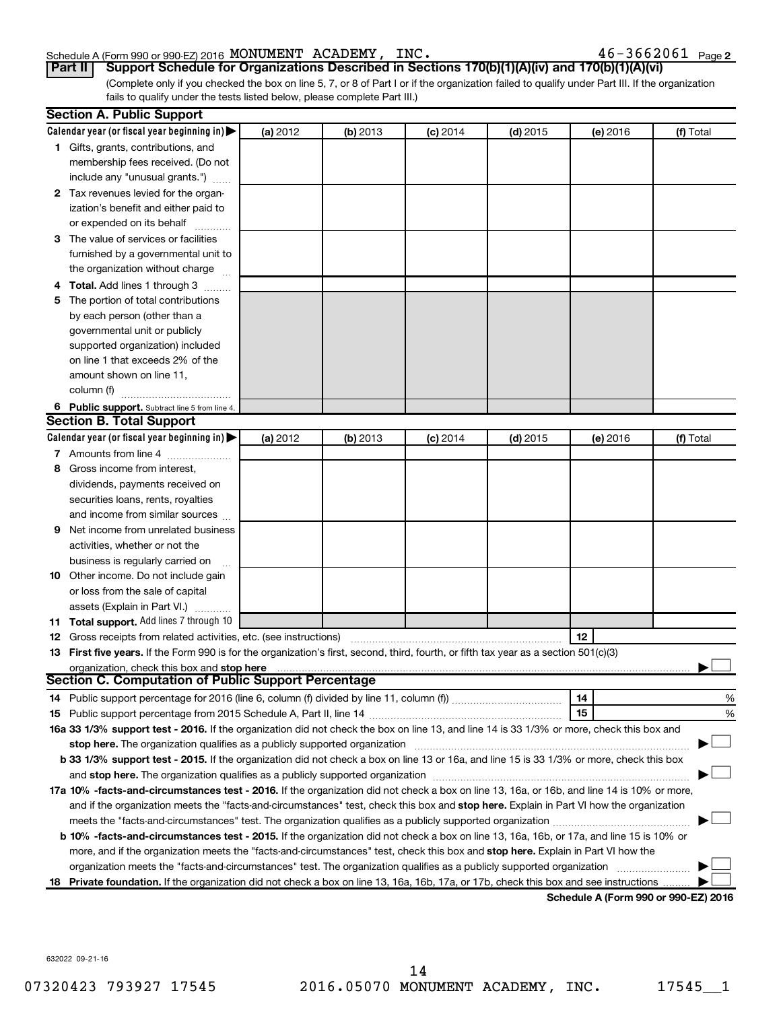#### Schedule A (Form 990 or 990-EZ) 2016 Page MONUMENT ACADEMY, INC. 46-3662061

 $46 - 3662061$  Page 2

(Complete only if you checked the box on line 5, 7, or 8 of Part I or if the organization failed to qualify under Part III. If the organization fails to qualify under the tests listed below, please complete Part III.) **Part II Support Schedule for Organizations Described in Sections 170(b)(1)(A)(iv) and 170(b)(1)(A)(vi)**

|    | <b>Section A. Public Support</b>                                                                                                           |          |            |            |            |                                      |           |  |  |
|----|--------------------------------------------------------------------------------------------------------------------------------------------|----------|------------|------------|------------|--------------------------------------|-----------|--|--|
|    | Calendar year (or fiscal year beginning in) $\blacktriangleright$                                                                          | (a) 2012 | $(b)$ 2013 | $(c)$ 2014 | (d) 2015   | (e) 2016                             | (f) Total |  |  |
|    | 1 Gifts, grants, contributions, and                                                                                                        |          |            |            |            |                                      |           |  |  |
|    | membership fees received. (Do not                                                                                                          |          |            |            |            |                                      |           |  |  |
|    | include any "unusual grants.")                                                                                                             |          |            |            |            |                                      |           |  |  |
|    | 2 Tax revenues levied for the organ-                                                                                                       |          |            |            |            |                                      |           |  |  |
|    | ization's benefit and either paid to                                                                                                       |          |            |            |            |                                      |           |  |  |
|    | or expended on its behalf                                                                                                                  |          |            |            |            |                                      |           |  |  |
|    | 3 The value of services or facilities                                                                                                      |          |            |            |            |                                      |           |  |  |
|    | furnished by a governmental unit to                                                                                                        |          |            |            |            |                                      |           |  |  |
|    | the organization without charge                                                                                                            |          |            |            |            |                                      |           |  |  |
|    | Total. Add lines 1 through 3                                                                                                               |          |            |            |            |                                      |           |  |  |
| 5  | The portion of total contributions                                                                                                         |          |            |            |            |                                      |           |  |  |
|    | by each person (other than a                                                                                                               |          |            |            |            |                                      |           |  |  |
|    | governmental unit or publicly                                                                                                              |          |            |            |            |                                      |           |  |  |
|    | supported organization) included                                                                                                           |          |            |            |            |                                      |           |  |  |
|    | on line 1 that exceeds 2% of the                                                                                                           |          |            |            |            |                                      |           |  |  |
|    | amount shown on line 11,                                                                                                                   |          |            |            |            |                                      |           |  |  |
|    | column (f)                                                                                                                                 |          |            |            |            |                                      |           |  |  |
|    | 6 Public support. Subtract line 5 from line 4.                                                                                             |          |            |            |            |                                      |           |  |  |
|    | <b>Section B. Total Support</b>                                                                                                            |          |            |            |            |                                      |           |  |  |
|    | Calendar year (or fiscal year beginning in) $\blacktriangleright$                                                                          | (a) 2012 | $(b)$ 2013 | $(c)$ 2014 | $(d)$ 2015 | (e) 2016                             | (f) Total |  |  |
|    | 7 Amounts from line 4                                                                                                                      |          |            |            |            |                                      |           |  |  |
| 8  | Gross income from interest,                                                                                                                |          |            |            |            |                                      |           |  |  |
|    | dividends, payments received on                                                                                                            |          |            |            |            |                                      |           |  |  |
|    | securities loans, rents, royalties                                                                                                         |          |            |            |            |                                      |           |  |  |
|    | and income from similar sources                                                                                                            |          |            |            |            |                                      |           |  |  |
| 9  | Net income from unrelated business                                                                                                         |          |            |            |            |                                      |           |  |  |
|    | activities, whether or not the                                                                                                             |          |            |            |            |                                      |           |  |  |
|    | business is regularly carried on                                                                                                           |          |            |            |            |                                      |           |  |  |
| 10 | Other income. Do not include gain                                                                                                          |          |            |            |            |                                      |           |  |  |
|    | or loss from the sale of capital                                                                                                           |          |            |            |            |                                      |           |  |  |
|    | assets (Explain in Part VI.)                                                                                                               |          |            |            |            |                                      |           |  |  |
|    | 11 Total support. Add lines 7 through 10                                                                                                   |          |            |            |            |                                      |           |  |  |
|    | <b>12</b> Gross receipts from related activities, etc. (see instructions)                                                                  |          |            |            |            | 12                                   |           |  |  |
|    | 13 First five years. If the Form 990 is for the organization's first, second, third, fourth, or fifth tax year as a section 501(c)(3)      |          |            |            |            |                                      |           |  |  |
|    | organization, check this box and stop here                                                                                                 |          |            |            |            |                                      |           |  |  |
|    | Section C. Computation of Public Support Percentage                                                                                        |          |            |            |            |                                      |           |  |  |
|    |                                                                                                                                            |          |            |            |            | 14                                   | %         |  |  |
|    |                                                                                                                                            |          |            |            |            | 15                                   | %         |  |  |
|    | 16a 33 1/3% support test - 2016. If the organization did not check the box on line 13, and line 14 is 33 1/3% or more, check this box and  |          |            |            |            |                                      |           |  |  |
|    |                                                                                                                                            |          |            |            |            |                                      |           |  |  |
|    | b 33 1/3% support test - 2015. If the organization did not check a box on line 13 or 16a, and line 15 is 33 1/3% or more, check this box   |          |            |            |            |                                      |           |  |  |
|    |                                                                                                                                            |          |            |            |            |                                      |           |  |  |
|    | 17a 10% -facts-and-circumstances test - 2016. If the organization did not check a box on line 13, 16a, or 16b, and line 14 is 10% or more, |          |            |            |            |                                      |           |  |  |
|    | and if the organization meets the "facts-and-circumstances" test, check this box and stop here. Explain in Part VI how the organization    |          |            |            |            |                                      |           |  |  |
|    | meets the "facts-and-circumstances" test. The organization qualifies as a publicly supported organization <i>manumumumum</i>               |          |            |            |            |                                      |           |  |  |
|    | b 10% -facts-and-circumstances test - 2015. If the organization did not check a box on line 13, 16a, 16b, or 17a, and line 15 is 10% or    |          |            |            |            |                                      |           |  |  |
|    | more, and if the organization meets the "facts-and-circumstances" test, check this box and stop here. Explain in Part VI how the           |          |            |            |            |                                      |           |  |  |
|    | organization meets the "facts-and-circumstances" test. The organization qualifies as a publicly supported organization                     |          |            |            |            |                                      |           |  |  |
|    | 18 Private foundation. If the organization did not check a box on line 13, 16a, 16b, 17a, or 17b, check this box and see instructions      |          |            |            |            | Schodule A (Form 000 or 000 EZ) 2016 |           |  |  |

**Schedule A (Form 990 or 990-EZ) 2016**

632022 09-21-16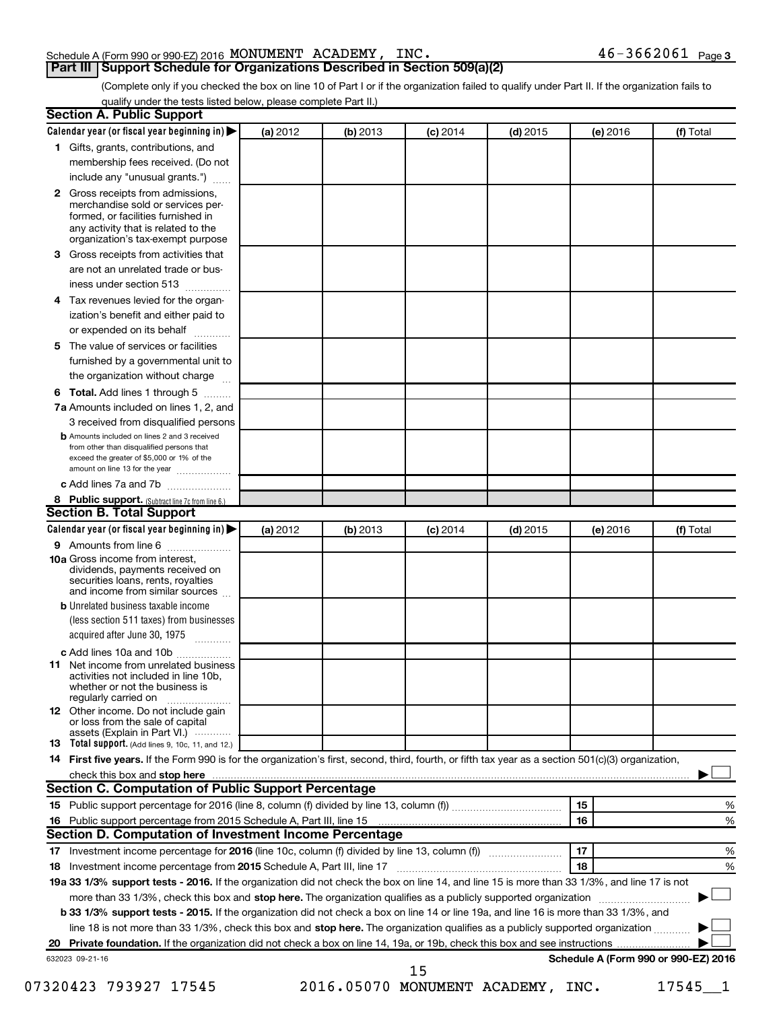### Schedule A (Form 990 or 990-EZ) 2016 Page MONUMENT ACADEMY, INC. 46-3662061

### **Part III Support Schedule for Organizations Described in Section 509(a)(2)**

 $46 - 3662061$  Page 3

(Complete only if you checked the box on line 10 of Part I or if the organization failed to qualify under Part II. If the organization fails to qualify under the tests listed below, please complete Part II.)

|              | Calendar year (or fiscal year beginning in)                                                                                                                                            | (a) 2012 | (b) 2013 | $(c)$ 2014 | $(d)$ 2015                        | (e) 2016 | (f) Total                            |   |
|--------------|----------------------------------------------------------------------------------------------------------------------------------------------------------------------------------------|----------|----------|------------|-----------------------------------|----------|--------------------------------------|---|
|              | 1 Gifts, grants, contributions, and                                                                                                                                                    |          |          |            |                                   |          |                                      |   |
|              | membership fees received. (Do not                                                                                                                                                      |          |          |            |                                   |          |                                      |   |
|              | include any "unusual grants.")                                                                                                                                                         |          |          |            |                                   |          |                                      |   |
| $\mathbf{2}$ | Gross receipts from admissions,<br>merchandise sold or services per-<br>formed, or facilities furnished in<br>any activity that is related to the<br>organization's tax-exempt purpose |          |          |            |                                   |          |                                      |   |
| 3            | Gross receipts from activities that                                                                                                                                                    |          |          |            |                                   |          |                                      |   |
|              | are not an unrelated trade or bus-                                                                                                                                                     |          |          |            |                                   |          |                                      |   |
|              | iness under section 513                                                                                                                                                                |          |          |            |                                   |          |                                      |   |
| 4            | Tax revenues levied for the organ-                                                                                                                                                     |          |          |            |                                   |          |                                      |   |
|              | ization's benefit and either paid to<br>or expended on its behalf<br>.                                                                                                                 |          |          |            |                                   |          |                                      |   |
| 5            | The value of services or facilities                                                                                                                                                    |          |          |            |                                   |          |                                      |   |
|              | furnished by a governmental unit to<br>the organization without charge                                                                                                                 |          |          |            |                                   |          |                                      |   |
| 6            | Total. Add lines 1 through 5                                                                                                                                                           |          |          |            |                                   |          |                                      |   |
|              | 7a Amounts included on lines 1, 2, and                                                                                                                                                 |          |          |            |                                   |          |                                      |   |
|              | 3 received from disqualified persons                                                                                                                                                   |          |          |            |                                   |          |                                      |   |
|              | <b>b</b> Amounts included on lines 2 and 3 received                                                                                                                                    |          |          |            |                                   |          |                                      |   |
|              | from other than disqualified persons that<br>exceed the greater of \$5,000 or 1% of the<br>amount on line 13 for the year                                                              |          |          |            |                                   |          |                                      |   |
|              | c Add lines 7a and 7b                                                                                                                                                                  |          |          |            |                                   |          |                                      |   |
|              | 8 Public support. (Subtract line 7c from line 6.)                                                                                                                                      |          |          |            |                                   |          |                                      |   |
|              | <b>Section B. Total Support</b>                                                                                                                                                        |          |          |            |                                   |          |                                      |   |
|              | Calendar year (or fiscal year beginning in)                                                                                                                                            | (a) 2012 | (b) 2013 | $(c)$ 2014 | $(d)$ 2015                        | (e) 2016 | (f) Total                            |   |
|              | 9 Amounts from line 6                                                                                                                                                                  |          |          |            |                                   |          |                                      |   |
|              | <b>10a</b> Gross income from interest,<br>dividends, payments received on<br>securities loans, rents, royalties<br>and income from similar sources                                     |          |          |            |                                   |          |                                      |   |
|              | <b>b</b> Unrelated business taxable income                                                                                                                                             |          |          |            |                                   |          |                                      |   |
|              | (less section 511 taxes) from businesses<br>acquired after June 30, 1975                                                                                                               |          |          |            |                                   |          |                                      |   |
|              | c Add lines 10a and 10b                                                                                                                                                                |          |          |            |                                   |          |                                      |   |
| 11           | Net income from unrelated business<br>activities not included in line 10b.<br>whether or not the business is<br>regularly carried on                                                   |          |          |            |                                   |          |                                      |   |
|              | <b>12</b> Other income. Do not include gain<br>or loss from the sale of capital<br>assets (Explain in Part VI.)                                                                        |          |          |            |                                   |          |                                      |   |
|              | <b>13</b> Total support. (Add lines 9, 10c, 11, and 12.)                                                                                                                               |          |          |            |                                   |          |                                      |   |
|              | 14 First five years. If the Form 990 is for the organization's first, second, third, fourth, or fifth tax year as a section 501(c)(3) organization,                                    |          |          |            |                                   |          |                                      |   |
|              |                                                                                                                                                                                        |          |          |            |                                   |          |                                      |   |
|              | Section C. Computation of Public Support Percentage                                                                                                                                    |          |          |            |                                   |          |                                      |   |
|              |                                                                                                                                                                                        |          |          |            |                                   | 15       |                                      | % |
|              |                                                                                                                                                                                        |          |          |            |                                   | 16       |                                      | % |
|              | Section D. Computation of Investment Income Percentage                                                                                                                                 |          |          |            |                                   |          |                                      |   |
|              |                                                                                                                                                                                        |          |          |            |                                   | 17       |                                      | % |
|              |                                                                                                                                                                                        |          |          |            |                                   | 18       |                                      | % |
|              | 19a 33 1/3% support tests - 2016. If the organization did not check the box on line 14, and line 15 is more than 33 1/3%, and line 17 is not                                           |          |          |            |                                   |          |                                      |   |
|              | more than 33 1/3%, check this box and stop here. The organization qualifies as a publicly supported organization                                                                       |          |          |            |                                   |          |                                      |   |
|              | b 33 1/3% support tests - 2015. If the organization did not check a box on line 14 or line 19a, and line 16 is more than 33 1/3%, and                                                  |          |          |            |                                   |          |                                      |   |
|              | line 18 is not more than 33 1/3%, check this box and stop here. The organization qualifies as a publicly supported organization                                                        |          |          |            |                                   |          |                                      |   |
|              |                                                                                                                                                                                        |          |          |            |                                   |          |                                      |   |
|              | 632023 09-21-16                                                                                                                                                                        |          |          |            |                                   |          | Schedule A (Form 990 or 990-EZ) 2016 |   |
|              |                                                                                                                                                                                        |          |          | 15         | 2016.05070 MONUMENT ACADEMY, INC. |          |                                      |   |
|              | 07320423 793927 17545                                                                                                                                                                  |          |          |            |                                   |          | 17545                                |   |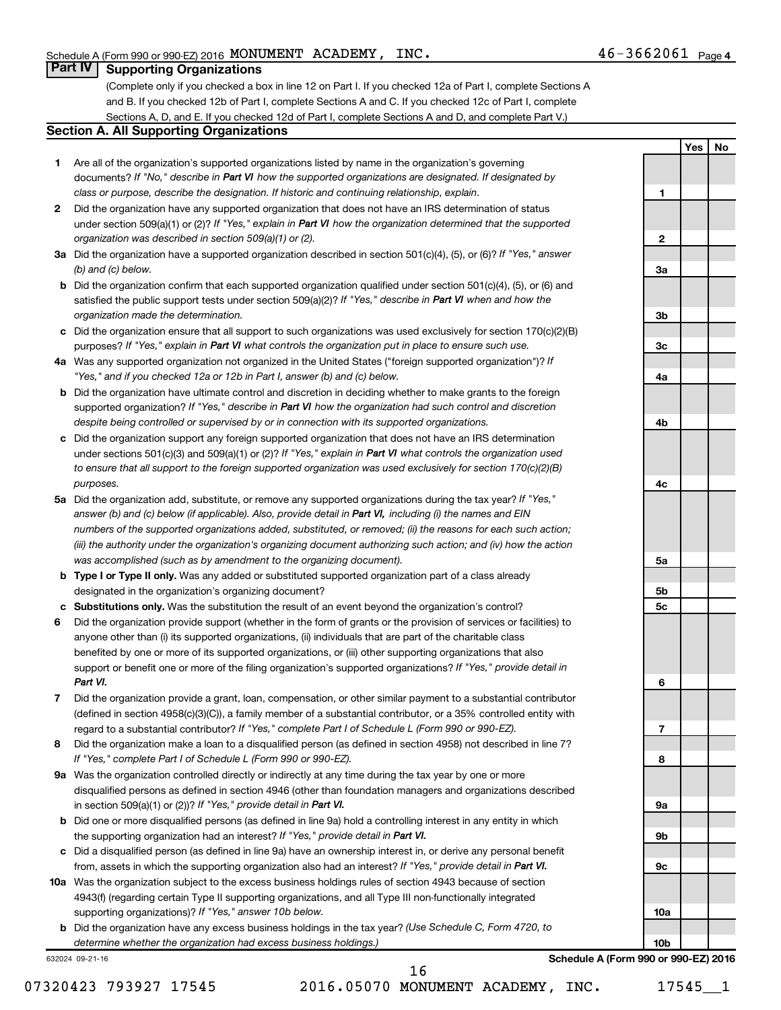**1**

**Yes No**

### **Part IV Supporting Organizations**

(Complete only if you checked a box in line 12 on Part I. If you checked 12a of Part I, complete Sections A and B. If you checked 12b of Part I, complete Sections A and C. If you checked 12c of Part I, complete Sections A, D, and E. If you checked 12d of Part I, complete Sections A and D, and complete Part V.)

### **Section A. All Supporting Organizations**

- **1** Are all of the organization's supported organizations listed by name in the organization's governing documents? If "No," describe in Part VI how the supported organizations are designated. If designated by *class or purpose, describe the designation. If historic and continuing relationship, explain.*
- **2** Did the organization have any supported organization that does not have an IRS determination of status under section 509(a)(1) or (2)? If "Yes," explain in Part VI how the organization determined that the supported *organization was described in section 509(a)(1) or (2).*
- **3a** Did the organization have a supported organization described in section 501(c)(4), (5), or (6)? If "Yes," answer *(b) and (c) below.*
- **b** Did the organization confirm that each supported organization qualified under section 501(c)(4), (5), or (6) and satisfied the public support tests under section 509(a)(2)? If "Yes," describe in Part VI when and how the *organization made the determination.*
- **c** Did the organization ensure that all support to such organizations was used exclusively for section 170(c)(2)(B) purposes? If "Yes," explain in Part VI what controls the organization put in place to ensure such use.
- **4 a** *If* Was any supported organization not organized in the United States ("foreign supported organization")? *"Yes," and if you checked 12a or 12b in Part I, answer (b) and (c) below.*
- **b** Did the organization have ultimate control and discretion in deciding whether to make grants to the foreign supported organization? If "Yes," describe in Part VI how the organization had such control and discretion *despite being controlled or supervised by or in connection with its supported organizations.*
- **c** Did the organization support any foreign supported organization that does not have an IRS determination under sections 501(c)(3) and 509(a)(1) or (2)? If "Yes," explain in Part VI what controls the organization used *to ensure that all support to the foreign supported organization was used exclusively for section 170(c)(2)(B) purposes.*
- **5a** Did the organization add, substitute, or remove any supported organizations during the tax year? If "Yes," answer (b) and (c) below (if applicable). Also, provide detail in Part VI, including (i) the names and EIN *numbers of the supported organizations added, substituted, or removed; (ii) the reasons for each such action; (iii) the authority under the organization's organizing document authorizing such action; and (iv) how the action was accomplished (such as by amendment to the organizing document).*
- **b Type I or Type II only.** Was any added or substituted supported organization part of a class already designated in the organization's organizing document?
- **c Substitutions only.**  Was the substitution the result of an event beyond the organization's control?
- **6** Did the organization provide support (whether in the form of grants or the provision of services or facilities) to support or benefit one or more of the filing organization's supported organizations? If "Yes," provide detail in anyone other than (i) its supported organizations, (ii) individuals that are part of the charitable class benefited by one or more of its supported organizations, or (iii) other supporting organizations that also *Part VI.*
- **7** Did the organization provide a grant, loan, compensation, or other similar payment to a substantial contributor regard to a substantial contributor? If "Yes," complete Part I of Schedule L (Form 990 or 990-EZ). (defined in section 4958(c)(3)(C)), a family member of a substantial contributor, or a 35% controlled entity with
- **8** Did the organization make a loan to a disqualified person (as defined in section 4958) not described in line 7? *If "Yes," complete Part I of Schedule L (Form 990 or 990-EZ).*
- **9 a** Was the organization controlled directly or indirectly at any time during the tax year by one or more in section 509(a)(1) or (2))? If "Yes," provide detail in Part VI. disqualified persons as defined in section 4946 (other than foundation managers and organizations described
- **b** Did one or more disqualified persons (as defined in line 9a) hold a controlling interest in any entity in which the supporting organization had an interest? If "Yes," provide detail in Part VI.
- **c** Did a disqualified person (as defined in line 9a) have an ownership interest in, or derive any personal benefit from, assets in which the supporting organization also had an interest? If "Yes," provide detail in Part VI.
- **10 a** Was the organization subject to the excess business holdings rules of section 4943 because of section supporting organizations)? If "Yes," answer 10b below. 4943(f) (regarding certain Type II supporting organizations, and all Type III non-functionally integrated
	- **b** Did the organization have any excess business holdings in the tax year? (Use Schedule C, Form 4720, to *determine whether the organization had excess business holdings.)*

632024 09-21-16

**2 3a 3b 3c 4a 4b 4c 5a 5b 5c 6 7 8 9a 9b 9c 10a**

**Schedule A (Form 990 or 990-EZ) 2016**

**10b**

07320423 793927 17545 2016.05070 MONUMENT ACADEMY, INC. 17545 1

16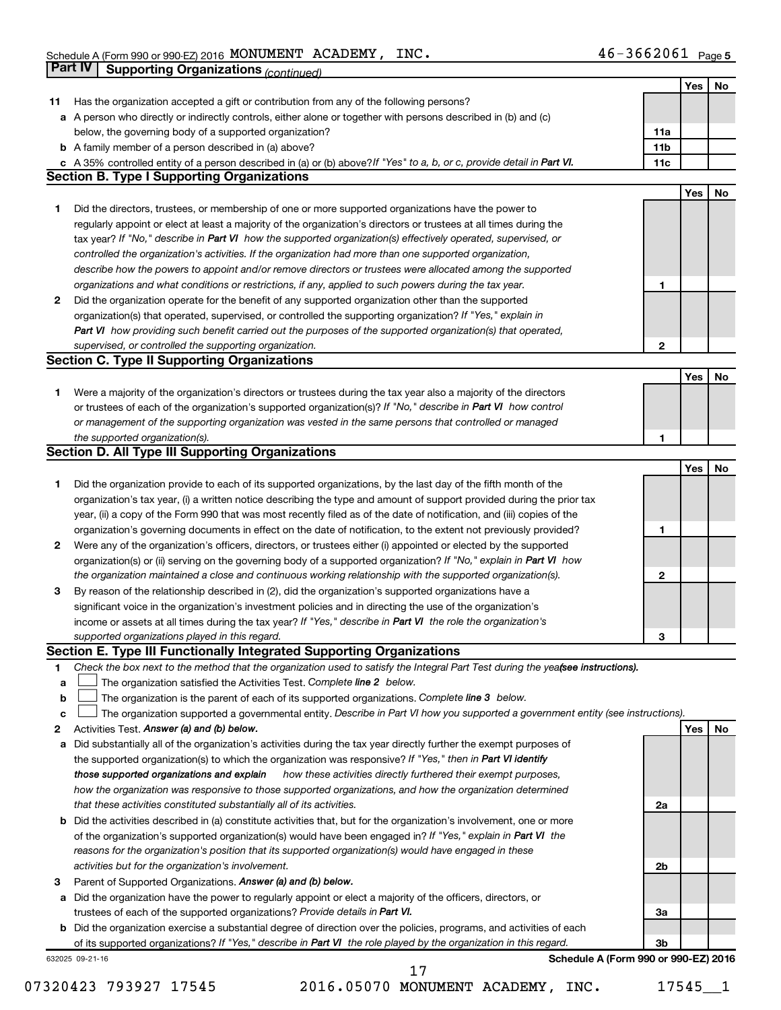|    | <b>Part IV</b>  | <b>Supporting Organizations (continued)</b>                                                                                     |                 |     |    |
|----|-----------------|---------------------------------------------------------------------------------------------------------------------------------|-----------------|-----|----|
|    |                 |                                                                                                                                 |                 | Yes | No |
| 11 |                 | Has the organization accepted a gift or contribution from any of the following persons?                                         |                 |     |    |
| а  |                 | A person who directly or indirectly controls, either alone or together with persons described in (b) and (c)                    |                 |     |    |
|    |                 | below, the governing body of a supported organization?                                                                          | 11a             |     |    |
|    |                 | <b>b</b> A family member of a person described in (a) above?                                                                    | 11 <sub>b</sub> |     |    |
|    |                 | c A 35% controlled entity of a person described in (a) or (b) above? If "Yes" to a, b, or c, provide detail in Part VI.         | 11c             |     |    |
|    |                 | <b>Section B. Type I Supporting Organizations</b>                                                                               |                 |     |    |
|    |                 |                                                                                                                                 |                 | Yes | No |
| 1. |                 | Did the directors, trustees, or membership of one or more supported organizations have the power to                             |                 |     |    |
|    |                 | regularly appoint or elect at least a majority of the organization's directors or trustees at all times during the              |                 |     |    |
|    |                 | tax year? If "No," describe in Part VI how the supported organization(s) effectively operated, supervised, or                   |                 |     |    |
|    |                 | controlled the organization's activities. If the organization had more than one supported organization,                         |                 |     |    |
|    |                 | describe how the powers to appoint and/or remove directors or trustees were allocated among the supported                       |                 |     |    |
|    |                 | organizations and what conditions or restrictions, if any, applied to such powers during the tax year.                          | 1               |     |    |
| 2  |                 | Did the organization operate for the benefit of any supported organization other than the supported                             |                 |     |    |
|    |                 | organization(s) that operated, supervised, or controlled the supporting organization? If "Yes," explain in                      |                 |     |    |
|    |                 | Part VI how providing such benefit carried out the purposes of the supported organization(s) that operated,                     |                 |     |    |
|    |                 | supervised, or controlled the supporting organization.                                                                          | 2               |     |    |
|    |                 | <b>Section C. Type II Supporting Organizations</b>                                                                              |                 |     |    |
|    |                 |                                                                                                                                 |                 |     |    |
|    |                 |                                                                                                                                 |                 | Yes | No |
| 1. |                 | Were a majority of the organization's directors or trustees during the tax year also a majority of the directors                |                 |     |    |
|    |                 | or trustees of each of the organization's supported organization(s)? If "No," describe in Part VI how control                   |                 |     |    |
|    |                 | or management of the supporting organization was vested in the same persons that controlled or managed                          |                 |     |    |
|    |                 | the supported organization(s).                                                                                                  | 1               |     |    |
|    |                 | <b>Section D. All Type III Supporting Organizations</b>                                                                         |                 |     |    |
|    |                 |                                                                                                                                 |                 | Yes | No |
| 1  |                 | Did the organization provide to each of its supported organizations, by the last day of the fifth month of the                  |                 |     |    |
|    |                 | organization's tax year, (i) a written notice describing the type and amount of support provided during the prior tax           |                 |     |    |
|    |                 | year, (ii) a copy of the Form 990 that was most recently filed as of the date of notification, and (iii) copies of the          |                 |     |    |
|    |                 | organization's governing documents in effect on the date of notification, to the extent not previously provided?                | 1               |     |    |
| 2  |                 | Were any of the organization's officers, directors, or trustees either (i) appointed or elected by the supported                |                 |     |    |
|    |                 | organization(s) or (ii) serving on the governing body of a supported organization? If "No," explain in Part VI how              |                 |     |    |
|    |                 | the organization maintained a close and continuous working relationship with the supported organization(s).                     | 2               |     |    |
| 3  |                 | By reason of the relationship described in (2), did the organization's supported organizations have a                           |                 |     |    |
|    |                 | significant voice in the organization's investment policies and in directing the use of the organization's                      |                 |     |    |
|    |                 | income or assets at all times during the tax year? If "Yes," describe in Part VI the role the organization's                    |                 |     |    |
|    |                 | supported organizations played in this regard.                                                                                  | з               |     |    |
|    |                 | Section E. Type III Functionally Integrated Supporting Organizations                                                            |                 |     |    |
| 1  |                 | Check the box next to the method that the organization used to satisfy the Integral Part Test during the yeafsee instructions). |                 |     |    |
| a  |                 | The organization satisfied the Activities Test. Complete line 2 below.                                                          |                 |     |    |
| b  |                 | The organization is the parent of each of its supported organizations. Complete line 3 below.                                   |                 |     |    |
| c  |                 | The organization supported a governmental entity. Describe in Part VI how you supported a government entity (see instructions). |                 |     |    |
| 2  |                 | Activities Test. Answer (a) and (b) below.                                                                                      |                 | Yes | No |
| а  |                 | Did substantially all of the organization's activities during the tax year directly further the exempt purposes of              |                 |     |    |
|    |                 | the supported organization(s) to which the organization was responsive? If "Yes," then in Part VI identify                      |                 |     |    |
|    |                 | those supported organizations and explain<br>how these activities directly furthered their exempt purposes,                     |                 |     |    |
|    |                 | how the organization was responsive to those supported organizations, and how the organization determined                       |                 |     |    |
|    |                 | that these activities constituted substantially all of its activities.                                                          | 2a              |     |    |
| b  |                 | Did the activities described in (a) constitute activities that, but for the organization's involvement, one or more             |                 |     |    |
|    |                 | of the organization's supported organization(s) would have been engaged in? If "Yes," explain in Part VI the                    |                 |     |    |
|    |                 | reasons for the organization's position that its supported organization(s) would have engaged in these                          |                 |     |    |
|    |                 | activities but for the organization's involvement.                                                                              | 2b              |     |    |
| з  |                 | Parent of Supported Organizations. Answer (a) and (b) below.                                                                    |                 |     |    |
| а  |                 | Did the organization have the power to regularly appoint or elect a majority of the officers, directors, or                     |                 |     |    |
|    |                 | trustees of each of the supported organizations? Provide details in Part VI.                                                    | За              |     |    |
| b  |                 | Did the organization exercise a substantial degree of direction over the policies, programs, and activities of each             | 3b              |     |    |
|    |                 | of its supported organizations? If "Yes," describe in Part VI the role played by the organization in this regard.               |                 |     |    |
|    | 632025 09-21-16 | Schedule A (Form 990 or 990-EZ) 2016                                                                                            |                 |     |    |

07320423 793927 17545 2016.05070 MONUMENT ACADEMY, INC. 17545 1

17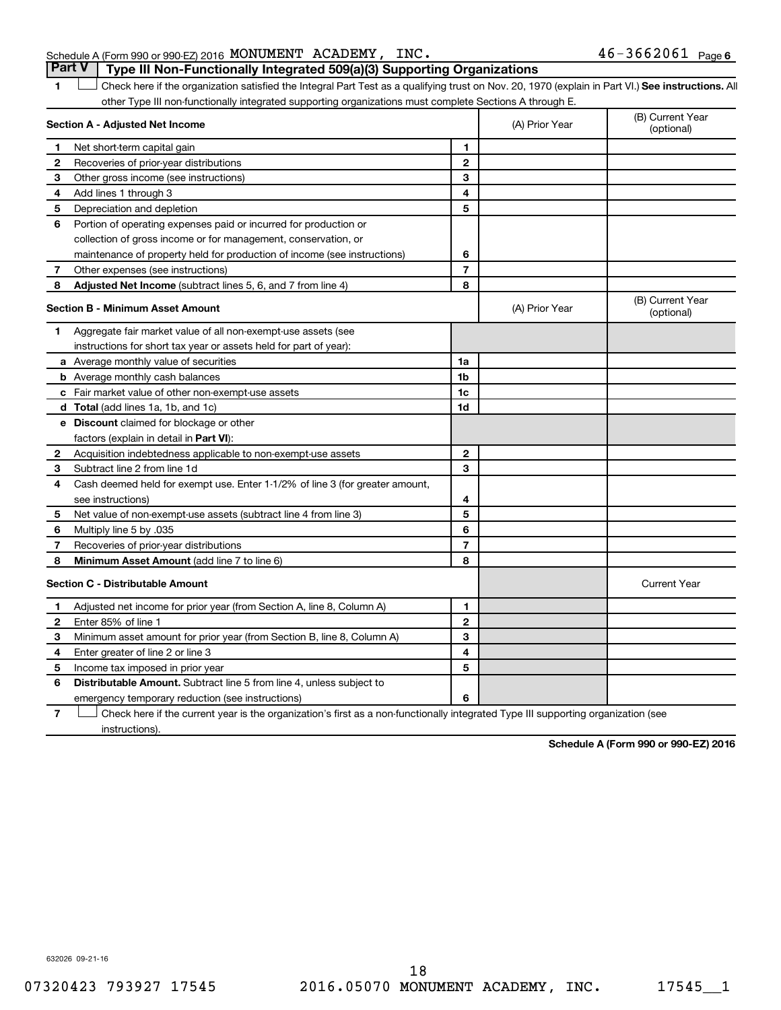### Schedule A (Form 990 or 990-EZ) 2016 Page MONUMENT ACADEMY, INC. 46-3662061 **Part V Type III Non-Functionally Integrated 509(a)(3) Supporting Organizations**

1 **Letter See instructions.** All Check here if the organization satisfied the Integral Part Test as a qualifying trust on Nov. 20, 1970 (explain in Part VI.) See instructions. All other Type III non-functionally integrated supporting organizations must complete Sections A through E.

|   | Section A - Adjusted Net Income                                              | (A) Prior Year | (B) Current Year<br>(optional) |                                |
|---|------------------------------------------------------------------------------|----------------|--------------------------------|--------------------------------|
| 1 | Net short-term capital gain                                                  | $\mathbf{1}$   |                                |                                |
| 2 | Recoveries of prior-year distributions                                       | $\mathbf{2}$   |                                |                                |
| 3 | Other gross income (see instructions)                                        | 3              |                                |                                |
| 4 | Add lines 1 through 3                                                        | 4              |                                |                                |
| 5 | Depreciation and depletion                                                   | 5              |                                |                                |
| 6 | Portion of operating expenses paid or incurred for production or             |                |                                |                                |
|   | collection of gross income or for management, conservation, or               |                |                                |                                |
|   | maintenance of property held for production of income (see instructions)     | 6              |                                |                                |
| 7 | Other expenses (see instructions)                                            | $\overline{7}$ |                                |                                |
| 8 | Adjusted Net Income (subtract lines 5, 6, and 7 from line 4)                 | 8              |                                |                                |
|   | <b>Section B - Minimum Asset Amount</b>                                      |                | (A) Prior Year                 | (B) Current Year<br>(optional) |
| 1 | Aggregate fair market value of all non-exempt-use assets (see                |                |                                |                                |
|   | instructions for short tax year or assets held for part of year):            |                |                                |                                |
|   | a Average monthly value of securities                                        | 1a             |                                |                                |
|   | <b>b</b> Average monthly cash balances                                       | 1 <sub>b</sub> |                                |                                |
|   | c Fair market value of other non-exempt-use assets                           | 1c             |                                |                                |
|   | d Total (add lines 1a, 1b, and 1c)                                           | 1d             |                                |                                |
|   | <b>e</b> Discount claimed for blockage or other                              |                |                                |                                |
|   | factors (explain in detail in <b>Part VI</b> ):                              |                |                                |                                |
| 2 | Acquisition indebtedness applicable to non-exempt-use assets                 | $\mathbf{2}$   |                                |                                |
| 3 | Subtract line 2 from line 1d                                                 | 3              |                                |                                |
| 4 | Cash deemed held for exempt use. Enter 1-1/2% of line 3 (for greater amount, |                |                                |                                |
|   | see instructions)                                                            | 4              |                                |                                |
| 5 | Net value of non-exempt-use assets (subtract line 4 from line 3)             | 5              |                                |                                |
| 6 | Multiply line 5 by .035                                                      | 6              |                                |                                |
| 7 | Recoveries of prior-year distributions                                       | $\overline{7}$ |                                |                                |
| 8 | <b>Minimum Asset Amount</b> (add line 7 to line 6)                           | 8              |                                |                                |
|   | <b>Section C - Distributable Amount</b>                                      |                |                                | <b>Current Year</b>            |
| 1 | Adjusted net income for prior year (from Section A, line 8, Column A)        | 1              |                                |                                |
| 2 | Enter 85% of line 1                                                          | $\mathbf{2}$   |                                |                                |
| 3 | Minimum asset amount for prior year (from Section B, line 8, Column A)       | 3              |                                |                                |
| 4 | Enter greater of line 2 or line 3                                            | 4              |                                |                                |
| 5 | Income tax imposed in prior year                                             | 5              |                                |                                |
| 6 | <b>Distributable Amount.</b> Subtract line 5 from line 4, unless subject to  |                |                                |                                |
|   | emergency temporary reduction (see instructions)                             | 6              |                                |                                |
|   |                                                                              |                |                                |                                |

**7** Check here if the current year is the organization's first as a non-functionally integrated Type III supporting organization (see † instructions).

**Schedule A (Form 990 or 990-EZ) 2016**

632026 09-21-16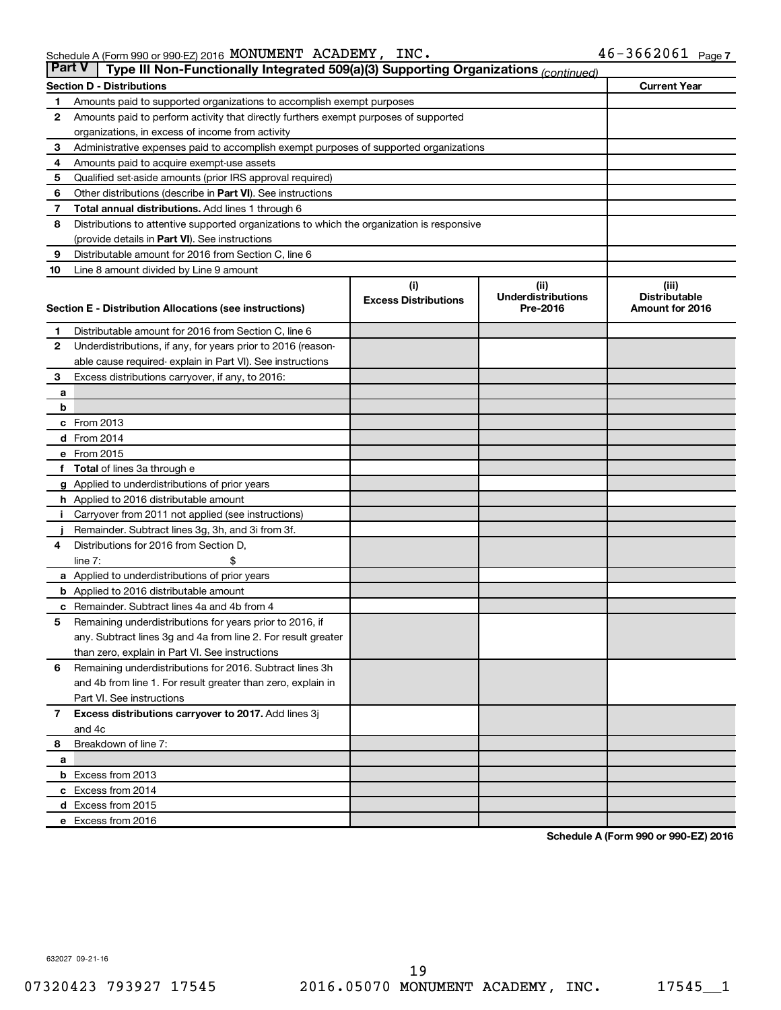| <b>Part V</b> | Type III Non-Functionally Integrated 509(a)(3) Supporting Organizations (continued)        |                             |                                       |                                         |
|---------------|--------------------------------------------------------------------------------------------|-----------------------------|---------------------------------------|-----------------------------------------|
|               | <b>Section D - Distributions</b>                                                           |                             |                                       | <b>Current Year</b>                     |
| 1             | Amounts paid to supported organizations to accomplish exempt purposes                      |                             |                                       |                                         |
| 2             | Amounts paid to perform activity that directly furthers exempt purposes of supported       |                             |                                       |                                         |
|               | organizations, in excess of income from activity                                           |                             |                                       |                                         |
| 3             | Administrative expenses paid to accomplish exempt purposes of supported organizations      |                             |                                       |                                         |
| 4             | Amounts paid to acquire exempt-use assets                                                  |                             |                                       |                                         |
| 5             | Qualified set-aside amounts (prior IRS approval required)                                  |                             |                                       |                                         |
| 6             | Other distributions (describe in Part VI). See instructions                                |                             |                                       |                                         |
| 7             | Total annual distributions. Add lines 1 through 6                                          |                             |                                       |                                         |
| 8             | Distributions to attentive supported organizations to which the organization is responsive |                             |                                       |                                         |
|               | (provide details in Part VI). See instructions                                             |                             |                                       |                                         |
| 9             | Distributable amount for 2016 from Section C, line 6                                       |                             |                                       |                                         |
| 10            | Line 8 amount divided by Line 9 amount                                                     |                             |                                       |                                         |
|               |                                                                                            | (i)                         | (ii)                                  | (iii)                                   |
|               | Section E - Distribution Allocations (see instructions)                                    | <b>Excess Distributions</b> | <b>Underdistributions</b><br>Pre-2016 | <b>Distributable</b><br>Amount for 2016 |
|               |                                                                                            |                             |                                       |                                         |
| 1             | Distributable amount for 2016 from Section C, line 6                                       |                             |                                       |                                         |
| 2             | Underdistributions, if any, for years prior to 2016 (reason-                               |                             |                                       |                                         |
|               | able cause required- explain in Part VI). See instructions                                 |                             |                                       |                                         |
| 3             | Excess distributions carryover, if any, to 2016:                                           |                             |                                       |                                         |
| a             |                                                                                            |                             |                                       |                                         |
| b             |                                                                                            |                             |                                       |                                         |
|               | c From 2013                                                                                |                             |                                       |                                         |
|               | d From 2014                                                                                |                             |                                       |                                         |
|               | e From 2015                                                                                |                             |                                       |                                         |
| f             | <b>Total</b> of lines 3a through e                                                         |                             |                                       |                                         |
|               | <b>g</b> Applied to underdistributions of prior years                                      |                             |                                       |                                         |
|               | <b>h</b> Applied to 2016 distributable amount                                              |                             |                                       |                                         |
|               | Carryover from 2011 not applied (see instructions)                                         |                             |                                       |                                         |
|               | Remainder. Subtract lines 3g, 3h, and 3i from 3f.                                          |                             |                                       |                                         |
| 4             | Distributions for 2016 from Section D,                                                     |                             |                                       |                                         |
|               | line $7:$                                                                                  |                             |                                       |                                         |
|               | a Applied to underdistributions of prior years                                             |                             |                                       |                                         |
|               | <b>b</b> Applied to 2016 distributable amount                                              |                             |                                       |                                         |
| с             | Remainder. Subtract lines 4a and 4b from 4                                                 |                             |                                       |                                         |
| 5             | Remaining underdistributions for years prior to 2016, if                                   |                             |                                       |                                         |
|               | any. Subtract lines 3g and 4a from line 2. For result greater                              |                             |                                       |                                         |
|               | than zero, explain in Part VI. See instructions                                            |                             |                                       |                                         |
| 6             | Remaining underdistributions for 2016. Subtract lines 3h                                   |                             |                                       |                                         |
|               | and 4b from line 1. For result greater than zero, explain in                               |                             |                                       |                                         |
|               | Part VI. See instructions                                                                  |                             |                                       |                                         |
| $\mathbf{7}$  | Excess distributions carryover to 2017. Add lines 3j                                       |                             |                                       |                                         |
|               | and 4c                                                                                     |                             |                                       |                                         |
| 8             | Breakdown of line 7:                                                                       |                             |                                       |                                         |
| a             | <b>b</b> Excess from 2013                                                                  |                             |                                       |                                         |
|               | c Excess from 2014                                                                         |                             |                                       |                                         |
|               | d Excess from 2015                                                                         |                             |                                       |                                         |
|               | e Excess from 2016                                                                         |                             |                                       |                                         |
|               |                                                                                            |                             |                                       |                                         |

**Schedule A (Form 990 or 990-EZ) 2016**

632027 09-21-16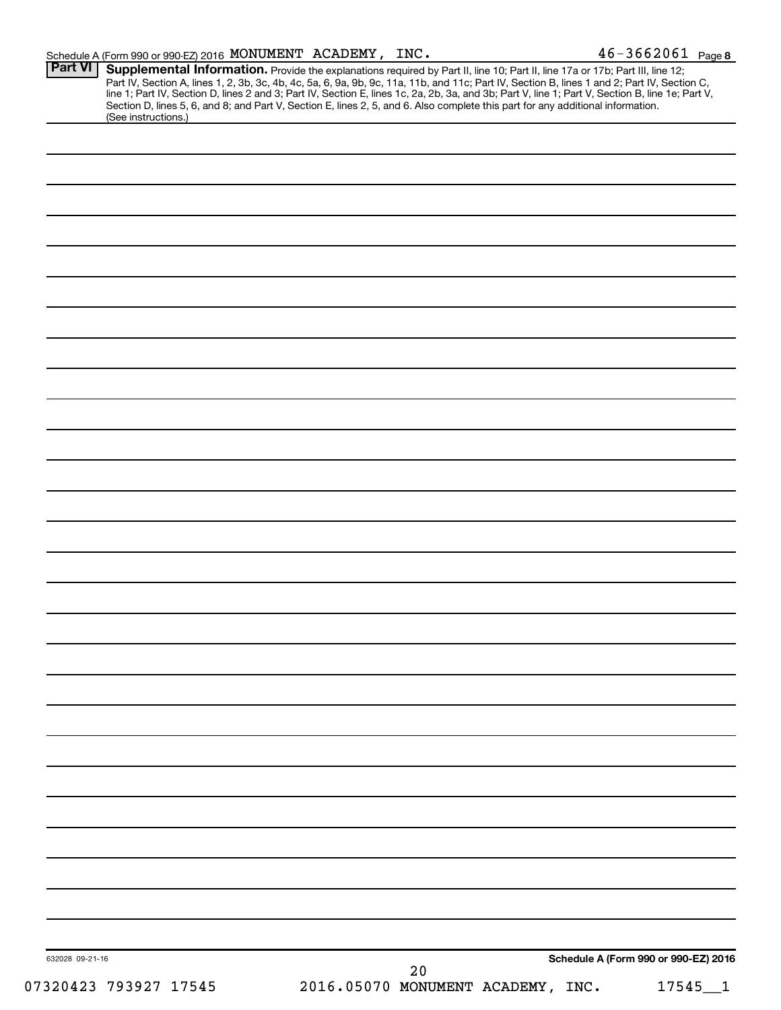|                 |                       | Schedule A (Form 990 or 990-EZ) 2016 MONUMENT ACADEMY, INC. |    |                                                                                                                                                                                                                                                                  | $46 - 3662061$ Page 8                                                                                                                                                                                                         |
|-----------------|-----------------------|-------------------------------------------------------------|----|------------------------------------------------------------------------------------------------------------------------------------------------------------------------------------------------------------------------------------------------------------------|-------------------------------------------------------------------------------------------------------------------------------------------------------------------------------------------------------------------------------|
| Part VI         | (See instructions.)   |                                                             |    | Supplemental Information. Provide the explanations required by Part II, line 10; Part II, line 17a or 17b; Part III, line 12;<br>Section D, lines 5, 6, and 8; and Part V, Section E, lines 2, 5, and 6. Also complete this part for any additional information. | Part IV, Section A, lines 1, 2, 3b, 3c, 4b, 4c, 5a, 6, 9a, 9b, 9c, 11a, 11b, and 11c; Part IV, Section B, lines 1 and 2; Part IV, Section C, line 1; Part IV, Section D, lines 2 and 3; Part IV, Section E, lines 1c, 2a, 2b, |
|                 |                       |                                                             |    |                                                                                                                                                                                                                                                                  |                                                                                                                                                                                                                               |
|                 |                       |                                                             |    |                                                                                                                                                                                                                                                                  |                                                                                                                                                                                                                               |
|                 |                       |                                                             |    |                                                                                                                                                                                                                                                                  |                                                                                                                                                                                                                               |
|                 |                       |                                                             |    |                                                                                                                                                                                                                                                                  |                                                                                                                                                                                                                               |
|                 |                       |                                                             |    |                                                                                                                                                                                                                                                                  |                                                                                                                                                                                                                               |
|                 |                       |                                                             |    |                                                                                                                                                                                                                                                                  |                                                                                                                                                                                                                               |
|                 |                       |                                                             |    |                                                                                                                                                                                                                                                                  |                                                                                                                                                                                                                               |
|                 |                       |                                                             |    |                                                                                                                                                                                                                                                                  |                                                                                                                                                                                                                               |
|                 |                       |                                                             |    |                                                                                                                                                                                                                                                                  |                                                                                                                                                                                                                               |
|                 |                       |                                                             |    |                                                                                                                                                                                                                                                                  |                                                                                                                                                                                                                               |
|                 |                       |                                                             |    |                                                                                                                                                                                                                                                                  |                                                                                                                                                                                                                               |
|                 |                       |                                                             |    |                                                                                                                                                                                                                                                                  |                                                                                                                                                                                                                               |
|                 |                       |                                                             |    |                                                                                                                                                                                                                                                                  |                                                                                                                                                                                                                               |
|                 |                       |                                                             |    |                                                                                                                                                                                                                                                                  |                                                                                                                                                                                                                               |
|                 |                       |                                                             |    |                                                                                                                                                                                                                                                                  |                                                                                                                                                                                                                               |
|                 |                       |                                                             |    |                                                                                                                                                                                                                                                                  |                                                                                                                                                                                                                               |
|                 |                       |                                                             |    |                                                                                                                                                                                                                                                                  |                                                                                                                                                                                                                               |
|                 |                       |                                                             |    |                                                                                                                                                                                                                                                                  |                                                                                                                                                                                                                               |
|                 |                       |                                                             |    |                                                                                                                                                                                                                                                                  |                                                                                                                                                                                                                               |
|                 |                       |                                                             |    |                                                                                                                                                                                                                                                                  |                                                                                                                                                                                                                               |
|                 |                       |                                                             |    |                                                                                                                                                                                                                                                                  |                                                                                                                                                                                                                               |
|                 |                       |                                                             |    |                                                                                                                                                                                                                                                                  |                                                                                                                                                                                                                               |
|                 |                       |                                                             |    |                                                                                                                                                                                                                                                                  |                                                                                                                                                                                                                               |
|                 |                       |                                                             |    |                                                                                                                                                                                                                                                                  |                                                                                                                                                                                                                               |
|                 |                       |                                                             |    |                                                                                                                                                                                                                                                                  |                                                                                                                                                                                                                               |
|                 |                       |                                                             |    |                                                                                                                                                                                                                                                                  |                                                                                                                                                                                                                               |
|                 |                       |                                                             |    |                                                                                                                                                                                                                                                                  |                                                                                                                                                                                                                               |
|                 |                       |                                                             |    |                                                                                                                                                                                                                                                                  |                                                                                                                                                                                                                               |
|                 |                       |                                                             |    |                                                                                                                                                                                                                                                                  |                                                                                                                                                                                                                               |
|                 |                       |                                                             |    |                                                                                                                                                                                                                                                                  |                                                                                                                                                                                                                               |
| 632028 09-21-16 |                       |                                                             | 20 |                                                                                                                                                                                                                                                                  | Schedule A (Form 990 or 990-EZ) 2016                                                                                                                                                                                          |
|                 | 07320423 793927 17545 |                                                             |    | 2016.05070 MONUMENT ACADEMY, INC.                                                                                                                                                                                                                                | $17545 - 1$                                                                                                                                                                                                                   |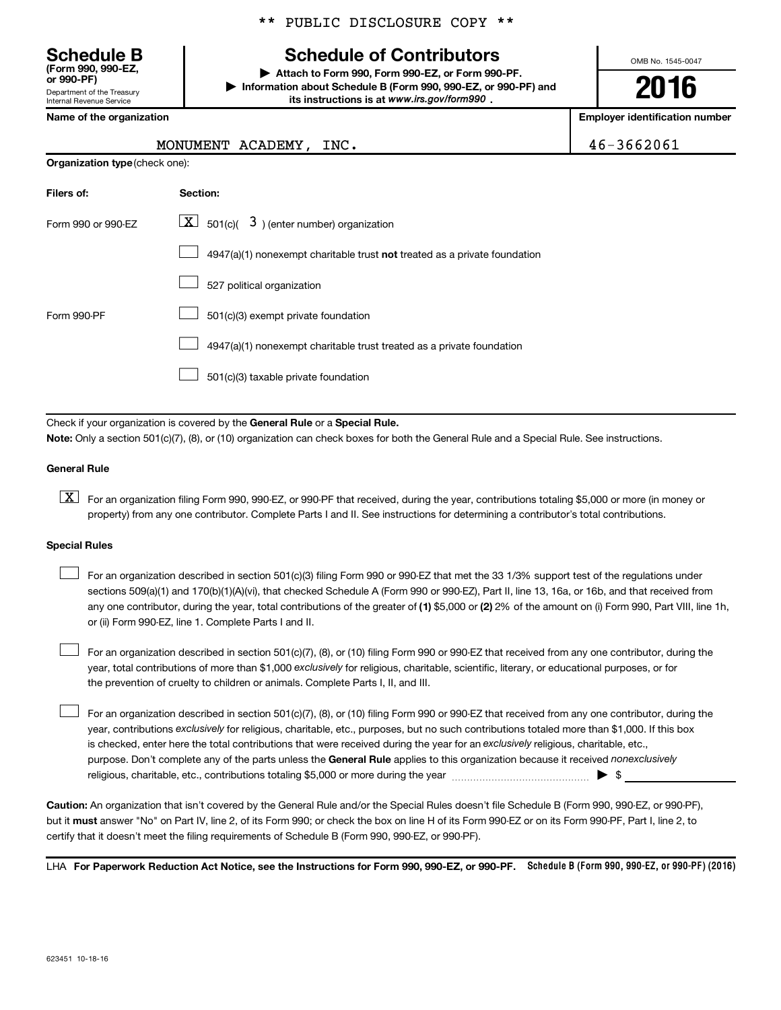\*\* PUBLIC DISCLOSURE COPY \*\*

# **Schedule of Contributors**

**or 990-PF) | Attach to Form 990, Form 990-EZ, or Form 990-PF. | Information about Schedule B (Form 990, 990-EZ, or 990-PF) and** its instructions is at www.irs.gov/form990.

OMB No. 1545-0047

**2016**

**Name of the organization Employer identification number**

**Organization type** (check one):

### MONUMENT ACADEMY, INC.  $46-3662061$

| Filers of:         | <b>Section:</b>                                                                    |
|--------------------|------------------------------------------------------------------------------------|
| Form 990 or 990-FZ | $\lfloor \underline{X} \rfloor$ 501(c)( 3) (enter number) organization             |
|                    | $4947(a)(1)$ nonexempt charitable trust <b>not</b> treated as a private foundation |
|                    | 527 political organization                                                         |
| Form 990-PF        | 501(c)(3) exempt private foundation                                                |
|                    | 4947(a)(1) nonexempt charitable trust treated as a private foundation              |
|                    | 501(c)(3) taxable private foundation                                               |

Check if your organization is covered by the General Rule or a Special Rule.

**Note:**  Only a section 501(c)(7), (8), or (10) organization can check boxes for both the General Rule and a Special Rule. See instructions.

### **General Rule**

**K** For an organization filing Form 990, 990-EZ, or 990-PF that received, during the year, contributions totaling \$5,000 or more (in money or property) from any one contributor. Complete Parts I and II. See instructions for determining a contributor's total contributions.

#### **Special Rules**

 $\Box$ 

any one contributor, during the year, total contributions of the greater of **(1)** \$5,000 or **(2)** 2% of the amount on (i) Form 990, Part VIII, line 1h, For an organization described in section 501(c)(3) filing Form 990 or 990-EZ that met the 33 1/3% support test of the regulations under sections 509(a)(1) and 170(b)(1)(A)(vi), that checked Schedule A (Form 990 or 990-EZ), Part II, line 13, 16a, or 16b, and that received from or (ii) Form 990-EZ, line 1. Complete Parts I and II.  $\Box$ 

year, total contributions of more than \$1,000 *exclusively* for religious, charitable, scientific, literary, or educational purposes, or for For an organization described in section 501(c)(7), (8), or (10) filing Form 990 or 990-EZ that received from any one contributor, during the the prevention of cruelty to children or animals. Complete Parts I, II, and III.  $\Box$ 

purpose. Don't complete any of the parts unless the General Rule applies to this organization because it received nonexclusively year, contributions exclusively for religious, charitable, etc., purposes, but no such contributions totaled more than \$1,000. If this box is checked, enter here the total contributions that were received during the year for an exclusively religious, charitable, etc., For an organization described in section 501(c)(7), (8), or (10) filing Form 990 or 990-EZ that received from any one contributor, during the religious, charitable, etc., contributions totaling \$5,000 or more during the year  $\ldots$  $\ldots$  $\ldots$  $\ldots$  $\ldots$  $\ldots$ 

**Caution:**  An organization that isn't covered by the General Rule and/or the Special Rules doesn't file Schedule B (Form 990, 990-EZ, or 990-PF),  **must** but it answer "No" on Part IV, line 2, of its Form 990; or check the box on line H of its Form 990-EZ or on its Form 990-PF, Part I, line 2, to certify that it doesn't meet the filing requirements of Schedule B (Form 990, 990-EZ, or 990-PF).

LHA For Paperwork Reduction Act Notice, see the Instructions for Form 990, 990-EZ, or 990-PF. Schedule B (Form 990, 990-EZ, or 990-PF) (2016)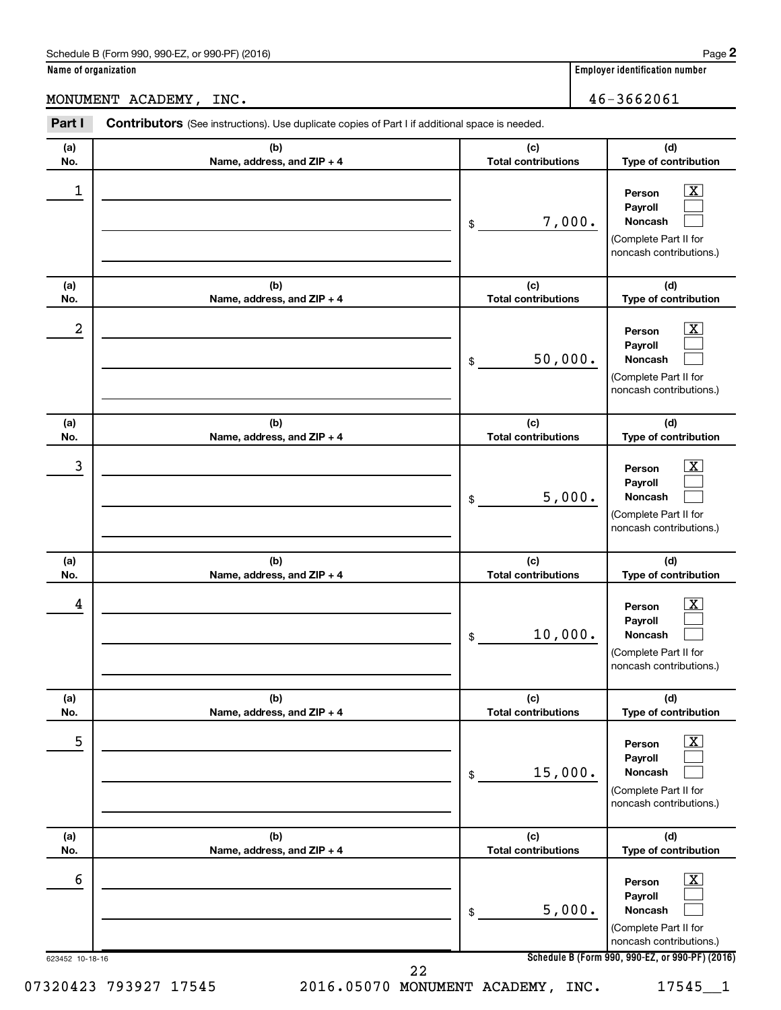## MONUMENT ACADEMY, INC. 46-3662061

| (a)        | (b)                               | (c)                               | (d)                                                                                                         |
|------------|-----------------------------------|-----------------------------------|-------------------------------------------------------------------------------------------------------------|
| No.        | Name, address, and ZIP + 4        | <b>Total contributions</b>        | Type of contribution                                                                                        |
| 1          |                                   | 7,000.<br>\$                      | x<br>Person<br>Payroll<br>Noncash<br>(Complete Part II for<br>noncash contributions.)                       |
| (a)<br>No. | (b)<br>Name, address, and ZIP + 4 | (c)<br><b>Total contributions</b> | (d)<br>Type of contribution                                                                                 |
| 2          |                                   | 50,000.<br>\$                     | x<br>Person<br>Payroll<br>Noncash<br>(Complete Part II for<br>noncash contributions.)                       |
| (a)<br>No. | (b)<br>Name, address, and ZIP + 4 | (c)<br><b>Total contributions</b> | (d)<br>Type of contribution                                                                                 |
| 3          |                                   | 5,000.<br>\$                      | x<br>Person<br>Payroll<br>Noncash<br>(Complete Part II for<br>noncash contributions.)                       |
| (a)<br>No. | (b)<br>Name, address, and ZIP + 4 | (c)<br><b>Total contributions</b> | (d)<br>Type of contribution                                                                                 |
| 4          |                                   | 10,000.<br>\$                     | х<br>Person<br>Payroll<br>Noncash<br>(Complete Part II for<br>noncash contributions.)                       |
| (a)<br>No. | (b)<br>Name, address, and ZIP + 4 | (c)<br><b>Total contributions</b> | (d)<br>Type of contribution                                                                                 |
| 5          |                                   | 15,000.<br>\$                     | $\overline{\textbf{x}}$<br>Person<br>Payroll<br>Noncash<br>(Complete Part II for<br>noncash contributions.) |
| (a)<br>No. | (b)<br>Name, address, and ZIP + 4 | (c)<br><b>Total contributions</b> | (d)<br>Type of contribution                                                                                 |
| 6          |                                   | 5,000.<br>\$                      | х<br>Person<br>Payroll<br>Noncash<br>(Complete Part II for<br>noncash contributions.)                       |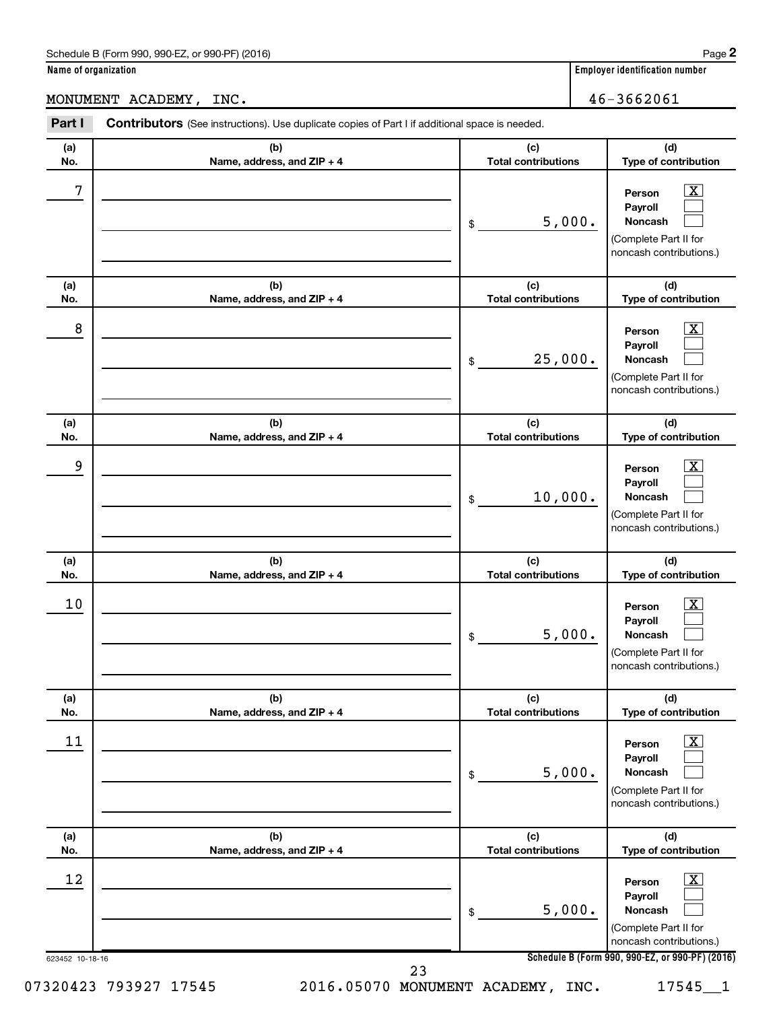MONUMENT ACADEMY, INC. 46-3662061

| (a) | (b)                        | (c)                        | (d)                                                                                                           |
|-----|----------------------------|----------------------------|---------------------------------------------------------------------------------------------------------------|
| No. | Name, address, and ZIP + 4 | <b>Total contributions</b> | Type of contribution                                                                                          |
| 7   |                            | 5,000.<br>\$               | $\overline{\mathbf{X}}$<br>Person<br>Payroll<br>Noncash<br>(Complete Part II for<br>noncash contributions.)   |
| (a) | (b)                        | (c)                        | (d)                                                                                                           |
| No. | Name, address, and ZIP + 4 | <b>Total contributions</b> | Type of contribution                                                                                          |
| 8   |                            | 25,000.<br>\$              | $\overline{\text{X}}$<br>Person<br>Payroll<br>Noncash<br>(Complete Part II for<br>noncash contributions.)     |
| (a) | (b)                        | (c)                        | (d)                                                                                                           |
| No. | Name, address, and ZIP + 4 | <b>Total contributions</b> | Type of contribution                                                                                          |
| 9   |                            | 10,000.<br>\$              | $\overline{\text{X}}$<br>Person<br>Payroll<br>Noncash<br>(Complete Part II for<br>noncash contributions.)     |
| (a) | (b)                        | (c)                        | (d)                                                                                                           |
| No. | Name, address, and ZIP + 4 | <b>Total contributions</b> | Type of contribution                                                                                          |
| 10  |                            | 5,000.<br>\$               | $\overline{\mathbf{X}}$<br>Person<br>Payroll<br>Noncash<br>(Complete Part II for<br>noncash contributions.)   |
| (a) | (b)                        | (c)                        | (d)                                                                                                           |
| No. | Name, address, and ZIP + 4 | <b>Total contributions</b> | Type of contribution                                                                                          |
| 11  |                            | 5,000.<br>\$               | $\boxed{\text{X}}$<br>Person<br>Payroll<br><b>Noncash</b><br>(Complete Part II for<br>noncash contributions.) |
| (a) | (b)                        | (c)                        | (d)                                                                                                           |
| No. | Name, address, and ZIP + 4 | <b>Total contributions</b> | Type of contribution                                                                                          |
| 12  |                            | 5,000.<br>\$               | $\mathbf{X}$<br>Person<br>Payroll<br>Noncash<br>(Complete Part II for<br>noncash contributions.)              |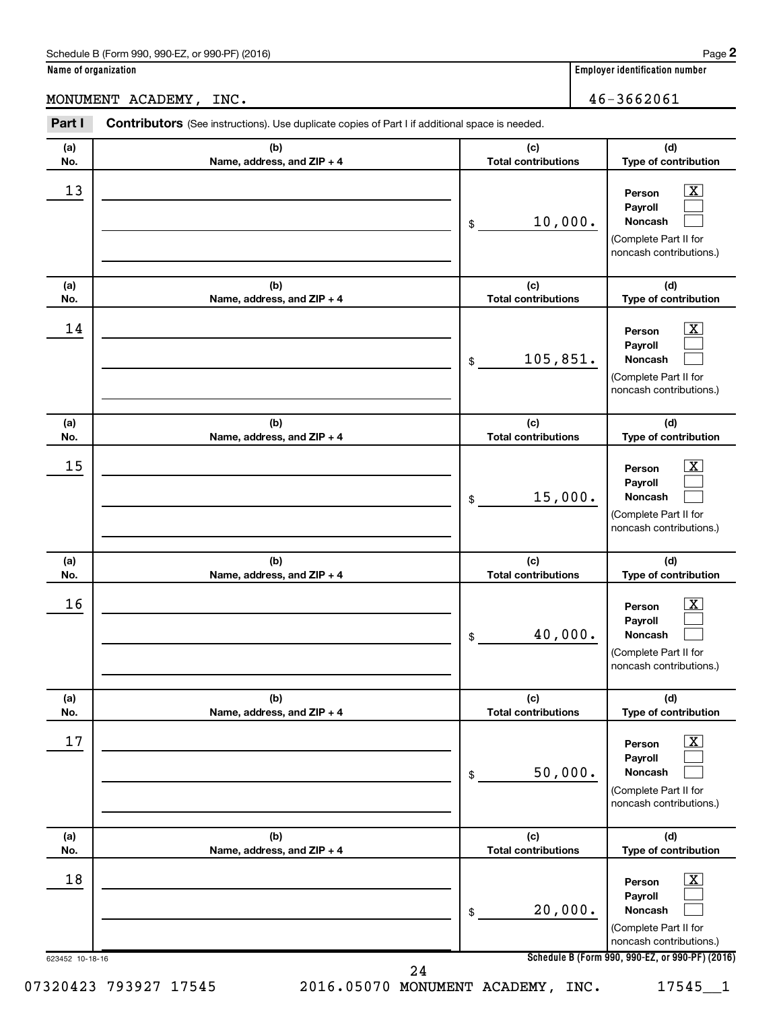**Part I** Contributors (See instructions). Use duplicate copies of Part I if additional space is needed.

### MONUMENT ACADEMY, INC. 46-3662061

| (a)<br>No.            | (b)<br>Name, address, and ZIP + 4 | (c)<br><b>Total contributions</b> | (d)<br>Type of contribution                                                                                                                                 |
|-----------------------|-----------------------------------|-----------------------------------|-------------------------------------------------------------------------------------------------------------------------------------------------------------|
| 13                    |                                   | 10,000.<br>\$                     | $\boxed{\textbf{X}}$<br>Person<br>Payroll<br>Noncash<br>(Complete Part II for<br>noncash contributions.)                                                    |
| (a)<br>No.            | (b)<br>Name, address, and ZIP + 4 | (c)<br><b>Total contributions</b> | (d)<br>Type of contribution                                                                                                                                 |
| 14                    |                                   | 105,851.<br>\$                    | $\boxed{\textbf{X}}$<br>Person<br>Payroll<br>Noncash<br>(Complete Part II for<br>noncash contributions.)                                                    |
| (a)<br>No.            | (b)<br>Name, address, and ZIP + 4 | (c)<br><b>Total contributions</b> | (d)<br>Type of contribution                                                                                                                                 |
| 15                    |                                   | 15,000.<br>\$                     | $\overline{\mathbf{X}}$<br>Person<br>Payroll<br>Noncash<br>(Complete Part II for<br>noncash contributions.)                                                 |
| (a)<br>No.            | (b)<br>Name, address, and ZIP + 4 | (c)<br><b>Total contributions</b> | (d)<br>Type of contribution                                                                                                                                 |
| 16                    |                                   | 40,000.<br>\$                     | $\overline{\text{X}}$<br>Person<br>Payroll<br>Noncash<br>(Complete Part II for<br>noncash contributions.)                                                   |
| (a)<br>No.            | (b)<br>Name, address, and ZIP + 4 | (c)<br><b>Total contributions</b> | (d)<br>Type of contribution                                                                                                                                 |
| 17                    |                                   | 50,000.<br>\$                     | $\boxed{\textbf{X}}$<br>Person<br>Payroll<br>Noncash<br>(Complete Part II for<br>noncash contributions.)                                                    |
| (a)<br>No.            | (b)<br>Name, address, and ZIP + 4 | (c)<br><b>Total contributions</b> | (d)<br>Type of contribution                                                                                                                                 |
| 18<br>623452 10-18-16 |                                   | 20,000.<br>\$                     | $\boxed{\textbf{X}}$<br>Person<br>Payroll<br>Noncash<br>(Complete Part II for<br>noncash contributions.)<br>Schedule B (Form 990, 990-EZ, or 990-PF) (2016) |
| 07320423 793927 17545 | 24                                | 2016.05070 MONUMENT ACADEMY, INC. | 17545_1                                                                                                                                                     |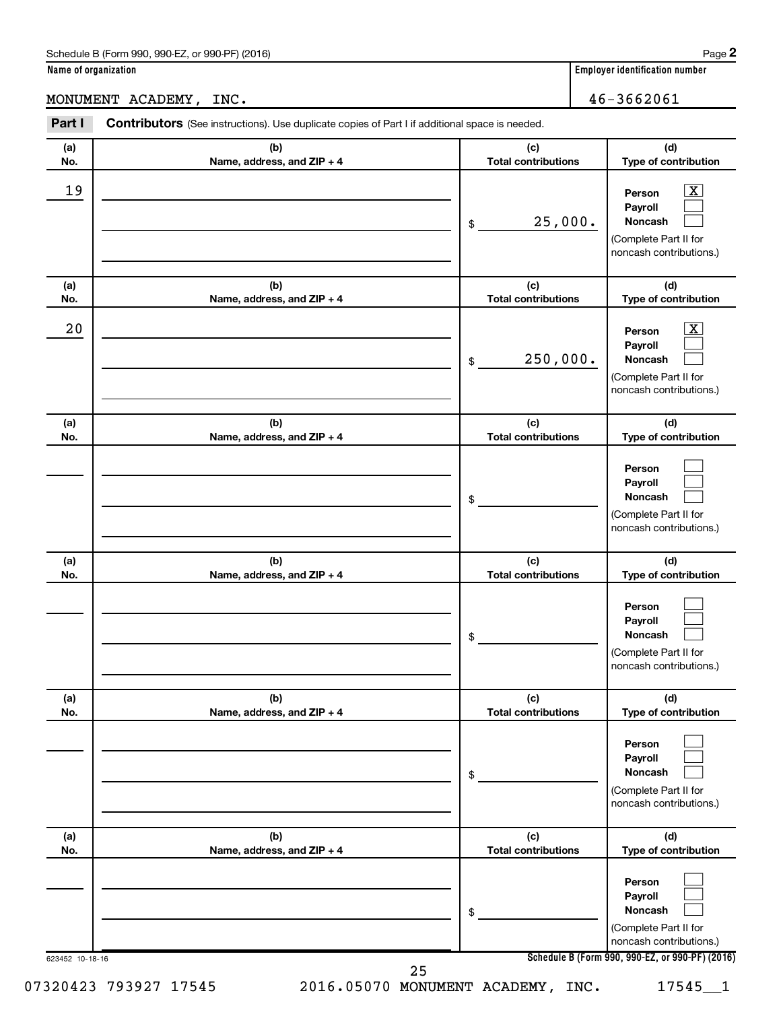MONUMENT ACADEMY, INC. 46-3662061

| (a) | (b)                        | (c)                        | (d)                                                                                                      |
|-----|----------------------------|----------------------------|----------------------------------------------------------------------------------------------------------|
| No. | Name, address, and ZIP + 4 | <b>Total contributions</b> | Type of contribution                                                                                     |
| 19  |                            | 25,000.<br>\$              | $\boxed{\text{X}}$<br>Person<br>Payroll<br>Noncash<br>(Complete Part II for<br>noncash contributions.)   |
| (a) | (b)                        | (c)                        | (d)                                                                                                      |
| No. | Name, address, and ZIP + 4 | <b>Total contributions</b> | Type of contribution                                                                                     |
| 20  |                            | 250,000.<br>\$             | $\boxed{\textbf{X}}$<br>Person<br>Payroll<br>Noncash<br>(Complete Part II for<br>noncash contributions.) |
| (a) | (b)                        | (c)                        | (d)                                                                                                      |
| No. | Name, address, and ZIP + 4 | <b>Total contributions</b> | Type of contribution                                                                                     |
|     |                            | \$                         | Person<br>Payroll<br>Noncash<br>(Complete Part II for<br>noncash contributions.)                         |
| (a) | (b)                        | (c)                        | (d)                                                                                                      |
| No. | Name, address, and ZIP + 4 | <b>Total contributions</b> | Type of contribution                                                                                     |
|     |                            | \$                         | Person<br>Payroll<br>Noncash<br>(Complete Part II for<br>noncash contributions.)                         |
| (a) | (b)                        | (c)                        | (d)                                                                                                      |
| No. | Name, address, and ZIP + 4 | <b>Total contributions</b> | Type of contribution                                                                                     |
|     |                            | \$                         | Person<br>Payroll<br>Noncash<br>(Complete Part II for<br>noncash contributions.)                         |
| (a) | (b)                        | (c)                        | (d)                                                                                                      |
| No. | Name, address, and ZIP + 4 | <b>Total contributions</b> | Type of contribution                                                                                     |
|     |                            | \$                         | Person<br>Payroll<br>Noncash<br>(Complete Part II for<br>noncash contributions.)                         |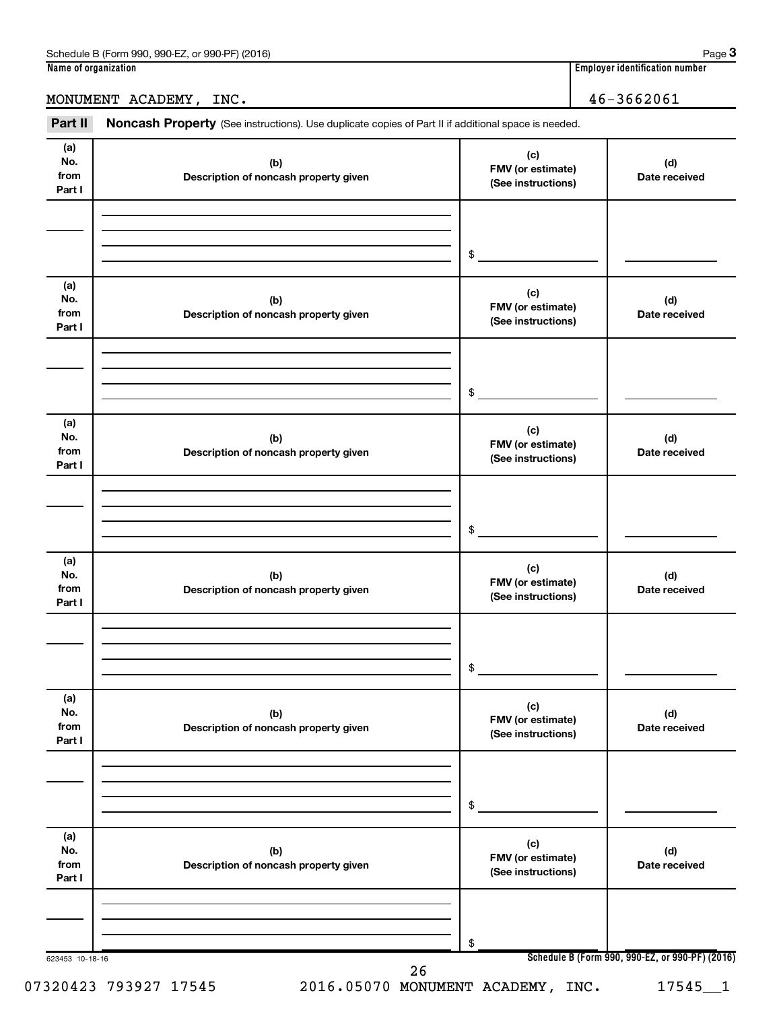### MONUMENT ACADEMY, INC. 46-3662061

Part II Noncash Property (See instructions). Use duplicate copies of Part II if additional space is needed.

| No.<br>from<br>Part I        | (b)<br>Description of noncash property given | FMV (or estimate)<br>(See instructions)        | (d)<br>Date received                            |
|------------------------------|----------------------------------------------|------------------------------------------------|-------------------------------------------------|
|                              |                                              | \$                                             |                                                 |
| (a)<br>No.<br>from<br>Part I | (b)<br>Description of noncash property given | (c)<br>FMV (or estimate)<br>(See instructions) | (d)<br>Date received                            |
|                              |                                              | \$                                             |                                                 |
| (a)<br>No.<br>from<br>Part I | (b)<br>Description of noncash property given | (c)<br>FMV (or estimate)<br>(See instructions) | (d)<br>Date received                            |
|                              |                                              | \$                                             |                                                 |
| (a)<br>No.<br>from<br>Part I | (b)<br>Description of noncash property given | (c)<br>FMV (or estimate)<br>(See instructions) | (d)<br>Date received                            |
|                              |                                              | \$                                             |                                                 |
| (a)<br>No.<br>from<br>Part I | (b)<br>Description of noncash property given | (c)<br>FMV (or estimate)<br>(See instructions) | (d)<br>Date received                            |
|                              |                                              | \$                                             |                                                 |
| (a)<br>No.<br>from<br>Part I | (b)<br>Description of noncash property given | (c)<br>FMV (or estimate)<br>(See instructions) | (d)<br>Date received                            |
|                              |                                              | \$                                             | Schedule B (Form 990, 990-EZ, or 990-PF) (2016) |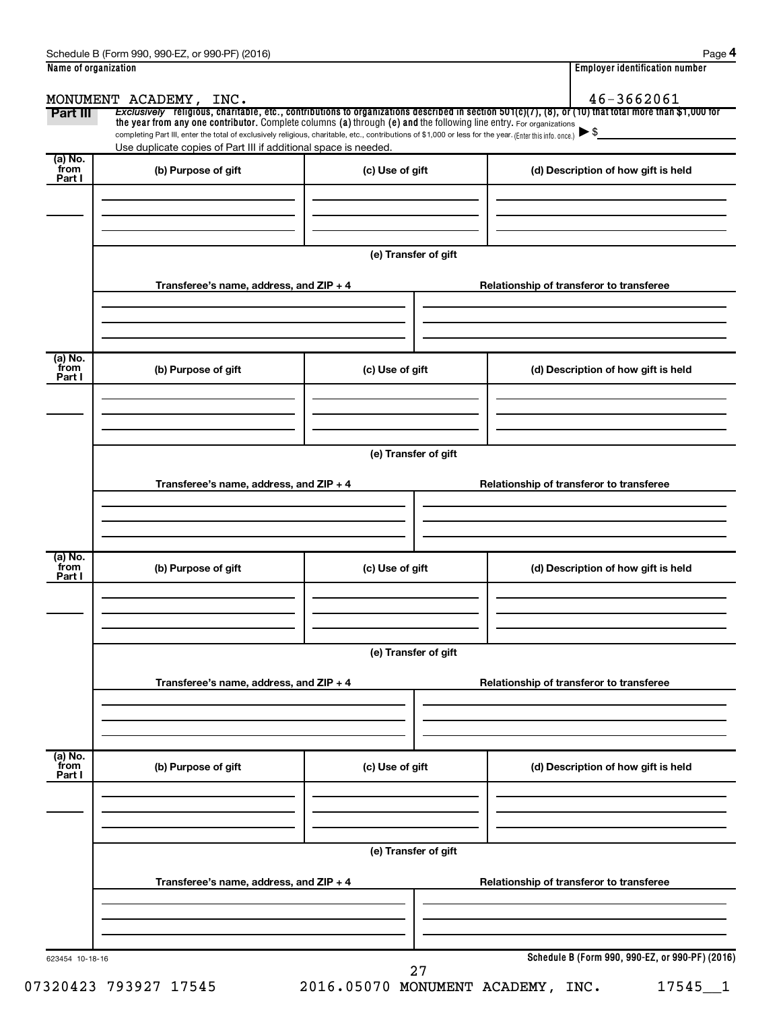|                           | MONUMENT ACADEMY, INC.                                                                                                                                                                                                      |                      | 46-3662061                                                                                                                                            |
|---------------------------|-----------------------------------------------------------------------------------------------------------------------------------------------------------------------------------------------------------------------------|----------------------|-------------------------------------------------------------------------------------------------------------------------------------------------------|
| Part III                  | the year from any one contributor. Complete columns (a) through (e) and the following line entry. For organizations                                                                                                         |                      | Exclusively religious, charitable, etc., contributions to organizations described in section 501(c)(7), (8), or (10) that total more than \$1,000 for |
|                           | completing Part III, enter the total of exclusively religious, charitable, etc., contributions of \$1,000 or less for the year. (Enter this info. once.)<br>Use duplicate copies of Part III if additional space is needed. |                      |                                                                                                                                                       |
| (a) No.<br>from<br>Part I | (b) Purpose of gift                                                                                                                                                                                                         | (c) Use of gift      | (d) Description of how gift is held                                                                                                                   |
|                           |                                                                                                                                                                                                                             | (e) Transfer of gift |                                                                                                                                                       |
|                           | Transferee's name, address, and ZIP + 4                                                                                                                                                                                     |                      | Relationship of transferor to transferee                                                                                                              |
| (a) No.<br>from<br>Part I | (b) Purpose of gift                                                                                                                                                                                                         | (c) Use of gift      | (d) Description of how gift is held                                                                                                                   |
|                           |                                                                                                                                                                                                                             | (e) Transfer of gift |                                                                                                                                                       |
|                           | Transferee's name, address, and ZIP + 4                                                                                                                                                                                     |                      | Relationship of transferor to transferee                                                                                                              |
| (a) No.<br>from<br>Part I | (b) Purpose of gift                                                                                                                                                                                                         | (c) Use of gift      | (d) Description of how gift is held                                                                                                                   |
|                           | Transferee's name, address, and ZIP + 4                                                                                                                                                                                     | (e) Transfer of gift | Relationship of transferor to transferee                                                                                                              |
| (a) No.<br>from<br>Part I | (b) Purpose of gift                                                                                                                                                                                                         | (c) Use of gift      | (d) Description of how gift is held                                                                                                                   |
|                           | Transferee's name, address, and ZIP + 4                                                                                                                                                                                     | (e) Transfer of gift | Relationship of transferor to transferee                                                                                                              |
|                           |                                                                                                                                                                                                                             |                      |                                                                                                                                                       |

07320423 793927 17545 2016.05070 MONUMENT ACADEMY, INC. 17545 1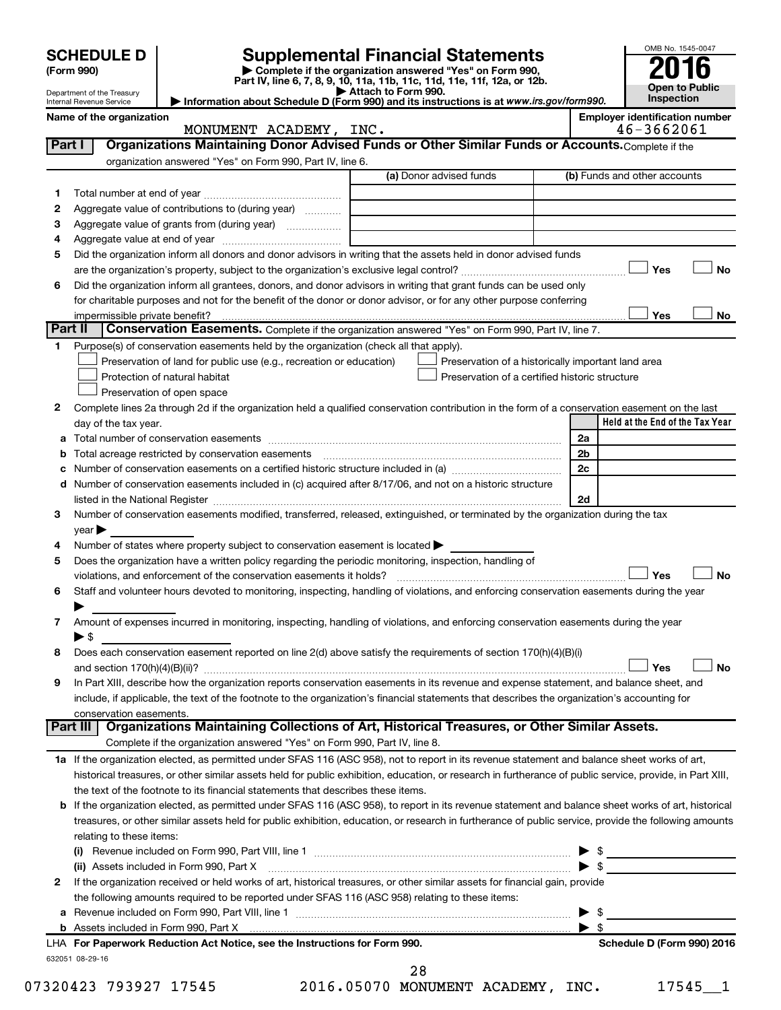| <b>SCHEDULE D</b><br>(Form 990) |                                                        |                                                                                                                                                                                                                                                                                                            | <b>Supplemental Financial Statements</b><br>Complete if the organization answered "Yes" on Form 990,<br>Part IV, line 6, 7, 8, 9, 10, 11a, 11b, 11c, 11d, 11e, 11f, 12a, or 12b. |                                       | OMB No. 1545-0047<br>Open to Public |           |
|---------------------------------|--------------------------------------------------------|------------------------------------------------------------------------------------------------------------------------------------------------------------------------------------------------------------------------------------------------------------------------------------------------------------|----------------------------------------------------------------------------------------------------------------------------------------------------------------------------------|---------------------------------------|-------------------------------------|-----------|
|                                 | Department of the Treasury<br>Internal Revenue Service |                                                                                                                                                                                                                                                                                                            | Attach to Form 990.<br>Information about Schedule D (Form 990) and its instructions is at www.irs.gov/form990.                                                                   |                                       | Inspection                          |           |
|                                 | Name of the organization                               | MONUMENT ACADEMY, INC.                                                                                                                                                                                                                                                                                     |                                                                                                                                                                                  | <b>Employer identification number</b> | 46-3662061                          |           |
| Part I                          |                                                        | Organizations Maintaining Donor Advised Funds or Other Similar Funds or Accounts. Complete if the                                                                                                                                                                                                          |                                                                                                                                                                                  |                                       |                                     |           |
|                                 |                                                        | organization answered "Yes" on Form 990, Part IV, line 6.                                                                                                                                                                                                                                                  |                                                                                                                                                                                  |                                       |                                     |           |
|                                 |                                                        |                                                                                                                                                                                                                                                                                                            | (a) Donor advised funds                                                                                                                                                          | (b) Funds and other accounts          |                                     |           |
| 1                               |                                                        |                                                                                                                                                                                                                                                                                                            |                                                                                                                                                                                  |                                       |                                     |           |
| 2<br>3                          |                                                        | Aggregate value of contributions to (during year)<br>Aggregate value of grants from (during year)                                                                                                                                                                                                          |                                                                                                                                                                                  |                                       |                                     |           |
| 4                               |                                                        |                                                                                                                                                                                                                                                                                                            |                                                                                                                                                                                  |                                       |                                     |           |
| 5                               |                                                        | Did the organization inform all donors and donor advisors in writing that the assets held in donor advised funds                                                                                                                                                                                           |                                                                                                                                                                                  |                                       |                                     |           |
|                                 |                                                        |                                                                                                                                                                                                                                                                                                            |                                                                                                                                                                                  |                                       | Yes                                 | <b>No</b> |
| 6                               |                                                        | Did the organization inform all grantees, donors, and donor advisors in writing that grant funds can be used only                                                                                                                                                                                          |                                                                                                                                                                                  |                                       |                                     |           |
|                                 |                                                        | for charitable purposes and not for the benefit of the donor or donor advisor, or for any other purpose conferring                                                                                                                                                                                         |                                                                                                                                                                                  |                                       |                                     |           |
|                                 | impermissible private benefit?                         |                                                                                                                                                                                                                                                                                                            |                                                                                                                                                                                  |                                       | Yes                                 | No        |
| Part II                         |                                                        | Conservation Easements. Complete if the organization answered "Yes" on Form 990, Part IV, line 7.                                                                                                                                                                                                          |                                                                                                                                                                                  |                                       |                                     |           |
| 1.                              |                                                        | Purpose(s) of conservation easements held by the organization (check all that apply).                                                                                                                                                                                                                      |                                                                                                                                                                                  |                                       |                                     |           |
|                                 |                                                        | Preservation of land for public use (e.g., recreation or education)                                                                                                                                                                                                                                        | Preservation of a historically important land area                                                                                                                               |                                       |                                     |           |
|                                 |                                                        | Protection of natural habitat<br>Preservation of open space                                                                                                                                                                                                                                                | Preservation of a certified historic structure                                                                                                                                   |                                       |                                     |           |
| 2                               |                                                        | Complete lines 2a through 2d if the organization held a qualified conservation contribution in the form of a conservation easement on the last                                                                                                                                                             |                                                                                                                                                                                  |                                       |                                     |           |
|                                 | day of the tax year.                                   |                                                                                                                                                                                                                                                                                                            |                                                                                                                                                                                  |                                       | Held at the End of the Tax Year     |           |
| а                               |                                                        |                                                                                                                                                                                                                                                                                                            |                                                                                                                                                                                  | 2a                                    |                                     |           |
| b                               |                                                        |                                                                                                                                                                                                                                                                                                            |                                                                                                                                                                                  | 2 <sub>b</sub>                        |                                     |           |
| с                               |                                                        |                                                                                                                                                                                                                                                                                                            |                                                                                                                                                                                  | 2c                                    |                                     |           |
|                                 |                                                        | d Number of conservation easements included in (c) acquired after 8/17/06, and not on a historic structure                                                                                                                                                                                                 |                                                                                                                                                                                  |                                       |                                     |           |
|                                 |                                                        | listed in the National Register [111] [12] states and the National Property of the National Register [11] [12]                                                                                                                                                                                             |                                                                                                                                                                                  | 2d                                    |                                     |           |
| 3                               |                                                        | Number of conservation easements modified, transferred, released, extinguished, or terminated by the organization during the tax                                                                                                                                                                           |                                                                                                                                                                                  |                                       |                                     |           |
|                                 | $\vee$ ear $\blacktriangleright$                       |                                                                                                                                                                                                                                                                                                            |                                                                                                                                                                                  |                                       |                                     |           |
| 4                               |                                                        | Number of states where property subject to conservation easement is located >                                                                                                                                                                                                                              |                                                                                                                                                                                  |                                       |                                     |           |
| 5                               |                                                        | Does the organization have a written policy regarding the periodic monitoring, inspection, handling of<br>violations, and enforcement of the conservation easements it holds?                                                                                                                              |                                                                                                                                                                                  |                                       | Yes                                 | No        |
| 6                               |                                                        | Staff and volunteer hours devoted to monitoring, inspecting, handling of violations, and enforcing conservation easements during the year                                                                                                                                                                  |                                                                                                                                                                                  |                                       |                                     |           |
|                                 |                                                        |                                                                                                                                                                                                                                                                                                            |                                                                                                                                                                                  |                                       |                                     |           |
| 7                               |                                                        | Amount of expenses incurred in monitoring, inspecting, handling of violations, and enforcing conservation easements during the year                                                                                                                                                                        |                                                                                                                                                                                  |                                       |                                     |           |
|                                 | $\blacktriangleright$ \$                               |                                                                                                                                                                                                                                                                                                            |                                                                                                                                                                                  |                                       |                                     |           |
| 8                               |                                                        | Does each conservation easement reported on line 2(d) above satisfy the requirements of section 170(h)(4)(B)(i)                                                                                                                                                                                            |                                                                                                                                                                                  |                                       |                                     |           |
|                                 |                                                        |                                                                                                                                                                                                                                                                                                            |                                                                                                                                                                                  |                                       | Yes                                 | No        |
| 9                               |                                                        | In Part XIII, describe how the organization reports conservation easements in its revenue and expense statement, and balance sheet, and                                                                                                                                                                    |                                                                                                                                                                                  |                                       |                                     |           |
|                                 |                                                        | include, if applicable, the text of the footnote to the organization's financial statements that describes the organization's accounting for                                                                                                                                                               |                                                                                                                                                                                  |                                       |                                     |           |
|                                 | conservation easements.                                |                                                                                                                                                                                                                                                                                                            |                                                                                                                                                                                  |                                       |                                     |           |
|                                 | Part III                                               | Organizations Maintaining Collections of Art, Historical Treasures, or Other Similar Assets.                                                                                                                                                                                                               |                                                                                                                                                                                  |                                       |                                     |           |
|                                 |                                                        | Complete if the organization answered "Yes" on Form 990, Part IV, line 8.                                                                                                                                                                                                                                  |                                                                                                                                                                                  |                                       |                                     |           |
|                                 |                                                        | 1a If the organization elected, as permitted under SFAS 116 (ASC 958), not to report in its revenue statement and balance sheet works of art,<br>historical treasures, or other similar assets held for public exhibition, education, or research in furtherance of public service, provide, in Part XIII, |                                                                                                                                                                                  |                                       |                                     |           |
|                                 |                                                        | the text of the footnote to its financial statements that describes these items.                                                                                                                                                                                                                           |                                                                                                                                                                                  |                                       |                                     |           |
|                                 |                                                        | <b>b</b> If the organization elected, as permitted under SFAS 116 (ASC 958), to report in its revenue statement and balance sheet works of art, historical                                                                                                                                                 |                                                                                                                                                                                  |                                       |                                     |           |
|                                 |                                                        | treasures, or other similar assets held for public exhibition, education, or research in furtherance of public service, provide the following amounts                                                                                                                                                      |                                                                                                                                                                                  |                                       |                                     |           |
|                                 | relating to these items:                               |                                                                                                                                                                                                                                                                                                            |                                                                                                                                                                                  |                                       |                                     |           |
|                                 |                                                        |                                                                                                                                                                                                                                                                                                            |                                                                                                                                                                                  | $\triangleright$ \$                   |                                     |           |
|                                 |                                                        | (ii) Assets included in Form 990, Part X                                                                                                                                                                                                                                                                   |                                                                                                                                                                                  | $\triangleright$ \$                   |                                     |           |
| 2                               |                                                        | If the organization received or held works of art, historical treasures, or other similar assets for financial gain, provide                                                                                                                                                                               |                                                                                                                                                                                  |                                       |                                     |           |
|                                 |                                                        | the following amounts required to be reported under SFAS 116 (ASC 958) relating to these items:                                                                                                                                                                                                            |                                                                                                                                                                                  |                                       |                                     |           |
|                                 |                                                        |                                                                                                                                                                                                                                                                                                            |                                                                                                                                                                                  | $\blacktriangleright$ \$              |                                     |           |
|                                 |                                                        |                                                                                                                                                                                                                                                                                                            |                                                                                                                                                                                  | $\blacktriangleright$ \$              |                                     |           |
|                                 |                                                        | LHA For Paperwork Reduction Act Notice, see the Instructions for Form 990.                                                                                                                                                                                                                                 |                                                                                                                                                                                  |                                       | Schedule D (Form 990) 2016          |           |
|                                 | 632051 08-29-16                                        |                                                                                                                                                                                                                                                                                                            | 28                                                                                                                                                                               |                                       |                                     |           |

07320423 793927 17545 2016.05070 MONUMENT ACADEMY, INC. 17545 1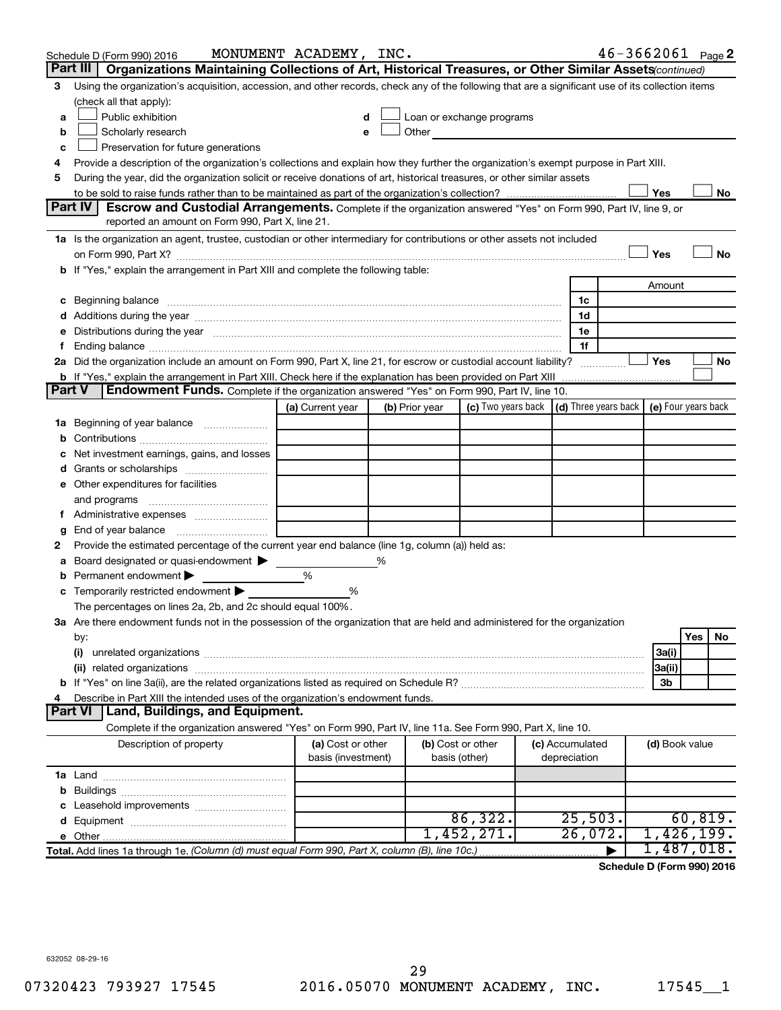|               | Schedule D (Form 990) 2016                                                                                                                                                                                                     | MONUMENT ACADEMY, INC.                  |   |                                    |                                                                             |                                 |                | $46 - 3662061$ Page 2 |
|---------------|--------------------------------------------------------------------------------------------------------------------------------------------------------------------------------------------------------------------------------|-----------------------------------------|---|------------------------------------|-----------------------------------------------------------------------------|---------------------------------|----------------|-----------------------|
|               | Organizations Maintaining Collections of Art, Historical Treasures, or Other Similar Assets (continued)<br>Part III                                                                                                            |                                         |   |                                    |                                                                             |                                 |                |                       |
| 3             | Using the organization's acquisition, accession, and other records, check any of the following that are a significant use of its collection items<br>(check all that apply):                                                   |                                         |   |                                    |                                                                             |                                 |                |                       |
|               | Public exhibition                                                                                                                                                                                                              |                                         |   |                                    | Loan or exchange programs                                                   |                                 |                |                       |
| a             |                                                                                                                                                                                                                                |                                         |   | Other                              |                                                                             |                                 |                |                       |
| b             | Scholarly research                                                                                                                                                                                                             |                                         |   |                                    |                                                                             |                                 |                |                       |
| c             | Preservation for future generations                                                                                                                                                                                            |                                         |   |                                    |                                                                             |                                 |                |                       |
| 4             | Provide a description of the organization's collections and explain how they further the organization's exempt purpose in Part XIII.                                                                                           |                                         |   |                                    |                                                                             |                                 |                |                       |
| 5             | During the year, did the organization solicit or receive donations of art, historical treasures, or other similar assets                                                                                                       |                                         |   |                                    |                                                                             |                                 |                |                       |
|               | Part IV<br><b>Escrow and Custodial Arrangements.</b> Complete if the organization answered "Yes" on Form 990, Part IV, line 9, or                                                                                              |                                         |   |                                    |                                                                             |                                 | Yes            | No                    |
|               | reported an amount on Form 990, Part X, line 21.                                                                                                                                                                               |                                         |   |                                    |                                                                             |                                 |                |                       |
|               | 1a Is the organization an agent, trustee, custodian or other intermediary for contributions or other assets not included                                                                                                       |                                         |   |                                    |                                                                             |                                 |                |                       |
|               |                                                                                                                                                                                                                                |                                         |   |                                    |                                                                             |                                 | Yes            | No                    |
|               | b If "Yes," explain the arrangement in Part XIII and complete the following table:                                                                                                                                             |                                         |   |                                    |                                                                             |                                 |                |                       |
|               |                                                                                                                                                                                                                                |                                         |   |                                    |                                                                             |                                 | Amount         |                       |
|               | c Beginning balance measurements and the contract of the contract of the contract of the contract of the contract of the contract of the contract of the contract of the contract of the contract of the contract of the contr |                                         |   |                                    |                                                                             | 1c                              |                |                       |
|               |                                                                                                                                                                                                                                |                                         |   |                                    |                                                                             | 1d                              |                |                       |
| е             | Distributions during the year manufactured and an account of the year manufactured and the year manufactured and the year manufactured and the year manufactured and the year manufactured and the year manufactured and the y |                                         |   |                                    |                                                                             | 1e                              |                |                       |
| f.            |                                                                                                                                                                                                                                |                                         |   |                                    |                                                                             | 1f                              |                |                       |
|               | 2a Did the organization include an amount on Form 990, Part X, line 21, for escrow or custodial account liability?                                                                                                             |                                         |   |                                    |                                                                             |                                 | Yes            | No                    |
|               | b If "Yes," explain the arrangement in Part XIII. Check here if the explanation has been provided on Part XIII                                                                                                                 |                                         |   |                                    |                                                                             |                                 |                |                       |
| <b>Part V</b> | Endowment Funds. Complete if the organization answered "Yes" on Form 990, Part IV, line 10.                                                                                                                                    |                                         |   |                                    |                                                                             |                                 |                |                       |
|               |                                                                                                                                                                                                                                | (a) Current year                        |   | (b) Prior year                     | (c) Two years back $\vert$ (d) Three years back $\vert$ (e) Four years back |                                 |                |                       |
|               | <b>1a</b> Beginning of year balance                                                                                                                                                                                            |                                         |   |                                    |                                                                             |                                 |                |                       |
| b             |                                                                                                                                                                                                                                |                                         |   |                                    |                                                                             |                                 |                |                       |
| c             | Net investment earnings, gains, and losses                                                                                                                                                                                     |                                         |   |                                    |                                                                             |                                 |                |                       |
| d             | Grants or scholarships                                                                                                                                                                                                         |                                         |   |                                    |                                                                             |                                 |                |                       |
|               | e Other expenditures for facilities                                                                                                                                                                                            |                                         |   |                                    |                                                                             |                                 |                |                       |
|               | and programs                                                                                                                                                                                                                   |                                         |   |                                    |                                                                             |                                 |                |                       |
| t.            | Administrative expenses                                                                                                                                                                                                        |                                         |   |                                    |                                                                             |                                 |                |                       |
| g             |                                                                                                                                                                                                                                |                                         |   |                                    |                                                                             |                                 |                |                       |
| 2             | Provide the estimated percentage of the current year end balance (line 1g, column (a)) held as:                                                                                                                                |                                         |   |                                    |                                                                             |                                 |                |                       |
| а             | Board designated or quasi-endowment                                                                                                                                                                                            |                                         | % |                                    |                                                                             |                                 |                |                       |
| b             | Permanent endowment                                                                                                                                                                                                            | %                                       |   |                                    |                                                                             |                                 |                |                       |
|               | c Temporarily restricted endowment $\blacktriangleright$                                                                                                                                                                       | %                                       |   |                                    |                                                                             |                                 |                |                       |
|               | The percentages on lines 2a, 2b, and 2c should equal 100%.<br>3a Are there endowment funds not in the possession of the organization that are held and administered for the organization                                       |                                         |   |                                    |                                                                             |                                 |                |                       |
|               |                                                                                                                                                                                                                                |                                         |   |                                    |                                                                             |                                 |                | Yes<br>No.            |
|               | by:<br>(i)                                                                                                                                                                                                                     |                                         |   |                                    |                                                                             |                                 | 3a(i)          |                       |
|               |                                                                                                                                                                                                                                |                                         |   |                                    |                                                                             |                                 | 3a(ii)         |                       |
|               |                                                                                                                                                                                                                                |                                         |   |                                    |                                                                             |                                 | 3b             |                       |
| 4             | Describe in Part XIII the intended uses of the organization's endowment funds.                                                                                                                                                 |                                         |   |                                    |                                                                             |                                 |                |                       |
|               | <b>Part VI</b><br>  Land, Buildings, and Equipment.                                                                                                                                                                            |                                         |   |                                    |                                                                             |                                 |                |                       |
|               | Complete if the organization answered "Yes" on Form 990, Part IV, line 11a. See Form 990, Part X, line 10.                                                                                                                     |                                         |   |                                    |                                                                             |                                 |                |                       |
|               | Description of property                                                                                                                                                                                                        | (a) Cost or other<br>basis (investment) |   | (b) Cost or other<br>basis (other) |                                                                             | (c) Accumulated<br>depreciation | (d) Book value |                       |
|               |                                                                                                                                                                                                                                |                                         |   |                                    |                                                                             |                                 |                |                       |
| b             |                                                                                                                                                                                                                                |                                         |   |                                    |                                                                             |                                 |                |                       |
| c             | Leasehold improvements                                                                                                                                                                                                         |                                         |   |                                    |                                                                             |                                 |                |                       |
| d             |                                                                                                                                                                                                                                |                                         |   |                                    | 86, 322.                                                                    | 25,503.                         |                | 60, 819.              |
|               |                                                                                                                                                                                                                                |                                         |   |                                    | 1,452,271.                                                                  | 26,072.                         |                | 1,426,199.            |
|               | Total. Add lines 1a through 1e. (Column (d) must equal Form 990, Part X, column (B), line 10c.)                                                                                                                                |                                         |   |                                    |                                                                             |                                 |                | 1,487,018.            |

**Schedule D (Form 990) 2016**

632052 08-29-16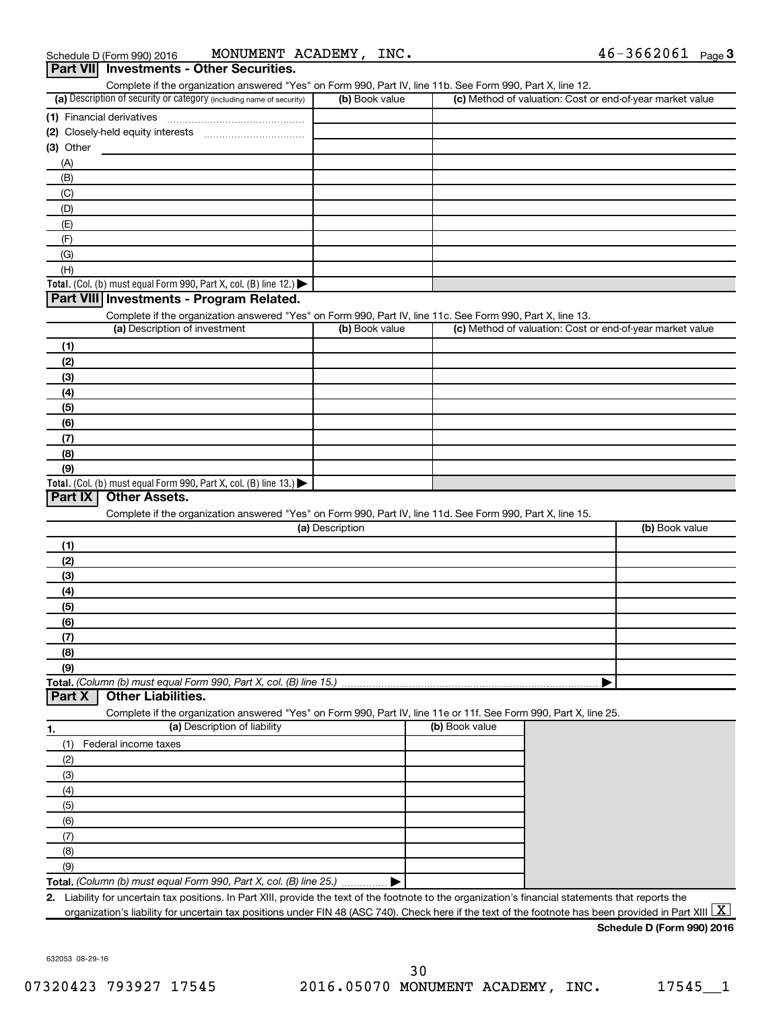| (a) Description of security or category (including name of security)                                              | (b) Book value  | (c) Method of valuation: Cost or end-of-year market value |                |
|-------------------------------------------------------------------------------------------------------------------|-----------------|-----------------------------------------------------------|----------------|
| (1) Financial derivatives                                                                                         |                 |                                                           |                |
|                                                                                                                   |                 |                                                           |                |
| $(3)$ Other                                                                                                       |                 |                                                           |                |
| (A)                                                                                                               |                 |                                                           |                |
| (B)                                                                                                               |                 |                                                           |                |
|                                                                                                                   |                 |                                                           |                |
| (C)                                                                                                               |                 |                                                           |                |
| (D)                                                                                                               |                 |                                                           |                |
| (E)                                                                                                               |                 |                                                           |                |
| (F)                                                                                                               |                 |                                                           |                |
| (G)                                                                                                               |                 |                                                           |                |
| (H)                                                                                                               |                 |                                                           |                |
| <b>Total.</b> (Col. (b) must equal Form 990, Part X, col. (B) line 12.) $\blacktriangleright$                     |                 |                                                           |                |
| Part VIII Investments - Program Related.                                                                          |                 |                                                           |                |
| Complete if the organization answered "Yes" on Form 990, Part IV, line 11c. See Form 990, Part X, line 13.        |                 |                                                           |                |
| (a) Description of investment                                                                                     | (b) Book value  | (c) Method of valuation: Cost or end-of-year market value |                |
| (1)                                                                                                               |                 |                                                           |                |
| (2)                                                                                                               |                 |                                                           |                |
| (3)                                                                                                               |                 |                                                           |                |
| (4)                                                                                                               |                 |                                                           |                |
|                                                                                                                   |                 |                                                           |                |
| (5)                                                                                                               |                 |                                                           |                |
| (6)                                                                                                               |                 |                                                           |                |
| (7)                                                                                                               |                 |                                                           |                |
| (8)                                                                                                               |                 |                                                           |                |
| (9)<br>Total. (Col. (b) must equal Form 990, Part X, col. (B) line $13.$ )                                        |                 |                                                           |                |
| Complete if the organization answered "Yes" on Form 990, Part IV, line 11d. See Form 990, Part X, line 15.        | (a) Description |                                                           | (b) Book value |
| (1)                                                                                                               |                 |                                                           |                |
|                                                                                                                   |                 |                                                           |                |
| (2)                                                                                                               |                 |                                                           |                |
| (3)                                                                                                               |                 |                                                           |                |
| (4)                                                                                                               |                 |                                                           |                |
| (5)                                                                                                               |                 |                                                           |                |
| (6)                                                                                                               |                 |                                                           |                |
|                                                                                                                   |                 |                                                           |                |
|                                                                                                                   |                 |                                                           |                |
|                                                                                                                   |                 |                                                           |                |
|                                                                                                                   |                 |                                                           |                |
|                                                                                                                   |                 |                                                           |                |
| <b>Other Liabilities.</b>                                                                                         |                 |                                                           |                |
| Complete if the organization answered "Yes" on Form 990, Part IV, line 11e or 11f. See Form 990, Part X, line 25. |                 |                                                           |                |
| (a) Description of liability                                                                                      |                 | (b) Book value                                            |                |
| Federal income taxes<br>(1)                                                                                       |                 |                                                           |                |
|                                                                                                                   |                 |                                                           |                |
| (3)                                                                                                               |                 |                                                           |                |
| (4)                                                                                                               |                 |                                                           |                |
| (2)<br>(5)                                                                                                        |                 |                                                           |                |
|                                                                                                                   |                 |                                                           |                |
| (6)                                                                                                               |                 |                                                           |                |
| (7)<br>(8)<br>(9)<br>Total. (Column (b) must equal Form 990, Part X, col. (B) line 15.)<br>Part X<br>(7)          |                 |                                                           |                |
| (8)                                                                                                               |                 |                                                           |                |
| (9)<br>Total. (Column (b) must equal Form 990, Part X, col. (B) line 25.)                                         |                 |                                                           |                |

632053 08-29-16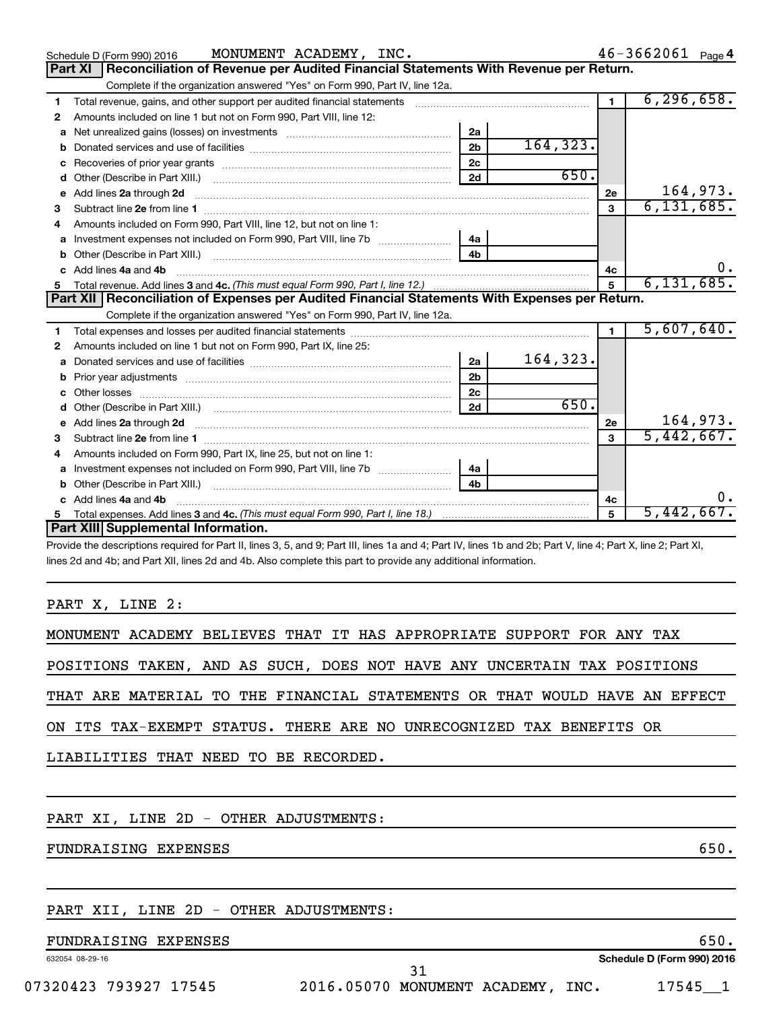|    | MONUMENT ACADEMY, INC.<br>Schedule D (Form 990) 2016                                                                          |                |           |                | $46 - 3662061$ Page 4 |
|----|-------------------------------------------------------------------------------------------------------------------------------|----------------|-----------|----------------|-----------------------|
|    | Reconciliation of Revenue per Audited Financial Statements With Revenue per Return.<br>Part XI                                |                |           |                |                       |
|    | Complete if the organization answered "Yes" on Form 990, Part IV, line 12a.                                                   |                |           |                |                       |
| 1  | Total revenue, gains, and other support per audited financial statements [[[[[[[[[[[[[[[[[[[[[[[[[]]]]]]]]]]]                 |                |           | $\blacksquare$ | 6, 296, 658.          |
| 2  | Amounts included on line 1 but not on Form 990, Part VIII, line 12:                                                           |                |           |                |                       |
| a  |                                                                                                                               | 2a             |           |                |                       |
| b  |                                                                                                                               | 2 <sub>b</sub> | 164, 323. |                |                       |
| c  |                                                                                                                               | 2 <sub>c</sub> |           |                |                       |
| d  |                                                                                                                               | 2d             | 650.      |                |                       |
| е  | Add lines 2a through 2d                                                                                                       |                |           | 2e             | 164,973.              |
| 3  |                                                                                                                               |                |           | 3              | 6, 131, 685.          |
|    | Amounts included on Form 990, Part VIII, line 12, but not on line 1:                                                          |                |           |                |                       |
|    |                                                                                                                               | 4a             |           |                |                       |
|    |                                                                                                                               | 4 <sub>h</sub> |           |                |                       |
|    | c Add lines 4a and 4b                                                                                                         |                |           | 4с             |                       |
|    |                                                                                                                               |                |           | 5              | 6, 131, 685.          |
|    | Part XII   Reconciliation of Expenses per Audited Financial Statements With Expenses per Return.                              |                |           |                |                       |
|    | Complete if the organization answered "Yes" on Form 990, Part IV, line 12a.                                                   |                |           |                |                       |
| 1. |                                                                                                                               |                |           |                | 5,607,640.            |
| 2  | Amounts included on line 1 but not on Form 990, Part IX, line 25:                                                             |                |           |                |                       |
| a  |                                                                                                                               | 2a             | 164,323.  |                |                       |
| b  |                                                                                                                               | 2 <sub>b</sub> |           |                |                       |
|    | Other losses                                                                                                                  | 2c             |           |                |                       |
|    |                                                                                                                               | 2d             | 650.      |                |                       |
|    | e Add lines 2a through 2d <b>[10]</b> [20] <b>All and Provide Add lines</b> 2a through 2d <b>[10] html</b>                    |                |           | 2e             | 164,973.              |
| з  | Subtract line 2e from line 1 <b>Manual Community of the Community of the Community Community</b> Subtract line 2e from line 1 |                |           | $\mathbf{a}$   | 5,442,667.            |
|    | Amounts included on Form 990, Part IX, line 25, but not on line 1:                                                            |                |           |                |                       |
| a  |                                                                                                                               | 4a             |           |                |                       |
|    |                                                                                                                               | 4 <sub>b</sub> |           |                |                       |
|    | Add lines 4a and 4b                                                                                                           |                |           | 4c             | О.                    |
|    |                                                                                                                               |                |           |                |                       |
| 5  |                                                                                                                               |                |           | 5              | 5,442,667.            |
|    | Part XIII Supplemental Information.<br><u>is put of top unit a trip unit at top unit above oping</u>                          |                |           |                |                       |

Provide the descriptions required for Part II, lines 3, 5, and 9; Part III, lines 1a and 4; Part IV, lines 1b and 2b; Part V, line 4; Part X, line 2; Part XI, lines 2d and 4b; and Part XII, lines 2d and 4b. Also complete this part to provide any additional information.

### PART X, LINE 2:

| MONUMENT ACADEMY BELIEVES THAT IT HAS APPROPRIATE SUPPORT FOR ANY TAX      |  |  |  |  |  |  |  |  |
|----------------------------------------------------------------------------|--|--|--|--|--|--|--|--|
| POSITIONS TAKEN, AND AS SUCH, DOES NOT HAVE ANY UNCERTAIN TAX POSITIONS    |  |  |  |  |  |  |  |  |
| THAT ARE MATERIAL TO THE FINANCIAL STATEMENTS OR THAT WOULD HAVE AN EFFECT |  |  |  |  |  |  |  |  |
| ON ITS TAX-EXEMPT STATUS. THERE ARE NO UNRECOGNIZED TAX BENEFITS OR        |  |  |  |  |  |  |  |  |
| LIABILITIES THAT NEED TO BE RECORDED.                                      |  |  |  |  |  |  |  |  |
|                                                                            |  |  |  |  |  |  |  |  |
| PART XI, LINE 2D - OTHER ADJUSTMENTS:                                      |  |  |  |  |  |  |  |  |

FUNDRAISING EXPENSES 650.

### PART XII, LINE 2D - OTHER ADJUSTMENTS:

### FUNDRAISING EXPENSES 650.

632054 08-29-16

**Schedule D (Form 990) 2016**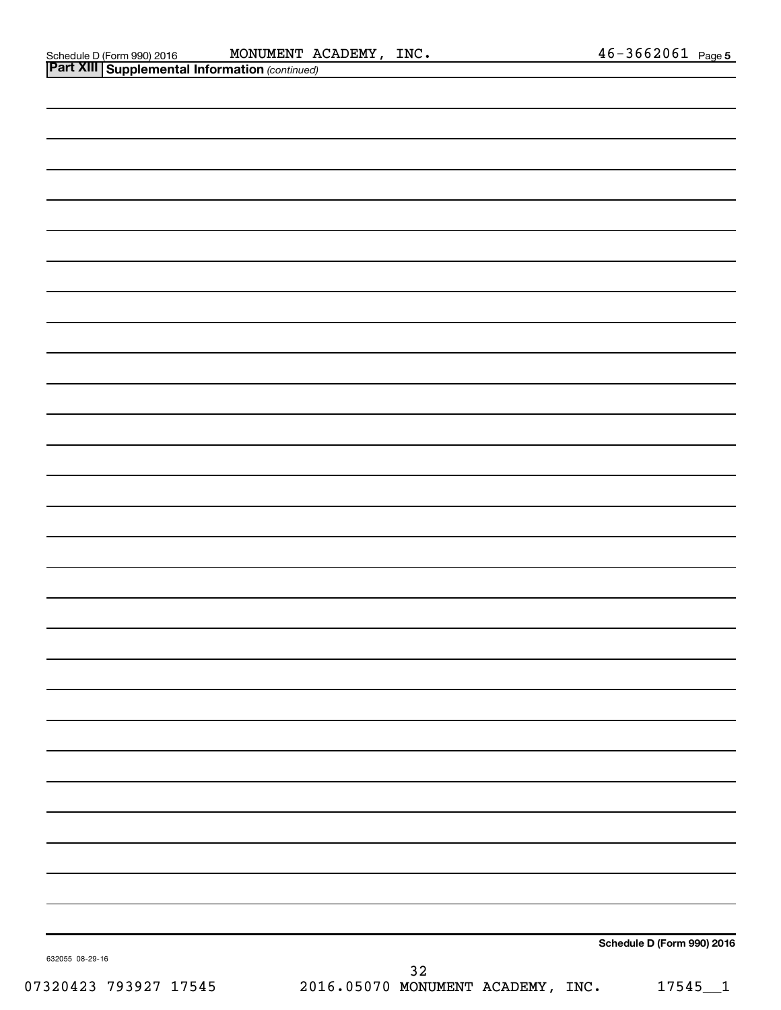|                 | <b>Part XIII Supplemental Information (continued)</b> |    |                            |
|-----------------|-------------------------------------------------------|----|----------------------------|
|                 |                                                       |    |                            |
|                 |                                                       |    |                            |
|                 |                                                       |    |                            |
|                 |                                                       |    |                            |
|                 |                                                       |    |                            |
|                 |                                                       |    |                            |
|                 |                                                       |    |                            |
|                 |                                                       |    |                            |
|                 |                                                       |    |                            |
|                 |                                                       |    |                            |
|                 |                                                       |    |                            |
|                 |                                                       |    |                            |
|                 |                                                       |    |                            |
|                 |                                                       |    |                            |
|                 |                                                       |    |                            |
|                 |                                                       |    |                            |
|                 |                                                       |    |                            |
|                 |                                                       |    |                            |
|                 |                                                       |    |                            |
|                 |                                                       |    |                            |
|                 |                                                       |    |                            |
|                 |                                                       |    |                            |
|                 |                                                       |    |                            |
|                 |                                                       |    |                            |
|                 |                                                       |    |                            |
|                 |                                                       |    |                            |
|                 |                                                       |    |                            |
|                 |                                                       |    |                            |
| 632055 08-29-16 |                                                       |    | Schedule D (Form 990) 2016 |
|                 |                                                       | 32 |                            |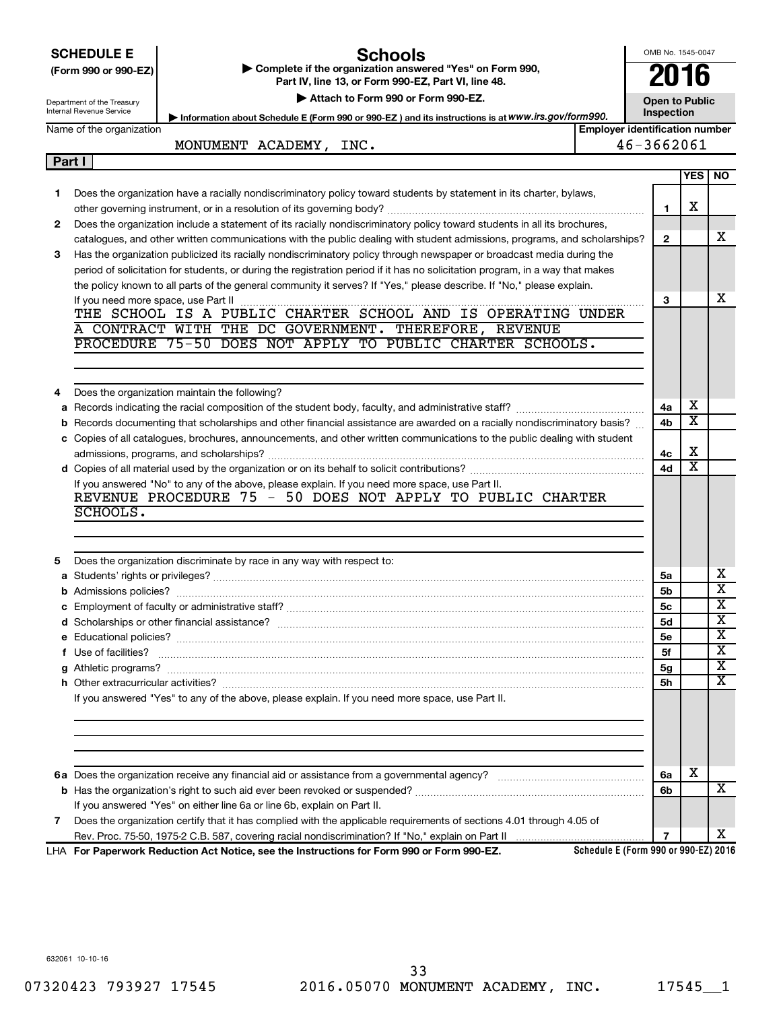|        | <b>SCHEDULE E</b><br><b>Schools</b>                                                                                                                                    | OMB No. 1545-0047 |                         |                                                    |  |  |  |
|--------|------------------------------------------------------------------------------------------------------------------------------------------------------------------------|-------------------|-------------------------|----------------------------------------------------|--|--|--|
|        | Complete if the organization answered "Yes" on Form 990,<br>(Form 990 or 990-EZ)                                                                                       | 2016              |                         |                                                    |  |  |  |
|        | Part IV, line 13, or Form 990-EZ, Part VI, line 48.                                                                                                                    |                   |                         |                                                    |  |  |  |
|        | Attach to Form 990 or Form 990-EZ.<br><b>Open to Public</b><br>Department of the Treasury<br>Internal Revenue Service                                                  |                   |                         |                                                    |  |  |  |
|        | Information about Schedule E (Form 990 or 990-EZ) and its instructions is at WWW.irs.gov/form990.<br>Name of the organization<br><b>Employer identification number</b> | Inspection        |                         |                                                    |  |  |  |
|        | MONUMENT ACADEMY, INC.                                                                                                                                                 | 46-3662061        |                         |                                                    |  |  |  |
| Part I |                                                                                                                                                                        |                   |                         |                                                    |  |  |  |
|        |                                                                                                                                                                        |                   | YES NO                  |                                                    |  |  |  |
| 1.     | Does the organization have a racially nondiscriminatory policy toward students by statement in its charter, bylaws,                                                    |                   |                         |                                                    |  |  |  |
|        |                                                                                                                                                                        | $\mathbf{1}$      | х                       |                                                    |  |  |  |
| 2      | Does the organization include a statement of its racially nondiscriminatory policy toward students in all its brochures,                                               |                   |                         |                                                    |  |  |  |
|        | catalogues, and other written communications with the public dealing with student admissions, programs, and scholarships?                                              | $\overline{2}$    |                         | x                                                  |  |  |  |
| 3      | Has the organization publicized its racially nondiscriminatory policy through newspaper or broadcast media during the                                                  |                   |                         |                                                    |  |  |  |
|        | period of solicitation for students, or during the registration period if it has no solicitation program, in a way that makes                                          |                   |                         |                                                    |  |  |  |
|        | the policy known to all parts of the general community it serves? If "Yes," please describe. If "No," please explain.                                                  |                   |                         |                                                    |  |  |  |
|        | If you need more space, use Part II                                                                                                                                    | 3                 |                         | x                                                  |  |  |  |
|        | THE SCHOOL IS A PUBLIC CHARTER SCHOOL AND IS OPERATING UNDER                                                                                                           |                   |                         |                                                    |  |  |  |
|        | A CONTRACT WITH THE DC GOVERNMENT. THEREFORE, REVENUE<br>PROCEDURE 75-50 DOES NOT APPLY TO PUBLIC CHARTER SCHOOLS.                                                     |                   |                         |                                                    |  |  |  |
|        |                                                                                                                                                                        |                   |                         |                                                    |  |  |  |
|        |                                                                                                                                                                        |                   |                         |                                                    |  |  |  |
|        | Does the organization maintain the following?                                                                                                                          |                   |                         |                                                    |  |  |  |
| 4<br>a |                                                                                                                                                                        | 4a                | х                       |                                                    |  |  |  |
|        | b Records documenting that scholarships and other financial assistance are awarded on a racially nondiscriminatory basis?                                              | 4b                | $\overline{\texttt{x}}$ |                                                    |  |  |  |
|        | c Copies of all catalogues, brochures, announcements, and other written communications to the public dealing with student                                              |                   |                         |                                                    |  |  |  |
|        |                                                                                                                                                                        | 4с                | X                       |                                                    |  |  |  |
|        |                                                                                                                                                                        | 4d                | X                       |                                                    |  |  |  |
|        | If you answered "No" to any of the above, please explain. If you need more space, use Part II.                                                                         |                   |                         |                                                    |  |  |  |
|        | REVENUE PROCEDURE 75 - 50 DOES NOT APPLY TO PUBLIC CHARTER                                                                                                             |                   |                         |                                                    |  |  |  |
|        | SCHOOLS.                                                                                                                                                               |                   |                         |                                                    |  |  |  |
|        |                                                                                                                                                                        |                   |                         |                                                    |  |  |  |
|        |                                                                                                                                                                        |                   |                         |                                                    |  |  |  |
| 5.     | Does the organization discriminate by race in any way with respect to:                                                                                                 |                   |                         |                                                    |  |  |  |
|        |                                                                                                                                                                        | 5a                |                         | х                                                  |  |  |  |
|        |                                                                                                                                                                        | 5b                |                         | $\overline{\textbf{x}}$<br>$\overline{\texttt{x}}$ |  |  |  |
|        |                                                                                                                                                                        | 5c                |                         | $\overline{\textbf{x}}$                            |  |  |  |
|        |                                                                                                                                                                        | 5d<br>5е          |                         | х                                                  |  |  |  |
|        |                                                                                                                                                                        | 5f                |                         | х                                                  |  |  |  |
|        |                                                                                                                                                                        | 5g                |                         | х                                                  |  |  |  |
|        |                                                                                                                                                                        | 5h                |                         | х                                                  |  |  |  |
|        | If you answered "Yes" to any of the above, please explain. If you need more space, use Part II.                                                                        |                   |                         |                                                    |  |  |  |
|        |                                                                                                                                                                        |                   |                         |                                                    |  |  |  |
|        |                                                                                                                                                                        |                   |                         |                                                    |  |  |  |
|        |                                                                                                                                                                        |                   |                         |                                                    |  |  |  |
|        |                                                                                                                                                                        |                   |                         |                                                    |  |  |  |
|        |                                                                                                                                                                        | 6a                | х                       |                                                    |  |  |  |
|        |                                                                                                                                                                        | 6b                |                         | X                                                  |  |  |  |
|        | If you answered "Yes" on either line 6a or line 6b, explain on Part II.                                                                                                |                   |                         |                                                    |  |  |  |
| 7      | Does the organization certify that it has complied with the applicable requirements of sections 4.01 through 4.05 of                                                   |                   |                         |                                                    |  |  |  |
|        |                                                                                                                                                                        | $\overline{7}$    |                         | x                                                  |  |  |  |

**For Paperwork Reduction Act Notice, see the Instructions for Form 990 or Form 990-EZ.** LHA

**Schedule E (Form 990 or 990-EZ) 2016**

632061 10-10-16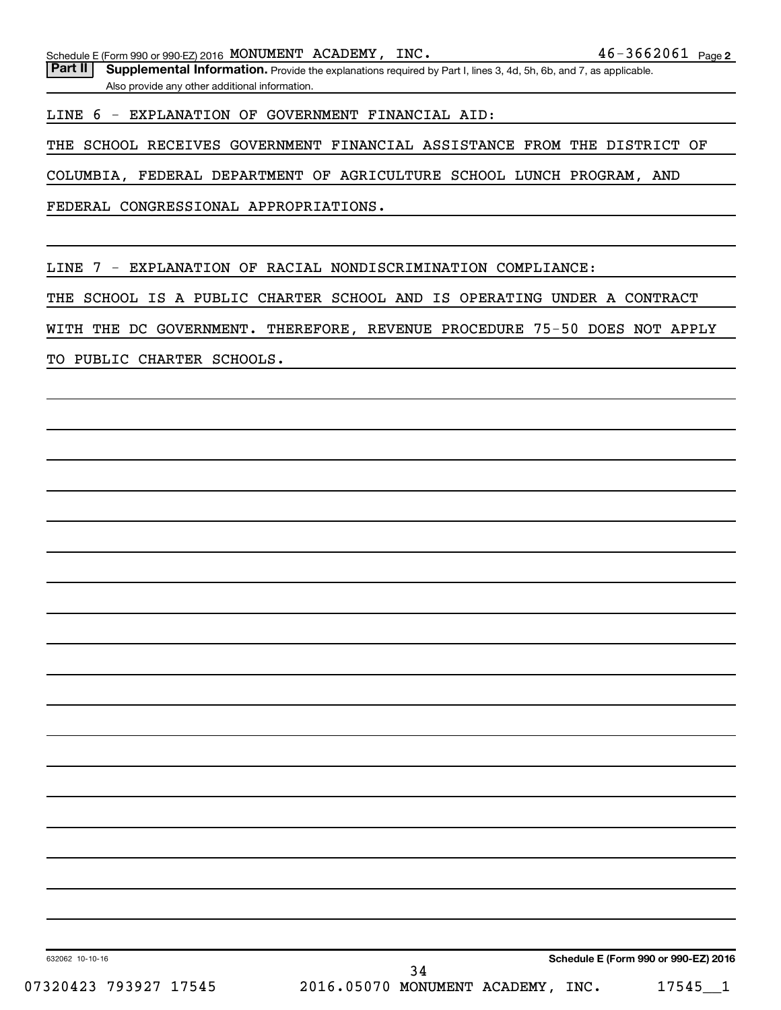Part II | Supplemental Information. Provide the explanations required by Part I, lines 3, 4d, 5h, 6b, and 7, as applicable. Also provide any other additional information.

LINE 6 - EXPLANATION OF GOVERNMENT FINANCIAL AID:

THE SCHOOL RECEIVES GOVERNMENT FINANCIAL ASSISTANCE FROM THE DISTRICT OF

COLUMBIA, FEDERAL DEPARTMENT OF AGRICULTURE SCHOOL LUNCH PROGRAM, AND

FEDERAL CONGRESSIONAL APPROPRIATIONS.

LINE 7 - EXPLANATION OF RACIAL NONDISCRIMINATION COMPLIANCE:

THE SCHOOL IS A PUBLIC CHARTER SCHOOL AND IS OPERATING UNDER A CONTRACT

WITH THE DC GOVERNMENT. THEREFORE, REVENUE PROCEDURE 75-50 DOES NOT APPLY

TO PUBLIC CHARTER SCHOOLS.

**Schedule E (Form 990 or 990-EZ) 2016**

632062 10-10-16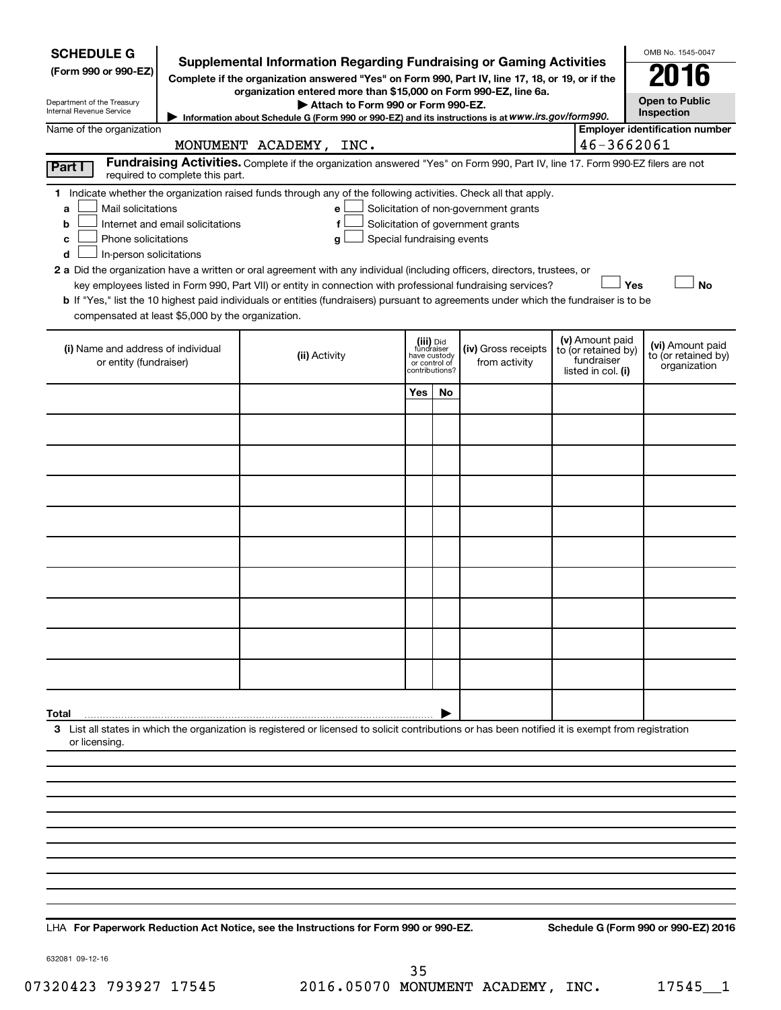| <b>SCHEDULE G</b><br>(Form 990 or 990-EZ)<br>Department of the Treasury<br>Internal Revenue Service                                           |                                  | <b>Supplemental Information Regarding Fundraising or Gaming Activities</b><br>Complete if the organization answered "Yes" on Form 990, Part IV, line 17, 18, or 19, or if the<br>organization entered more than \$15,000 on Form 990-EZ, line 6a.<br>Attach to Form 990 or Form 990-EZ.<br>Information about Schedule G (Form 990 or 990-EZ) and its instructions is at WWW.irs.gov/form990.                                                                                                                                                       |                                         |                                 |                                                                            |                                                                            | OMB No. 1545-0047<br><b>Open to Public</b><br>Inspection |           |
|-----------------------------------------------------------------------------------------------------------------------------------------------|----------------------------------|----------------------------------------------------------------------------------------------------------------------------------------------------------------------------------------------------------------------------------------------------------------------------------------------------------------------------------------------------------------------------------------------------------------------------------------------------------------------------------------------------------------------------------------------------|-----------------------------------------|---------------------------------|----------------------------------------------------------------------------|----------------------------------------------------------------------------|----------------------------------------------------------|-----------|
| Name of the organization                                                                                                                      |                                  |                                                                                                                                                                                                                                                                                                                                                                                                                                                                                                                                                    |                                         |                                 |                                                                            |                                                                            | <b>Employer identification number</b>                    |           |
|                                                                                                                                               |                                  | MONUMENT ACADEMY, INC.<br>Fundraising Activities. Complete if the organization answered "Yes" on Form 990, Part IV, line 17. Form 990-EZ filers are not                                                                                                                                                                                                                                                                                                                                                                                            |                                         |                                 |                                                                            | 46-3662061                                                                 |                                                          |           |
| Part I                                                                                                                                        | required to complete this part.  |                                                                                                                                                                                                                                                                                                                                                                                                                                                                                                                                                    |                                         |                                 |                                                                            |                                                                            |                                                          |           |
| Mail solicitations<br>a<br>b<br>Phone solicitations<br>c<br>In-person solicitations<br>d<br>compensated at least \$5,000 by the organization. | Internet and email solicitations | 1 Indicate whether the organization raised funds through any of the following activities. Check all that apply.<br>е<br>f<br>Special fundraising events<br>g<br>2 a Did the organization have a written or oral agreement with any individual (including officers, directors, trustees, or<br>key employees listed in Form 990, Part VII) or entity in connection with professional fundraising services?<br>b If "Yes," list the 10 highest paid individuals or entities (fundraisers) pursuant to agreements under which the fundraiser is to be |                                         |                                 | Solicitation of non-government grants<br>Solicitation of government grants |                                                                            | Yes                                                      | <b>No</b> |
| (i) Name and address of individual<br>or entity (fundraiser)                                                                                  |                                  | (ii) Activity                                                                                                                                                                                                                                                                                                                                                                                                                                                                                                                                      | (iii) Did<br>fundraiser<br>have custody | or control of<br>contributions? | (iv) Gross receipts<br>from activity                                       | (v) Amount paid<br>to (or retained by)<br>fundraiser<br>listed in col. (i) | (vi) Amount paid<br>to (or retained by)<br>organization  |           |
|                                                                                                                                               |                                  |                                                                                                                                                                                                                                                                                                                                                                                                                                                                                                                                                    | Yes                                     | No                              |                                                                            |                                                                            |                                                          |           |
|                                                                                                                                               |                                  |                                                                                                                                                                                                                                                                                                                                                                                                                                                                                                                                                    |                                         |                                 |                                                                            |                                                                            |                                                          |           |
|                                                                                                                                               |                                  |                                                                                                                                                                                                                                                                                                                                                                                                                                                                                                                                                    |                                         |                                 |                                                                            |                                                                            |                                                          |           |
|                                                                                                                                               |                                  |                                                                                                                                                                                                                                                                                                                                                                                                                                                                                                                                                    |                                         |                                 |                                                                            |                                                                            |                                                          |           |
|                                                                                                                                               |                                  |                                                                                                                                                                                                                                                                                                                                                                                                                                                                                                                                                    |                                         |                                 |                                                                            |                                                                            |                                                          |           |
|                                                                                                                                               |                                  |                                                                                                                                                                                                                                                                                                                                                                                                                                                                                                                                                    |                                         |                                 |                                                                            |                                                                            |                                                          |           |
|                                                                                                                                               |                                  |                                                                                                                                                                                                                                                                                                                                                                                                                                                                                                                                                    |                                         |                                 |                                                                            |                                                                            |                                                          |           |
|                                                                                                                                               |                                  |                                                                                                                                                                                                                                                                                                                                                                                                                                                                                                                                                    |                                         |                                 |                                                                            |                                                                            |                                                          |           |
|                                                                                                                                               |                                  |                                                                                                                                                                                                                                                                                                                                                                                                                                                                                                                                                    |                                         |                                 |                                                                            |                                                                            |                                                          |           |
|                                                                                                                                               |                                  |                                                                                                                                                                                                                                                                                                                                                                                                                                                                                                                                                    |                                         |                                 |                                                                            |                                                                            |                                                          |           |
|                                                                                                                                               |                                  |                                                                                                                                                                                                                                                                                                                                                                                                                                                                                                                                                    |                                         |                                 |                                                                            |                                                                            |                                                          |           |
|                                                                                                                                               |                                  |                                                                                                                                                                                                                                                                                                                                                                                                                                                                                                                                                    |                                         |                                 |                                                                            |                                                                            |                                                          |           |
|                                                                                                                                               |                                  |                                                                                                                                                                                                                                                                                                                                                                                                                                                                                                                                                    |                                         |                                 |                                                                            |                                                                            |                                                          |           |
| Total                                                                                                                                         |                                  |                                                                                                                                                                                                                                                                                                                                                                                                                                                                                                                                                    |                                         |                                 |                                                                            |                                                                            |                                                          |           |
| or licensing.                                                                                                                                 |                                  | 3 List all states in which the organization is registered or licensed to solicit contributions or has been notified it is exempt from registration                                                                                                                                                                                                                                                                                                                                                                                                 |                                         |                                 |                                                                            |                                                                            |                                                          |           |
|                                                                                                                                               |                                  |                                                                                                                                                                                                                                                                                                                                                                                                                                                                                                                                                    |                                         |                                 |                                                                            |                                                                            |                                                          |           |
|                                                                                                                                               |                                  |                                                                                                                                                                                                                                                                                                                                                                                                                                                                                                                                                    |                                         |                                 |                                                                            |                                                                            |                                                          |           |
|                                                                                                                                               |                                  |                                                                                                                                                                                                                                                                                                                                                                                                                                                                                                                                                    |                                         |                                 |                                                                            |                                                                            |                                                          |           |
|                                                                                                                                               |                                  |                                                                                                                                                                                                                                                                                                                                                                                                                                                                                                                                                    |                                         |                                 |                                                                            |                                                                            |                                                          |           |
|                                                                                                                                               |                                  |                                                                                                                                                                                                                                                                                                                                                                                                                                                                                                                                                    |                                         |                                 |                                                                            |                                                                            |                                                          |           |
|                                                                                                                                               |                                  |                                                                                                                                                                                                                                                                                                                                                                                                                                                                                                                                                    |                                         |                                 |                                                                            |                                                                            |                                                          |           |
|                                                                                                                                               |                                  |                                                                                                                                                                                                                                                                                                                                                                                                                                                                                                                                                    |                                         |                                 |                                                                            |                                                                            |                                                          |           |

**For Paperwork Reduction Act Notice, see the Instructions for Form 990 or 990-EZ. Schedule G (Form 990 or 990-EZ) 2016** LHA

632081 09-12-16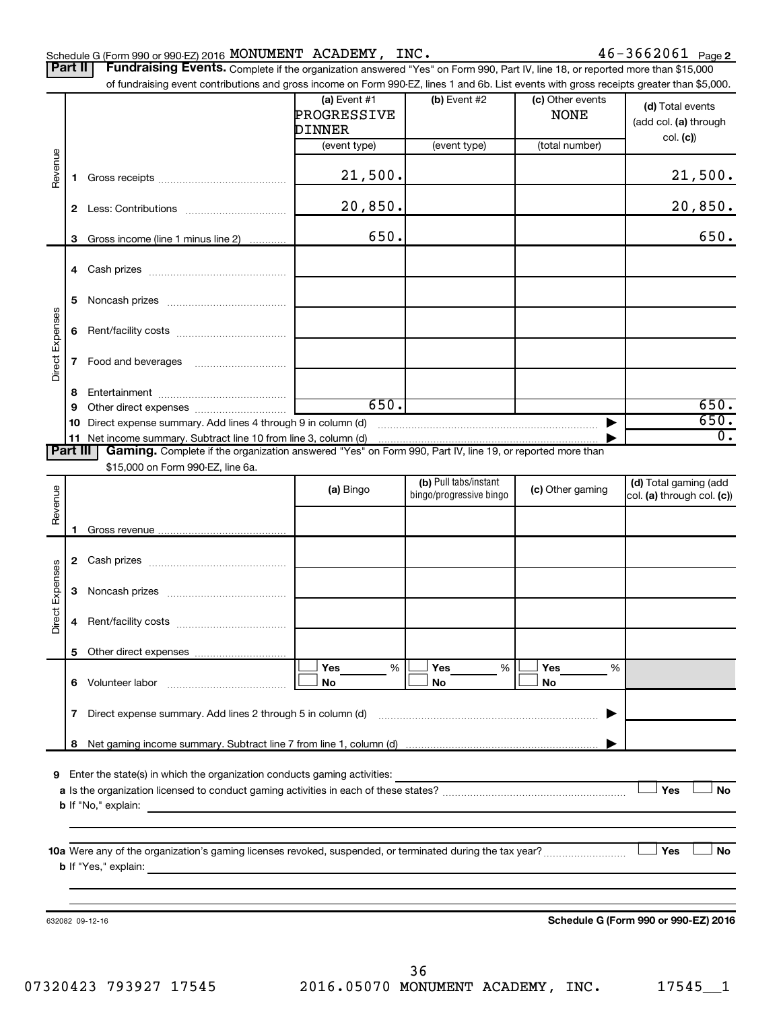#### Schedule G (Form 990 or 990-EZ) 2016 Page MONUMENT ACADEMY, INC. 46-3662061

46-3662061 Page 2

| Part II   Fundraising Events. Complete if the organization answered "Yes" on Form 990, Part IV, line 18, or reported more than \$15,000   |
|-------------------------------------------------------------------------------------------------------------------------------------------|
| of fundraising event contributions and gross income on Form 990-EZ, lines 1 and 6b. List events with gross receipts greater than \$5,000. |

|                 |              | of fundraising event contributions and gross income on Form 990-EZ, lines 1 and 6b. List events with gross receipts greater than \$5,000.                                                                                                 |                                         |                                                  |                                 |                                                     |
|-----------------|--------------|-------------------------------------------------------------------------------------------------------------------------------------------------------------------------------------------------------------------------------------------|-----------------------------------------|--------------------------------------------------|---------------------------------|-----------------------------------------------------|
|                 |              |                                                                                                                                                                                                                                           | (a) Event $#1$<br>PROGRESSIVE<br>DINNER | $(b)$ Event #2                                   | (c) Other events<br><b>NONE</b> | (d) Total events<br>(add col. (a) through           |
|                 |              |                                                                                                                                                                                                                                           | (event type)                            | (event type)                                     | (total number)                  | col. (c)                                            |
| Revenue         | 1.           |                                                                                                                                                                                                                                           | 21,500.                                 |                                                  |                                 | 21,500.                                             |
|                 | $\mathbf{2}$ |                                                                                                                                                                                                                                           | 20,850.                                 |                                                  |                                 | 20,850.                                             |
|                 | 3            | Gross income (line 1 minus line 2)                                                                                                                                                                                                        | 650.                                    |                                                  |                                 | 650.                                                |
|                 | 4            |                                                                                                                                                                                                                                           |                                         |                                                  |                                 |                                                     |
|                 | 5            |                                                                                                                                                                                                                                           |                                         |                                                  |                                 |                                                     |
| Direct Expenses | 6            |                                                                                                                                                                                                                                           |                                         |                                                  |                                 |                                                     |
|                 | 7            |                                                                                                                                                                                                                                           |                                         |                                                  |                                 |                                                     |
|                 | 8            |                                                                                                                                                                                                                                           |                                         |                                                  |                                 |                                                     |
|                 | 9            |                                                                                                                                                                                                                                           | 650.                                    |                                                  |                                 | 650.                                                |
|                 | 10           | Direct expense summary. Add lines 4 through 9 in column (d)                                                                                                                                                                               |                                         |                                                  | ▶                               | 650.                                                |
|                 |              | 11 Net income summary. Subtract line 10 from line 3, column (d)                                                                                                                                                                           |                                         |                                                  |                                 | $\overline{0}$ .                                    |
| <b>Part III</b> |              | Gaming. Complete if the organization answered "Yes" on Form 990, Part IV, line 19, or reported more than                                                                                                                                  |                                         |                                                  |                                 |                                                     |
|                 |              | \$15,000 on Form 990-EZ, line 6a.                                                                                                                                                                                                         |                                         |                                                  |                                 |                                                     |
| Revenue         |              |                                                                                                                                                                                                                                           | (a) Bingo                               | (b) Pull tabs/instant<br>bingo/progressive bingo | (c) Other gaming                | (d) Total gaming (add<br>col. (a) through col. (c)) |
|                 | 1            |                                                                                                                                                                                                                                           |                                         |                                                  |                                 |                                                     |
|                 |              |                                                                                                                                                                                                                                           |                                         |                                                  |                                 |                                                     |
|                 | 2            |                                                                                                                                                                                                                                           |                                         |                                                  |                                 |                                                     |
| Direct Expenses | 3            |                                                                                                                                                                                                                                           |                                         |                                                  |                                 |                                                     |
|                 | 4            |                                                                                                                                                                                                                                           |                                         |                                                  |                                 |                                                     |
|                 |              | 5 Other direct expenses                                                                                                                                                                                                                   |                                         |                                                  |                                 |                                                     |
|                 |              | 6 Volunteer labor                                                                                                                                                                                                                         | %<br>Yes<br>No                          | Yes<br>%<br>No                                   | Yes<br>%<br>No                  |                                                     |
|                 |              | Direct expense summary. Add lines 2 through 5 in column (d)                                                                                                                                                                               |                                         |                                                  |                                 |                                                     |
|                 | 7            |                                                                                                                                                                                                                                           |                                         |                                                  |                                 |                                                     |
|                 | 8            |                                                                                                                                                                                                                                           |                                         |                                                  |                                 |                                                     |
| 9               |              | Enter the state(s) in which the organization conducts gaming activities:                                                                                                                                                                  |                                         |                                                  |                                 |                                                     |
|                 |              |                                                                                                                                                                                                                                           |                                         |                                                  |                                 | Yes<br><b>No</b>                                    |
|                 |              | <b>b</b> If "No," explain: <u>All and the set of the set of the set of the set of the set of the set of the set of the set of the set of the set of the set of the set of the set of the set of the set of the set of the set of the </u> |                                         |                                                  |                                 |                                                     |
|                 |              |                                                                                                                                                                                                                                           |                                         |                                                  |                                 |                                                     |
|                 |              |                                                                                                                                                                                                                                           |                                         |                                                  |                                 |                                                     |
|                 |              |                                                                                                                                                                                                                                           |                                         |                                                  |                                 | Yes<br><b>No</b>                                    |
|                 |              |                                                                                                                                                                                                                                           |                                         |                                                  |                                 |                                                     |
|                 |              |                                                                                                                                                                                                                                           |                                         |                                                  |                                 |                                                     |
|                 |              | 632082 09-12-16                                                                                                                                                                                                                           |                                         |                                                  |                                 | Schedule G (Form 990 or 990-EZ) 2016                |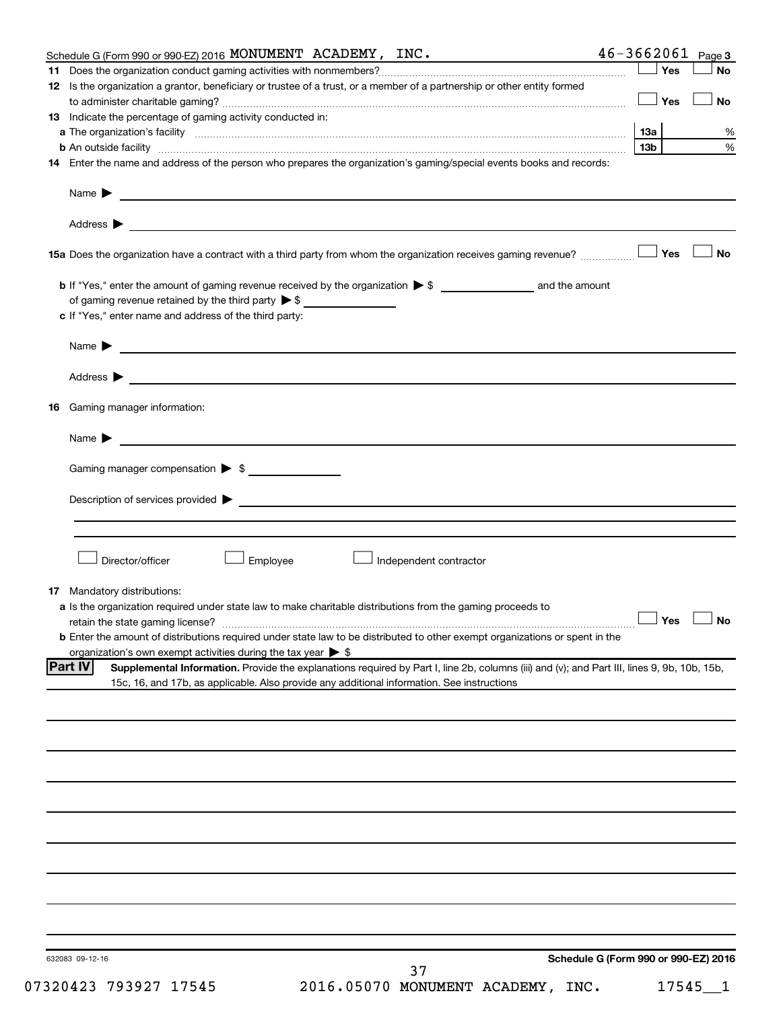| Schedule G (Form 990 or 990-EZ) 2016 MONUMENT ACADEMY, INC.                                                                         |                                                                                                                                                                                                                                           | the control of the control of the control of | $46 - 3662061$ Page 3 |           |
|-------------------------------------------------------------------------------------------------------------------------------------|-------------------------------------------------------------------------------------------------------------------------------------------------------------------------------------------------------------------------------------------|----------------------------------------------|-----------------------|-----------|
| 11                                                                                                                                  |                                                                                                                                                                                                                                           |                                              | 」Yes                  | <b>No</b> |
| 12 Is the organization a grantor, beneficiary or trustee of a trust, or a member of a partnership or other entity formed            |                                                                                                                                                                                                                                           |                                              | $\Box$ Yes            | <b>No</b> |
| 13 Indicate the percentage of gaming activity conducted in:                                                                         |                                                                                                                                                                                                                                           |                                              |                       |           |
|                                                                                                                                     |                                                                                                                                                                                                                                           |                                              | 13a                   | %         |
|                                                                                                                                     |                                                                                                                                                                                                                                           |                                              | 13 <sub>b</sub>       | $\%$      |
| 14 Enter the name and address of the person who prepares the organization's gaming/special events books and records:                |                                                                                                                                                                                                                                           |                                              |                       |           |
| Name $\blacktriangleright$                                                                                                          | <u> 1989 - Johann Barbara, martin amerikan basal dan berasal dan berasal dan berasal dari berasal dan berasal dan</u>                                                                                                                     |                                              |                       |           |
| Address >                                                                                                                           | and the control of the control of the control of the control of the control of the control of the control of the                                                                                                                          |                                              |                       |           |
|                                                                                                                                     |                                                                                                                                                                                                                                           |                                              |                       | <b>No</b> |
|                                                                                                                                     |                                                                                                                                                                                                                                           |                                              |                       |           |
| of gaming revenue retained by the third party $\triangleright$ \$<br>c If "Yes," enter name and address of the third party:         |                                                                                                                                                                                                                                           |                                              |                       |           |
|                                                                                                                                     | Name $\blacktriangleright$ $\blacksquare$                                                                                                                                                                                                 |                                              |                       |           |
|                                                                                                                                     |                                                                                                                                                                                                                                           |                                              |                       |           |
| <b>16</b> Gaming manager information:                                                                                               |                                                                                                                                                                                                                                           |                                              |                       |           |
|                                                                                                                                     |                                                                                                                                                                                                                                           |                                              |                       |           |
| Name $\blacktriangleright$                                                                                                          | <u> 1989 - Johann Barnett, fransk politiker (d. 1989)</u>                                                                                                                                                                                 |                                              |                       |           |
| Gaming manager compensation > \$                                                                                                    |                                                                                                                                                                                                                                           |                                              |                       |           |
|                                                                                                                                     | Description of services provided states and the contract of the contract of the contract of the contract of the contract of the contract of the contract of the contract of the contract of the contract of the contract of th            |                                              |                       |           |
|                                                                                                                                     |                                                                                                                                                                                                                                           |                                              |                       |           |
| Director/officer                                                                                                                    | Employee<br>Independent contractor                                                                                                                                                                                                        |                                              |                       |           |
| <b>17</b> Mandatory distributions:                                                                                                  |                                                                                                                                                                                                                                           |                                              |                       |           |
| a Is the organization required under state law to make charitable distributions from the gaming proceeds to                         |                                                                                                                                                                                                                                           |                                              |                       |           |
|                                                                                                                                     |                                                                                                                                                                                                                                           |                                              | $\Box$ Yes $\Box$ No  |           |
| <b>b</b> Enter the amount of distributions required under state law to be distributed to other exempt organizations or spent in the |                                                                                                                                                                                                                                           |                                              |                       |           |
| organization's own exempt activities during the tax year $\triangleright$ \$                                                        |                                                                                                                                                                                                                                           |                                              |                       |           |
| <b>Part IV</b>                                                                                                                      | Supplemental Information. Provide the explanations required by Part I, line 2b, columns (iii) and (v); and Part III, lines 9, 9b, 10b, 15b,<br>15c, 16, and 17b, as applicable. Also provide any additional information. See instructions |                                              |                       |           |
|                                                                                                                                     |                                                                                                                                                                                                                                           |                                              |                       |           |
|                                                                                                                                     |                                                                                                                                                                                                                                           |                                              |                       |           |
|                                                                                                                                     |                                                                                                                                                                                                                                           |                                              |                       |           |
|                                                                                                                                     |                                                                                                                                                                                                                                           |                                              |                       |           |
|                                                                                                                                     |                                                                                                                                                                                                                                           |                                              |                       |           |
|                                                                                                                                     |                                                                                                                                                                                                                                           |                                              |                       |           |
|                                                                                                                                     |                                                                                                                                                                                                                                           |                                              |                       |           |
|                                                                                                                                     |                                                                                                                                                                                                                                           |                                              |                       |           |
|                                                                                                                                     |                                                                                                                                                                                                                                           |                                              |                       |           |
|                                                                                                                                     |                                                                                                                                                                                                                                           |                                              |                       |           |
| 632083 09-12-16                                                                                                                     | 37                                                                                                                                                                                                                                        | Schedule G (Form 990 or 990-EZ) 2016         |                       |           |
|                                                                                                                                     |                                                                                                                                                                                                                                           |                                              |                       |           |

07320423 793927 17545 2016.05070 MONUMENT ACADEMY, INC. 17545\_1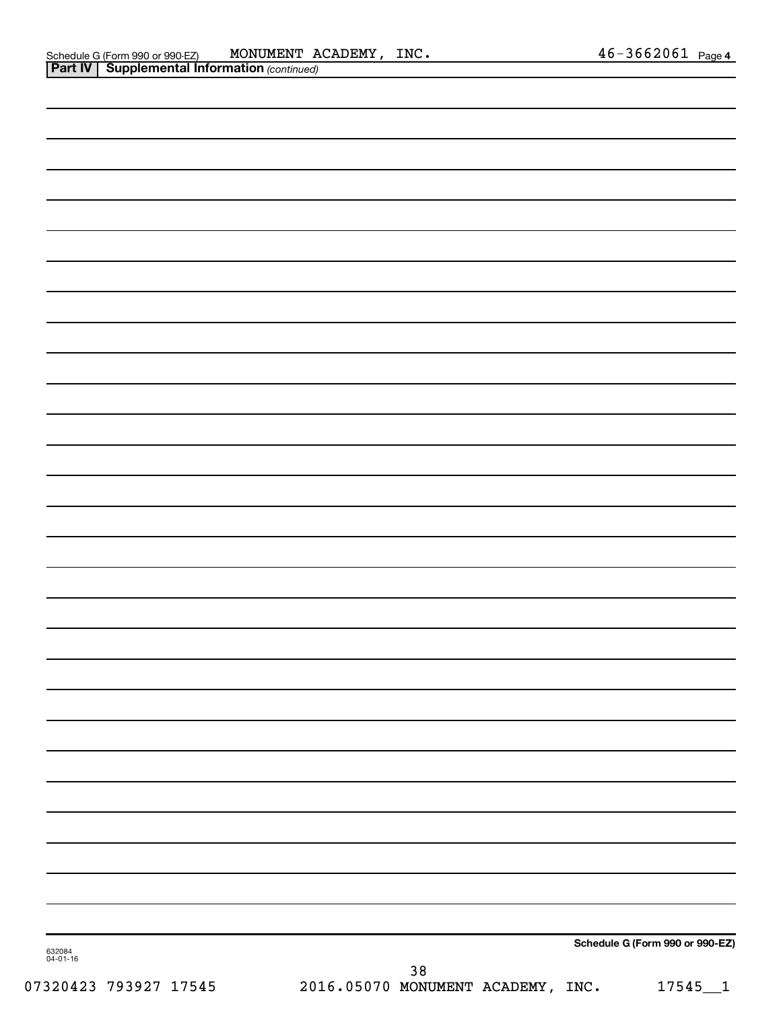|                    | Schedule G (Form 990 or 990-EZ) |  |
|--------------------|---------------------------------|--|
| 632084<br>04-01-16 | $38\,$                          |  |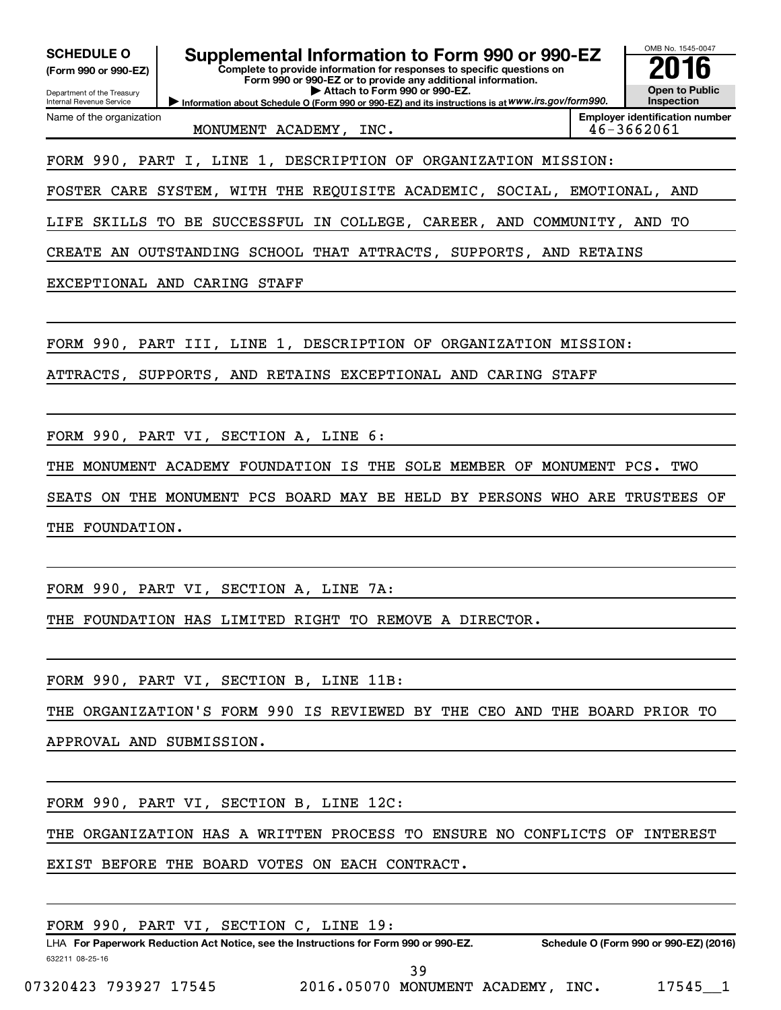|                                                                                                                                                                                                                                       | OMB No. 1545-0047                                   |
|---------------------------------------------------------------------------------------------------------------------------------------------------------------------------------------------------------------------------------------|-----------------------------------------------------|
| Supplemental Information to Form 990 or 990-EZ<br><b>SCHEDULE O</b><br>Complete to provide information for responses to specific questions on<br>(Form 990 or 990-EZ)<br>Form 990 or 990-EZ or to provide any additional information. |                                                     |
| Attach to Form 990 or 990-EZ.<br>Department of the Treasury<br>Information about Schedule O (Form 990 or 990-EZ) and its instructions is at WWW.irs.gov/form990.<br>Internal Revenue Service                                          | <b>Open to Public</b><br>Inspection                 |
| Name of the organization<br>MONUMENT ACADEMY, INC.                                                                                                                                                                                    | <b>Employer identification number</b><br>46-3662061 |
| FORM 990, PART I, LINE 1, DESCRIPTION OF ORGANIZATION MISSION:                                                                                                                                                                        |                                                     |
| FOSTER CARE SYSTEM, WITH THE REQUISITE ACADEMIC, SOCIAL, EMOTIONAL, AND                                                                                                                                                               |                                                     |
| SKILLS TO BE SUCCESSFUL IN COLLEGE, CAREER, AND COMMUNITY, AND TO<br>LIFE                                                                                                                                                             |                                                     |
| CREATE AN OUTSTANDING SCHOOL THAT ATTRACTS, SUPPORTS, AND RETAINS                                                                                                                                                                     |                                                     |
| EXCEPTIONAL AND CARING STAFF                                                                                                                                                                                                          |                                                     |
|                                                                                                                                                                                                                                       |                                                     |
| FORM 990, PART III, LINE 1, DESCRIPTION OF ORGANIZATION MISSION:                                                                                                                                                                      |                                                     |
| ATTRACTS, SUPPORTS, AND RETAINS EXCEPTIONAL AND CARING STAFF                                                                                                                                                                          |                                                     |
| FORM 990, PART VI, SECTION A, LINE 6:                                                                                                                                                                                                 |                                                     |
| MONUMENT ACADEMY FOUNDATION IS THE SOLE MEMBER OF MONUMENT PCS.<br>THE                                                                                                                                                                | TWO                                                 |
| ON THE MONUMENT PCS BOARD MAY BE HELD BY PERSONS WHO ARE TRUSTEES OF<br>SEATS                                                                                                                                                         |                                                     |
| THE FOUNDATION.                                                                                                                                                                                                                       |                                                     |
|                                                                                                                                                                                                                                       |                                                     |
| FORM 990, PART VI, SECTION A, LINE 7A:                                                                                                                                                                                                |                                                     |
| THE FOUNDATION HAS LIMITED RIGHT TO REMOVE A DIRECTOR.                                                                                                                                                                                |                                                     |
| FORM 990, PART VI, SECTION B, LINE 11B:                                                                                                                                                                                               |                                                     |
| THE ORGANIZATION'S FORM 990 IS REVIEWED BY THE CEO AND THE BOARD PRIOR TO                                                                                                                                                             |                                                     |
| APPROVAL AND SUBMISSION.                                                                                                                                                                                                              |                                                     |
|                                                                                                                                                                                                                                       |                                                     |
| FORM 990, PART VI, SECTION B, LINE 12C:                                                                                                                                                                                               |                                                     |

THE ORGANIZATION HAS A WRITTEN PROCESS TO ENSURE NO CONFLICTS OF INTEREST

EXIST BEFORE THE BOARD VOTES ON EACH CONTRACT.

|                       |  | FORM 990, PART VI, SECTION C, LINE 19: |  |                                                                                      |  |                                        |
|-----------------------|--|----------------------------------------|--|--------------------------------------------------------------------------------------|--|----------------------------------------|
|                       |  |                                        |  | LHA For Paperwork Reduction Act Notice, see the Instructions for Form 990 or 990-EZ. |  | Schedule O (Form 990 or 990-EZ) (2016) |
| 632211 08-25-16       |  |                                        |  |                                                                                      |  |                                        |
|                       |  |                                        |  | 39                                                                                   |  |                                        |
| 07320423 793927 17545 |  |                                        |  | 2016.05070 MONUMENT ACADEMY, INC.                                                    |  | 17545 1                                |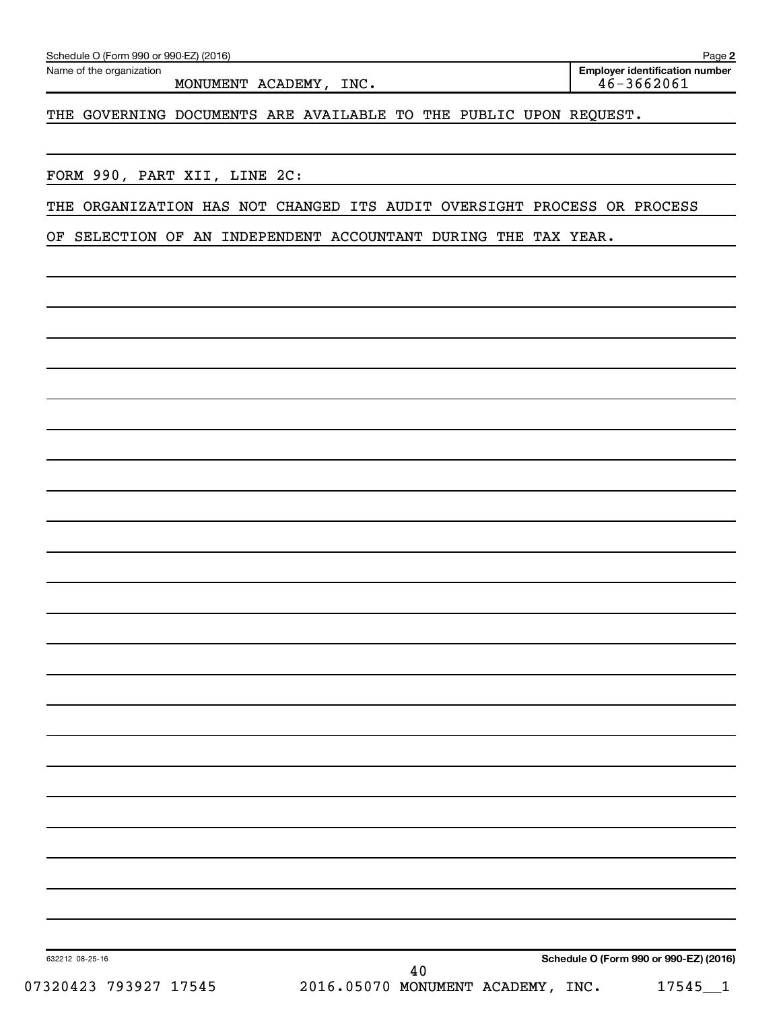| Name of the organization<br>MONUMENT ACADEMY, INC.                                                                                        | <b>Employer identification number</b><br>$46 - 3662061$ |
|-------------------------------------------------------------------------------------------------------------------------------------------|---------------------------------------------------------|
| THE GOVERNING DOCUMENTS ARE AVAILABLE TO THE PUBLIC UPON REQUEST.                                                                         |                                                         |
|                                                                                                                                           |                                                         |
| FORM 990, PART XII, LINE 2C:                                                                                                              |                                                         |
| THE ORGANIZATION HAS NOT CHANGED ITS AUDIT OVERSIGHT PROCESS OR PROCESS<br>OF SELECTION OF AN INDEPENDENT ACCOUNTANT DURING THE TAX YEAR. |                                                         |
|                                                                                                                                           |                                                         |
|                                                                                                                                           |                                                         |
|                                                                                                                                           |                                                         |
|                                                                                                                                           |                                                         |
|                                                                                                                                           |                                                         |
|                                                                                                                                           |                                                         |
|                                                                                                                                           |                                                         |
|                                                                                                                                           |                                                         |
|                                                                                                                                           |                                                         |
|                                                                                                                                           |                                                         |
|                                                                                                                                           |                                                         |
|                                                                                                                                           |                                                         |
|                                                                                                                                           |                                                         |
|                                                                                                                                           |                                                         |
|                                                                                                                                           |                                                         |
|                                                                                                                                           |                                                         |
|                                                                                                                                           |                                                         |
|                                                                                                                                           |                                                         |
|                                                                                                                                           |                                                         |
|                                                                                                                                           |                                                         |
| 632212 08-25-16                                                                                                                           | Schedule O (Form 990 or 990-EZ) (2016)                  |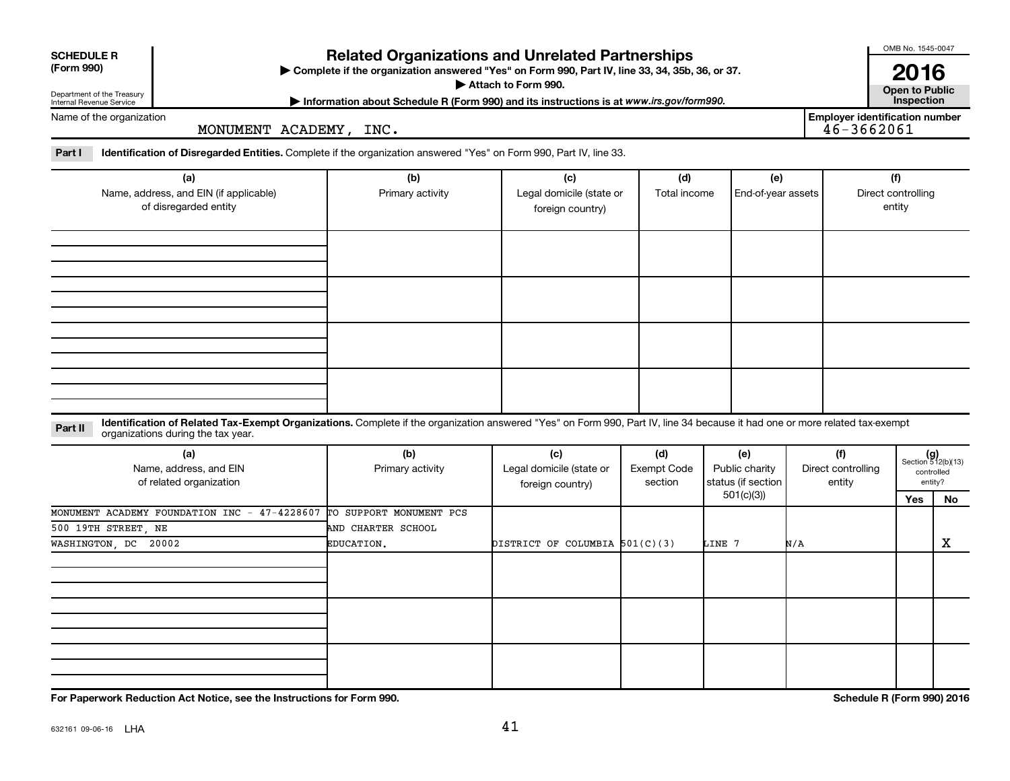| <b>SCHEDULE R</b><br>(Form 990)                        |                                                                                                                                                                                                                   | <b>Related Organizations and Unrelated Partnerships</b><br>Complete if the organization answered "Yes" on Form 990, Part IV, line 33, 34, 35b, 36, or 37. |                                                     |                                      |        |                                             |     |                                                         | OMB No. 1545-0047<br>2016           |                                                      |
|--------------------------------------------------------|-------------------------------------------------------------------------------------------------------------------------------------------------------------------------------------------------------------------|-----------------------------------------------------------------------------------------------------------------------------------------------------------|-----------------------------------------------------|--------------------------------------|--------|---------------------------------------------|-----|---------------------------------------------------------|-------------------------------------|------------------------------------------------------|
| Department of the Treasury<br>Internal Revenue Service |                                                                                                                                                                                                                   | Information about Schedule R (Form 990) and its instructions is at www.irs.gov/form990.                                                                   | Attach to Form 990.                                 |                                      |        |                                             |     |                                                         | <b>Open to Public</b><br>Inspection |                                                      |
| Name of the organization                               | MONUMENT ACADEMY, INC.                                                                                                                                                                                            |                                                                                                                                                           |                                                     |                                      |        |                                             |     | <b>Employer identification number</b><br>$46 - 3662061$ |                                     |                                                      |
| Part I                                                 | Identification of Disregarded Entities. Complete if the organization answered "Yes" on Form 990, Part IV, line 33.                                                                                                |                                                                                                                                                           |                                                     |                                      |        |                                             |     |                                                         |                                     |                                                      |
|                                                        | (a)<br>Name, address, and EIN (if applicable)<br>of disregarded entity                                                                                                                                            | (b)<br>Primary activity                                                                                                                                   | (c)<br>Legal domicile (state or<br>foreign country) | (d)<br>Total income                  |        | (e)<br>End-of-year assets                   |     |                                                         | (f)<br>Direct controlling<br>entity |                                                      |
|                                                        |                                                                                                                                                                                                                   |                                                                                                                                                           |                                                     |                                      |        |                                             |     |                                                         |                                     |                                                      |
|                                                        |                                                                                                                                                                                                                   |                                                                                                                                                           |                                                     |                                      |        |                                             |     |                                                         |                                     |                                                      |
|                                                        |                                                                                                                                                                                                                   |                                                                                                                                                           |                                                     |                                      |        |                                             |     |                                                         |                                     |                                                      |
|                                                        |                                                                                                                                                                                                                   |                                                                                                                                                           |                                                     |                                      |        |                                             |     |                                                         |                                     |                                                      |
| Part II                                                | Identification of Related Tax-Exempt Organizations. Complete if the organization answered "Yes" on Form 990, Part IV, line 34 because it had one or more related tax-exempt<br>organizations during the tax year. |                                                                                                                                                           |                                                     |                                      |        |                                             |     |                                                         |                                     |                                                      |
|                                                        | (a)<br>Name, address, and EIN<br>of related organization                                                                                                                                                          | (b)<br>Primary activity                                                                                                                                   | (c)<br>Legal domicile (state or<br>foreign country) | (d)<br><b>Exempt Code</b><br>section |        | (e)<br>Public charity<br>status (if section |     | (f)<br>Direct controlling<br>entity                     |                                     | $(g)$<br>Section 512(b)(13)<br>controlled<br>entity? |
|                                                        |                                                                                                                                                                                                                   |                                                                                                                                                           |                                                     |                                      |        | 501(c)(3)                                   |     |                                                         | Yes                                 | No                                                   |
| 500 19TH STREET NE                                     | MONUMENT ACADEMY FOUNDATION INC - 47-4228607                                                                                                                                                                      | TO SUPPORT MONUMENT PCS<br>AND CHARTER SCHOOL                                                                                                             |                                                     |                                      |        |                                             |     |                                                         |                                     |                                                      |
| WASHINGTON, DC 20002                                   |                                                                                                                                                                                                                   | EDUCATION.                                                                                                                                                | DISTRICT OF COLUMBIA 501(C)(3)                      |                                      | LINE 7 |                                             | N/A |                                                         |                                     | Х                                                    |
|                                                        |                                                                                                                                                                                                                   |                                                                                                                                                           |                                                     |                                      |        |                                             |     |                                                         |                                     |                                                      |
|                                                        |                                                                                                                                                                                                                   |                                                                                                                                                           |                                                     |                                      |        |                                             |     |                                                         |                                     |                                                      |
|                                                        |                                                                                                                                                                                                                   |                                                                                                                                                           |                                                     |                                      |        |                                             |     |                                                         |                                     |                                                      |
|                                                        |                                                                                                                                                                                                                   |                                                                                                                                                           |                                                     |                                      |        |                                             |     |                                                         |                                     |                                                      |

**For Paperwork Reduction Act Notice, see the Instructions for Form 990. Schedule R (Form 990) 2016**

OMB No. 1545-0047

 $\overline{1}$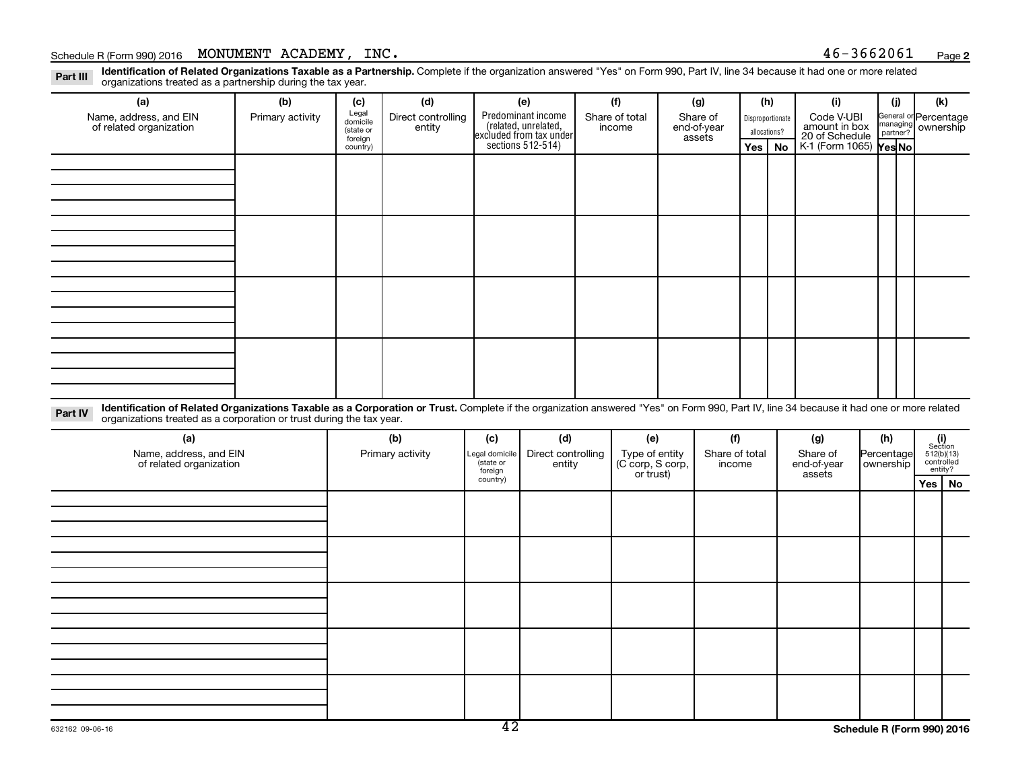### Schedule R (Form 990) 2016 MONUMENT ACADEMY ,  $INC.$

**2**

Part III Identification of Related Organizations Taxable as a Partnership. Complete if the organization answered "Yes" on Form 990, Part IV, line 34 because it had one or more related<br>Read to the organizations tracted as a organizations treated as a partnership during the tax year.

| (a)                                                                                                                                                                                                                                                                        | (b)              | (c)                                       | (d)                          |                                                    | (e)                                                                   | (f)                                             | (g)                               | (h)                              |           | (i)                                           | (i)                     | (k)                                                          |
|----------------------------------------------------------------------------------------------------------------------------------------------------------------------------------------------------------------------------------------------------------------------------|------------------|-------------------------------------------|------------------------------|----------------------------------------------------|-----------------------------------------------------------------------|-------------------------------------------------|-----------------------------------|----------------------------------|-----------|-----------------------------------------------|-------------------------|--------------------------------------------------------------|
| Name, address, and EIN<br>of related organization                                                                                                                                                                                                                          | Primary activity | Legal<br>domicile<br>(state or<br>foreign | Direct controlling<br>entity |                                                    | Predominant income<br>(related, unrelated,<br>excluded from tax under | Share of total<br>income                        | Share of<br>end-of-year<br>assets | Disproportionate<br>allocations? |           | Code V-UBI<br>amount in box<br>20 of Schedule |                         | General or Percentage<br>managing ownership                  |
|                                                                                                                                                                                                                                                                            |                  | country)                                  |                              |                                                    | sections $512-514$ )                                                  |                                                 |                                   | Yes                              | <b>No</b> | K-1 (Form 1065) Yes No                        |                         |                                                              |
|                                                                                                                                                                                                                                                                            |                  |                                           |                              |                                                    |                                                                       |                                                 |                                   |                                  |           |                                               |                         |                                                              |
|                                                                                                                                                                                                                                                                            |                  |                                           |                              |                                                    |                                                                       |                                                 |                                   |                                  |           |                                               |                         |                                                              |
|                                                                                                                                                                                                                                                                            |                  |                                           |                              |                                                    |                                                                       |                                                 |                                   |                                  |           |                                               |                         |                                                              |
|                                                                                                                                                                                                                                                                            |                  |                                           |                              |                                                    |                                                                       |                                                 |                                   |                                  |           |                                               |                         |                                                              |
|                                                                                                                                                                                                                                                                            |                  |                                           |                              |                                                    |                                                                       |                                                 |                                   |                                  |           |                                               |                         |                                                              |
|                                                                                                                                                                                                                                                                            |                  |                                           |                              |                                                    |                                                                       |                                                 |                                   |                                  |           |                                               |                         |                                                              |
|                                                                                                                                                                                                                                                                            |                  |                                           |                              |                                                    |                                                                       |                                                 |                                   |                                  |           |                                               |                         |                                                              |
|                                                                                                                                                                                                                                                                            |                  |                                           |                              |                                                    |                                                                       |                                                 |                                   |                                  |           |                                               |                         |                                                              |
|                                                                                                                                                                                                                                                                            |                  |                                           |                              |                                                    |                                                                       |                                                 |                                   |                                  |           |                                               |                         |                                                              |
|                                                                                                                                                                                                                                                                            |                  |                                           |                              |                                                    |                                                                       |                                                 |                                   |                                  |           |                                               |                         |                                                              |
|                                                                                                                                                                                                                                                                            |                  |                                           |                              |                                                    |                                                                       |                                                 |                                   |                                  |           |                                               |                         |                                                              |
|                                                                                                                                                                                                                                                                            |                  |                                           |                              |                                                    |                                                                       |                                                 |                                   |                                  |           |                                               |                         |                                                              |
|                                                                                                                                                                                                                                                                            |                  |                                           |                              |                                                    |                                                                       |                                                 |                                   |                                  |           |                                               |                         |                                                              |
|                                                                                                                                                                                                                                                                            |                  |                                           |                              |                                                    |                                                                       |                                                 |                                   |                                  |           |                                               |                         |                                                              |
|                                                                                                                                                                                                                                                                            |                  |                                           |                              |                                                    |                                                                       |                                                 |                                   |                                  |           |                                               |                         |                                                              |
|                                                                                                                                                                                                                                                                            |                  |                                           |                              |                                                    |                                                                       |                                                 |                                   |                                  |           |                                               |                         |                                                              |
| Identification of Related Organizations Taxable as a Corporation or Trust. Complete if the organization answered "Yes" on Form 990, Part IV, line 34 because it had one or more related<br>Part IV<br>organizations treated as a corporation or trust during the tax year. |                  |                                           |                              |                                                    |                                                                       |                                                 |                                   |                                  |           |                                               |                         |                                                              |
| (a)                                                                                                                                                                                                                                                                        |                  |                                           | (b)                          | (c)                                                | (d)                                                                   | (e)                                             | (f)                               |                                  |           | (g)                                           | (h)                     | (i)<br>Section                                               |
| Name, address, and EIN<br>of related organization                                                                                                                                                                                                                          |                  |                                           | Primary activity             | Legal domicile<br>(state or<br>foreign<br>country) | Direct controlling<br>entity                                          | Type of entity<br>(C corp, S corp,<br>or trust) | Share of total<br>income          |                                  |           | Share of<br>end-of-year<br>assets             | Percentage<br>ownership | 512(b)(13)<br>controlled<br>entity?<br>$V -$<br>$\mathbf{M}$ |

**Yes No**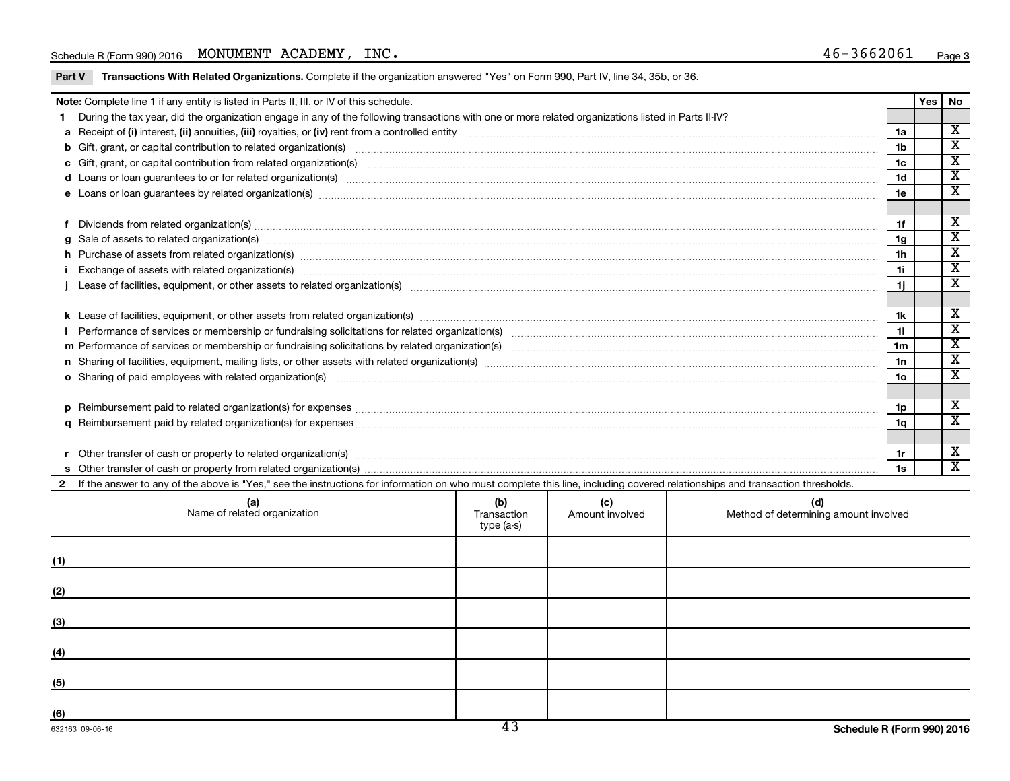### Schedule R (Form 990) 2016 MONUMENT ACADEMY ,  $INC.$

Part V Transactions With Related Organizations. Complete if the organization answered "Yes" on Form 990, Part IV, line 34, 35b, or 36.

|  | Note: Complete line 1 if any entity is listed in Parts II, III, or IV of this schedule.                                                                                                                                        |                                  |                        |                                              |                 | Yes | <b>No</b>                                              |  |
|--|--------------------------------------------------------------------------------------------------------------------------------------------------------------------------------------------------------------------------------|----------------------------------|------------------------|----------------------------------------------|-----------------|-----|--------------------------------------------------------|--|
|  | During the tax year, did the organization engage in any of the following transactions with one or more related organizations listed in Parts II-IV?                                                                            |                                  |                        |                                              |                 |     |                                                        |  |
|  |                                                                                                                                                                                                                                |                                  |                        |                                              | 1a              |     | $\overline{\mathbf{X}}$<br>$\overline{\mathtt{x}}$     |  |
|  |                                                                                                                                                                                                                                |                                  |                        |                                              |                 |     |                                                        |  |
|  |                                                                                                                                                                                                                                |                                  |                        |                                              | 1 <sub>c</sub>  |     | $\overline{\texttt{x}}$                                |  |
|  |                                                                                                                                                                                                                                |                                  |                        |                                              | 1 <sub>d</sub>  |     | $\overline{\texttt{x}}$<br>$\overline{\textnormal{x}}$ |  |
|  |                                                                                                                                                                                                                                |                                  |                        |                                              |                 |     |                                                        |  |
|  | f Dividends from related organization(s) material content and content and content and content and content and content and content and content and content and content and content and content and content and content and cont |                                  |                        |                                              |                 |     |                                                        |  |
|  | Sale of assets to related organization(s) www.assemance.com/www.assemance.com/www.assemance.com/www.assemance.com/www.assemance.com/www.assemance.com/www.assemance.com/www.assemance.com/www.assemance.com/www.assemance.com/ |                                  |                        |                                              |                 |     |                                                        |  |
|  | h Purchase of assets from related organization(s) manufactured and content to content the content of assets from related organization(s) manufactured and content of the content of the content of the content of the content  |                                  |                        |                                              |                 |     |                                                        |  |
|  |                                                                                                                                                                                                                                |                                  |                        |                                              |                 |     |                                                        |  |
|  |                                                                                                                                                                                                                                |                                  |                        |                                              |                 |     | $\overline{\mathtt{x}}$                                |  |
|  |                                                                                                                                                                                                                                |                                  |                        |                                              |                 |     |                                                        |  |
|  |                                                                                                                                                                                                                                |                                  |                        |                                              | 1k              |     | X                                                      |  |
|  |                                                                                                                                                                                                                                |                                  |                        |                                              | 11              |     | $\overline{\texttt{x}}$                                |  |
|  |                                                                                                                                                                                                                                |                                  |                        |                                              | 1m              |     | $\overline{\mathtt{x}}$                                |  |
|  |                                                                                                                                                                                                                                |                                  |                        |                                              | 1n              |     | $\overline{\texttt{x}}$                                |  |
|  |                                                                                                                                                                                                                                |                                  |                        |                                              | 10 <sub>o</sub> |     | $\overline{\textbf{x}}$                                |  |
|  |                                                                                                                                                                                                                                |                                  |                        |                                              |                 |     |                                                        |  |
|  |                                                                                                                                                                                                                                |                                  |                        |                                              | 1p              |     | X                                                      |  |
|  |                                                                                                                                                                                                                                |                                  |                        |                                              | 1q              |     | $\overline{\texttt{x}}$                                |  |
|  |                                                                                                                                                                                                                                |                                  |                        |                                              |                 |     |                                                        |  |
|  |                                                                                                                                                                                                                                |                                  |                        |                                              | 1r              |     | X                                                      |  |
|  |                                                                                                                                                                                                                                |                                  |                        |                                              | 1s              |     | $\overline{\mathbf{x}}$                                |  |
|  | If the answer to any of the above is "Yes," see the instructions for information on who must complete this line, including covered relationships and transaction thresholds.                                                   |                                  |                        |                                              |                 |     |                                                        |  |
|  | (a)<br>Name of related organization                                                                                                                                                                                            | (b)<br>Transaction<br>type (a-s) | (c)<br>Amount involved | (d)<br>Method of determining amount involved |                 |     |                                                        |  |
|  |                                                                                                                                                                                                                                |                                  |                        |                                              |                 |     |                                                        |  |

| (1)                                                                                                                         |  |  |
|-----------------------------------------------------------------------------------------------------------------------------|--|--|
| (2)                                                                                                                         |  |  |
| (3)                                                                                                                         |  |  |
| (4)                                                                                                                         |  |  |
| (5)<br><u> 1989 - Johann Harry Barn, mars ar breist fan de Amerikaansk kommunent fan de Amerikaanske kommunent fan de A</u> |  |  |
| (6)                                                                                                                         |  |  |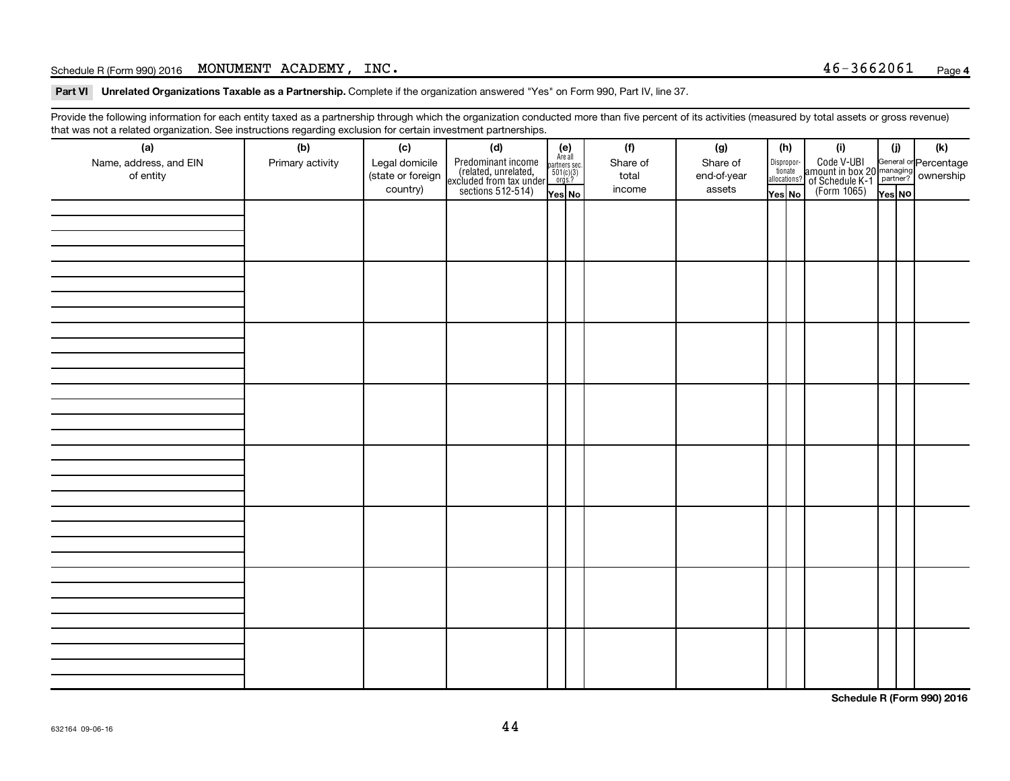### Schedule R (Form 990) 2016 MONUMENT ACADEMY ,  $INC.$

Part VI Unrelated Organizations Taxable as a Partnership. Complete if the organization answered "Yes" on Form 990, Part IV, line 37.

Provide the following information for each entity taxed as a partnership through which the organization conducted more than five percent of its activities (measured by total assets or gross revenue) that was not a related organization. See instructions regarding exclusion for certain investment partnerships.

| (a)<br>Name, address, and EIN<br>of entity | - -<br>(b)<br>Primary activity | (c)<br>Legal domicile<br>(state or foreign<br>country) | . <b>.</b> .<br>(d)<br>Predominant income<br>(related, unrelated,<br>excluded from tax under<br>sections 512-514) | $(e)$<br>Are all<br>partners sec.<br>$501(c)(3)$<br>orgs.?<br>Yes No | (f)<br>Share of<br>total<br>income | (g)<br>Share of<br>end-of-year<br>assets | (h)<br>Dispropor-<br>tionate<br>allocations?<br>Yes No | (i)<br>Code V-UBI<br>amount in box 20 managing<br>of Schedule K-1<br>(Form 1065)<br>$\overline{V}$ ves No | (i)<br>Yes NO | (k) |
|--------------------------------------------|--------------------------------|--------------------------------------------------------|-------------------------------------------------------------------------------------------------------------------|----------------------------------------------------------------------|------------------------------------|------------------------------------------|--------------------------------------------------------|-----------------------------------------------------------------------------------------------------------|---------------|-----|
|                                            |                                |                                                        |                                                                                                                   |                                                                      |                                    |                                          |                                                        |                                                                                                           |               |     |
|                                            |                                |                                                        |                                                                                                                   |                                                                      |                                    |                                          |                                                        |                                                                                                           |               |     |
|                                            |                                |                                                        |                                                                                                                   |                                                                      |                                    |                                          |                                                        |                                                                                                           |               |     |
|                                            |                                |                                                        |                                                                                                                   |                                                                      |                                    |                                          |                                                        |                                                                                                           |               |     |
|                                            |                                |                                                        |                                                                                                                   |                                                                      |                                    |                                          |                                                        |                                                                                                           |               |     |
|                                            |                                |                                                        |                                                                                                                   |                                                                      |                                    |                                          |                                                        |                                                                                                           |               |     |
|                                            |                                |                                                        |                                                                                                                   |                                                                      |                                    |                                          |                                                        |                                                                                                           |               |     |
|                                            |                                |                                                        |                                                                                                                   |                                                                      |                                    |                                          |                                                        |                                                                                                           |               |     |
|                                            |                                |                                                        |                                                                                                                   |                                                                      |                                    |                                          |                                                        |                                                                                                           |               |     |

**Schedule R (Form 990) 2016**